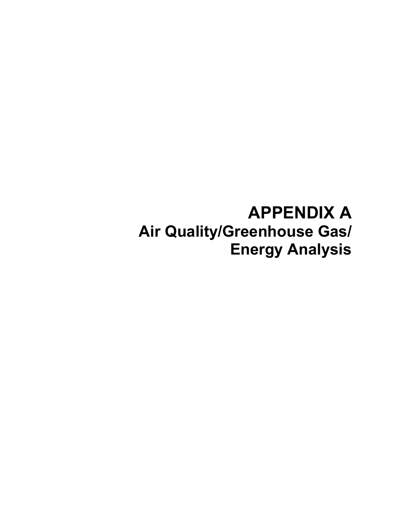# **APPENDIX A Air Quality/Greenhouse Gas/ Energy Analysis**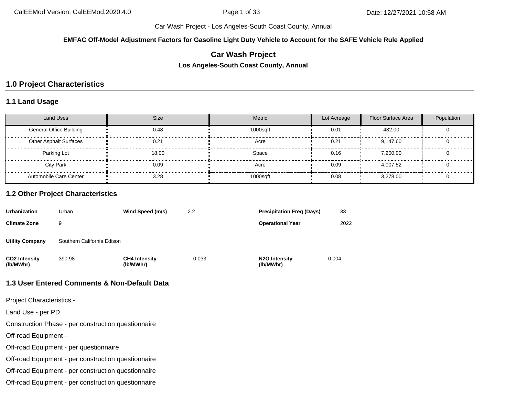**EMFAC Off-Model Adjustment Factors for Gasoline Light Duty Vehicle to Account for the SAFE Vehicle Rule Applied**

## **Car Wash Project**

**Los Angeles-South Coast County, Annual**

## **1.0 Project Characteristics**

#### **1.1 Land Usage**

| <b>Land Uses</b>               | <b>Size</b> | <b>Metric</b> | Lot Acreage | Floor Surface Area | Population |
|--------------------------------|-------------|---------------|-------------|--------------------|------------|
| <b>General Office Building</b> | 0.48        | 1000sqft      | 0.01        | 482.00             |            |
| <b>Other Asphalt Surfaces</b>  | 0.21        | Acre          | 0.21        | 9.147.60           |            |
| Parking Lot                    | 18.00       | Space         | 0.16        | 7.200.00           |            |
| <b>City Park</b>               | 0.09        | Acre          | 0.09        | 4.007.52           |            |
| Automobile Care Center         | 3.28        | 1000sqft      | 0.08        | 3,278.00           |            |

#### **1.2 Other Project Characteristics**

| <b>Urbanization</b>        | Urban                      | Wind Speed (m/s)                  | 2.2   | <b>Precipitation Freg (Days)</b>        | 33    |
|----------------------------|----------------------------|-----------------------------------|-------|-----------------------------------------|-------|
| <b>Climate Zone</b>        | 9                          |                                   |       | <b>Operational Year</b>                 | 2022  |
| <b>Utility Company</b>     | Southern California Edison |                                   |       |                                         |       |
| CO2 Intensity<br>(lb/MWhr) | 390.98                     | <b>CH4 Intensity</b><br>(lb/MWhr) | 0.033 | N <sub>2</sub> O Intensity<br>(lb/MWhr) | 0.004 |

#### **1.3 User Entered Comments & Non-Default Data**

Project Characteristics -

Land Use - per PD

Construction Phase - per construction questionnaire

Off-road Equipment -

Off-road Equipment - per questionnaire

Off-road Equipment - per construction questionnaire

Off-road Equipment - per construction questionnaire

Off-road Equipment - per construction questionnaire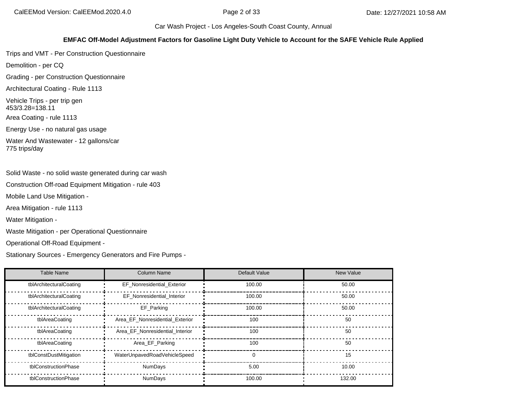#### **EMFAC Off-Model Adjustment Factors for Gasoline Light Duty Vehicle to Account for the SAFE Vehicle Rule Applied**

Trips and VMT - Per Construction Questionnaire

Demolition - per CQ

Grading - per Construction Questionnaire

Architectural Coating - Rule 1113

Vehicle Trips - per trip gen 453/3.28=138.11

Area Coating - rule 1113

Energy Use - no natural gas usage

Water And Wastewater - 12 gallons/car 775 trips/day

Solid Waste - no solid waste generated during car wash

Construction Off-road Equipment Mitigation - rule 403

Mobile Land Use Mitigation -

Area Mitigation - rule 1113

Water Mitigation -

Waste Mitigation - per Operational Questionnaire

Operational Off-Road Equipment -

Stationary Sources - Emergency Generators and Fire Pumps -

| Table Name              | Column Name                     | Default Value | New Value |
|-------------------------|---------------------------------|---------------|-----------|
| tblArchitecturalCoating | EF_Nonresidential_Exterior      | 100.00        | 50.00     |
| tblArchitecturalCoating | EF_Nonresidential_Interior      | 100.00        | 50.00     |
| tblArchitecturalCoating | EF Parking                      | 100.00        | 50.00     |
| tblAreaCoating          | Area EF Nonresidential Exterior | 100           | 50        |
| tblAreaCoating          | Area EF Nonresidential Interior | 100           | 50        |
| tblAreaCoating          | Area_EF_Parking                 | 100           | 50        |
| tblConstDustMitigation  | WaterUnpavedRoadVehicleSpeed    | $\Omega$      | 15        |
| tblConstructionPhase    | <b>NumDays</b>                  | 5.00          | 10.00     |
| tblConstructionPhase    | <b>NumDays</b>                  | 100.00        | 132.00    |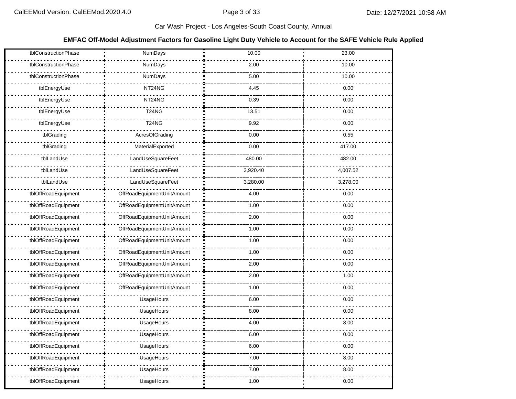#### **EMFAC Off-Model Adjustment Factors for Gasoline Light Duty Vehicle to Account for the SAFE Vehicle Rule Applied**

| tblConstructionPhase | NumDays                    | 10.00    | 23.00    |
|----------------------|----------------------------|----------|----------|
| tblConstructionPhase | NumDays                    | 2.00     | 10.00    |
| tblConstructionPhase | NumDays                    | 5.00     | 10.00    |
| tblEnergyUse         | NT24NG                     | 4.45     | 0.00     |
| tblEnergyUse         | NT24NG                     | 0.39     | 0.00     |
| tblEnergyUse         | <b>T24NG</b>               | 13.51    | 0.00     |
| tblEnergyUse         | <b>T24NG</b>               | 9.92     | 0.00     |
| tblGrading           | AcresOfGrading             | 0.00     | 0.55     |
| tblGrading           | MaterialExported           | 0.00     | 417.00   |
| tblLandUse           | LandUseSquareFeet          | 480.00   | 482.00   |
| tblLandUse           | LandUseSquareFeet          | 3,920.40 | 4,007.52 |
| tblLandUse           | LandUseSquareFeet          | 3,280.00 | 3,278.00 |
| tblOffRoadEquipment  | OffRoadEquipmentUnitAmount | 4.00     | 0.00     |
| tblOffRoadEquipment  | OffRoadEquipmentUnitAmount | 1.00     | 0.00     |
| tblOffRoadEquipment  | OffRoadEquipmentUnitAmount | 2.00     | 0.00     |
| tblOffRoadEquipment  | OffRoadEquipmentUnitAmount | 1.00     | 0.00     |
| tblOffRoadEquipment  | OffRoadEquipmentUnitAmount | 1.00     | 0.00     |
| tblOffRoadEquipment  | OffRoadEquipmentUnitAmount | 1.00     | 0.00     |
| tblOffRoadEquipment  | OffRoadEquipmentUnitAmount | 2.00     | 0.00     |
| tblOffRoadEquipment  | OffRoadEquipmentUnitAmount | 2.00     | 1.00     |
| tblOffRoadEquipment  | OffRoadEquipmentUnitAmount | 1.00     | 0.00     |
| tblOffRoadEquipment  | UsageHours                 | 6.00     | 0.00     |
| tblOffRoadEquipment  | UsageHours                 | 8.00     | 0.00     |
| tblOffRoadEquipment  | UsageHours                 | 4.00     | 8.00     |
| tblOffRoadEquipment  | UsageHours                 | 6.00     | 0.00     |
| tblOffRoadEquipment  | UsageHours                 | 6.00     | 0.00     |
| tblOffRoadEquipment  | UsageHours                 | 7.00     | 8.00     |
| tblOffRoadEquipment  | UsageHours                 | 7.00     | 8.00     |
| tblOffRoadEquipment  | UsageHours                 | 1.00     | 0.00     |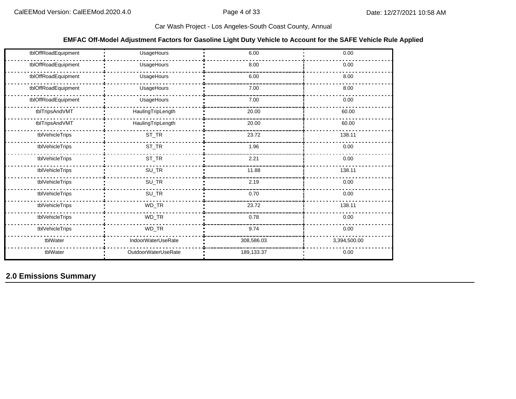#### **EMFAC Off-Model Adjustment Factors for Gasoline Light Duty Vehicle to Account for the SAFE Vehicle Rule Applied**

| tblOffRoadEquipment | UsageHours          | 6.00       | 0.00         |
|---------------------|---------------------|------------|--------------|
| tblOffRoadEquipment | UsageHours          | 8.00       | 0.00         |
| tblOffRoadEquipment | UsageHours          | 6.00       | 8.00         |
| tblOffRoadEquipment | UsageHours          | 7.00       | 8.00         |
| tblOffRoadEquipment | UsageHours          | 7.00       | 0.00         |
| tblTripsAndVMT      | HaulingTripLength   | 20.00      | 60.00        |
| tblTripsAndVMT      | HaulingTripLength   | 20.00      | 60.00        |
| tblVehicleTrips     | $ST_TR$             | 23.72      | 138.11       |
| tblVehicleTrips     | $ST_TR$             | 1.96       | 0.00         |
| tblVehicleTrips     | $ST_TR$             | 2.21       | 0.00         |
| tblVehicleTrips     | $SU_TR$             | 11.88      | 138.11       |
| tblVehicleTrips     | $SU_TR$             | 2.19       | 0.00         |
| tblVehicleTrips     | $SU_TR$             | 0.70       | 0.00         |
| tblVehicleTrips     | WD_TR               | 23.72      | 138.11       |
| tblVehicleTrips     | WD_TR               | 0.78       | 0.00         |
| tblVehicleTrips     | WD_TR               | 9.74       | 0.00         |
| tblWater            | IndoorWaterUseRate  | 308,586.03 | 3,394,500.00 |
| tblWater            | OutdoorWaterUseRate | 189,133.37 | 0.00         |

## **2.0 Emissions Summary**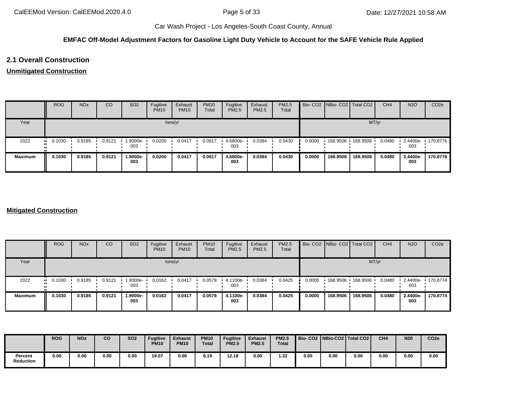#### **EMFAC Off-Model Adjustment Factors for Gasoline Light Duty Vehicle to Account for the SAFE Vehicle Rule Applied**

## **2.1 Overall Construction**

#### **Unmitigated Construction**

|                | <b>ROG</b> | <b>NO<sub>x</sub></b> | CO     | SO <sub>2</sub> | Fugitive<br><b>PM10</b> | Exhaust<br><b>PM10</b> | <b>PM10</b><br>Total | Fugitive<br>PM2.5 | Exhaust<br><b>PM2.5</b> | <b>PM2.5</b><br>Total |        | Bio- CO2   NBio- CO2   Total CO2 |          | CH <sub>4</sub> | <b>N2O</b>      | CO <sub>2e</sub>  |
|----------------|------------|-----------------------|--------|-----------------|-------------------------|------------------------|----------------------|-------------------|-------------------------|-----------------------|--------|----------------------------------|----------|-----------------|-----------------|-------------------|
| Year           |            |                       |        |                 |                         | tons/yr                |                      |                   |                         |                       |        |                                  | MT/yr    |                 |                 |                   |
| 2022           | 0.1030<br> | 0.9185                | 0.9121 | -9000e-<br>003  | 0.0200                  | 0.0417                 | 0.0617               | 4.6800e-<br>003   | 0.0384                  | 0.0430                | 0.0000 | 168.9508                         | 168.9508 | 0.0480          | 003             | 2.4400e- 170.8776 |
| <b>Maximum</b> | 0.1030     | 0.9185                | 0.9121 | 1.9000e-<br>003 | 0.0200                  | 0.0417                 | 0.0617               | 4.6800e-<br>003   | 0.0384                  | 0.0430                | 0.0000 | 168.9508                         | 168.9508 | 0.0480          | 2.4400e-<br>003 | 170.8776          |

#### **Mitigated Construction**

|                | <b>ROG</b>            | <b>NO<sub>x</sub></b> | CO     | SO <sub>2</sub> | Fugitive<br><b>PM10</b> | Exhaust<br><b>PM10</b> | <b>PM10</b><br>Total | Fugitive<br><b>PM2.5</b> | Exhaust<br>PM2.5 | <b>PM2.5</b><br>Total |        | Bio- CO2 NBio- CO2 Total CO2 |          | CH <sub>4</sub> | <b>N2O</b>      | CO <sub>2e</sub> |
|----------------|-----------------------|-----------------------|--------|-----------------|-------------------------|------------------------|----------------------|--------------------------|------------------|-----------------------|--------|------------------------------|----------|-----------------|-----------------|------------------|
| Year           |                       |                       |        |                 |                         | tons/yr                |                      |                          |                  |                       |        |                              | MT/yr    |                 |                 |                  |
| 2022           | $\blacksquare$ 0.1030 | 0.9185                | 0.9121 | -9000e.<br>003  | 0.0162                  | 0.0417                 | 0.0579               | 4.1100e-<br>003          | 0.0384           | 0.0425                | 0.0000 | 168.9506                     | 168.9506 | 0.0480          | 2.4400e-<br>003 | $\cdot$ 170.8774 |
| <b>Maximum</b> | 0.1030                | 0.9185                | 0.9121 | 1.9000e-<br>003 | 0.0162                  | 0.0417                 | 0.0579               | 4.1100e-<br>003          | 0.0384           | 0.0425                | 0.0000 | 168.9506                     | 168.9506 | 0.0480          | 2.4400e-<br>003 | 170.8774         |

|                      | <b>ROG</b> | <b>NOx</b> | co   | <b>SO2</b> | <b>Fugitive</b><br><b>PM10</b> | <b>Exhaust</b><br><b>PM10</b> | <b>PM10</b><br><b>Total</b> | <b>Fugitive</b><br><b>PM2.5</b> | Exhaust<br><b>PM2.5</b> | <b>PM2.5</b><br><b>Total</b> |      |      | Bio- CO2   NBio-CO2   Total CO2 | CH <sub>4</sub> | <b>N20</b> | CO <sub>2e</sub> |
|----------------------|------------|------------|------|------------|--------------------------------|-------------------------------|-----------------------------|---------------------------------|-------------------------|------------------------------|------|------|---------------------------------|-----------------|------------|------------------|
| Percent<br>Reduction | 0.00       | 0.00       | 0.00 | 0.00       | 19.07                          | 0.00                          | 6.19                        | 12.18                           | 0.00                    | 1.32                         | 0.00 | 0.00 | 0.00                            | 0.00            | 0.00       | 0.00             |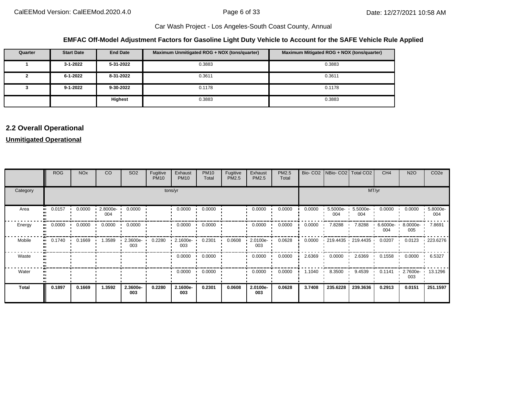#### **EMFAC Off-Model Adjustment Factors for Gasoline Light Duty Vehicle to Account for the SAFE Vehicle Rule Applied**

| Quarter  | <b>Start Date</b> | <b>End Date</b> | Maximum Unmitigated ROG + NOX (tons/quarter) | Maximum Mitigated ROG + NOX (tons/quarter) |
|----------|-------------------|-----------------|----------------------------------------------|--------------------------------------------|
|          | 3-1-2022          | 5-31-2022       | 0.3883                                       | 0.3883                                     |
| <u>.</u> | 6-1-2022          | 8-31-2022       | 0.3611                                       | 0.3611                                     |
|          | $9 - 1 - 2022$    | 9-30-2022       | 0.1178                                       | 0.1178                                     |
|          |                   | Highest         | 0.3883                                       | 0.3883                                     |

## **2.2 Overall Operational**

#### **Unmitigated Operational**

|              | ROG    | <b>NO<sub>x</sub></b> | CO              | SO <sub>2</sub> | Fugitive<br><b>PM10</b> | Exhaust<br><b>PM10</b> | <b>PM10</b><br>Total | Fugitive<br>PM2.5 | Exhaust<br>PM2.5 | PM2.5<br>Total |        | Bio- CO2   NBio- CO2   Total CO2 |                        | CH <sub>4</sub>    | <b>N2O</b>      | CO <sub>2e</sub> |
|--------------|--------|-----------------------|-----------------|-----------------|-------------------------|------------------------|----------------------|-------------------|------------------|----------------|--------|----------------------------------|------------------------|--------------------|-----------------|------------------|
| Category     |        |                       |                 |                 | tons/yr                 |                        |                      |                   | MT/yr            |                |        |                                  |                        |                    |                 |                  |
| Area         | 0.0157 | 0.0000                | 2.8000e-<br>004 | 0.0000          |                         | 0.0000                 | 0.0000               |                   | 0.0000           | 0.0000         | 0.0000 | 5.5000e-<br>004                  | 5.5000e-<br>004        | 0.0000             | 0.0000          | 5.8000e-<br>004  |
| Energy       | 0.0000 | 0.0000                | 0.0000          | 0.0000          |                         | 0.0000                 | 0.0000               |                   | 0.0000           | 0.0000         | 0.0000 | 7.8288                           | 7.8288                 | $6.6000e -$<br>004 | 8.0000e-<br>005 | 7.8691           |
| Mobile       | 0.1740 | 0.1669                | 1.3589          | 2.3600e-<br>003 | 0.2280                  | 2.1600e-<br>003        | 0.2301               | 0.0608            | 2.0100e-<br>003  | 0.0628         | 0.0000 |                                  | $-219.4435 - 219.4435$ | 0.0207             | 0.0123          | 223.6276         |
| Waste        |        |                       |                 |                 |                         | 0.0000                 | 0.0000               |                   | 0.0000           | 0.0000         | 2.6369 | 0.0000                           | 2.6369                 | 0.1558             | 0.0000          | 6.5327           |
| Water        |        |                       |                 |                 |                         | 0.0000                 | 0.0000               |                   | 0.0000           | 0.0000         | 1.1040 | 8.3500                           | 9.4539                 | 0.1141             | 2.7600e-<br>003 | 13.1296          |
| <b>Total</b> | 0.1897 | 0.1669                | 1.3592          | 2.3600e-<br>003 | 0.2280                  | 2.1600e-<br>003        | 0.2301               | 0.0608            | 2.0100e-<br>003  | 0.0628         | 3.7408 | 235.6228                         | 239.3636               | 0.2913             | 0.0151          | 251.1597         |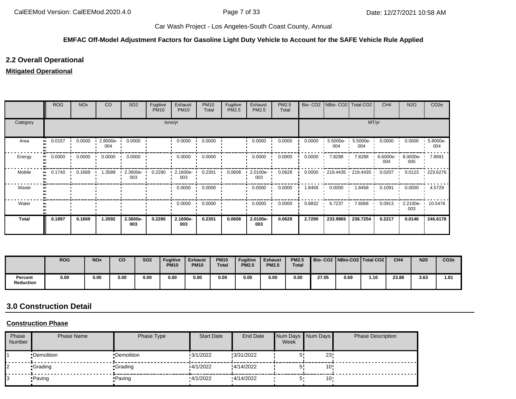#### **EMFAC Off-Model Adjustment Factors for Gasoline Light Duty Vehicle to Account for the SAFE Vehicle Rule Applied**

## **2.2 Overall Operational**

#### **Mitigated Operational**

|              | <b>ROG</b> | <b>NO<sub>x</sub></b> | CO                | SO <sub>2</sub> | Fugitive<br><b>PM10</b> | Exhaust<br><b>PM10</b> | <b>PM10</b><br>Total | Fugitive<br>PM2.5 | Exhaust<br>PM2.5  | PM2.5<br>Total |        | Bio- CO2   NBio- CO2   Total CO2 |                    | CH <sub>4</sub>   | <b>N2O</b>      | CO <sub>2e</sub> |  |  |
|--------------|------------|-----------------------|-------------------|-----------------|-------------------------|------------------------|----------------------|-------------------|-------------------|----------------|--------|----------------------------------|--------------------|-------------------|-----------------|------------------|--|--|
| Category     |            | tons/yr               |                   |                 |                         |                        |                      |                   |                   |                |        |                                  | MT/yr              |                   |                 |                  |  |  |
| Area         | 0.0157     | 0.0000                | $2.8000e-$<br>004 | 0.0000          |                         | 0.0000                 | 0.0000               |                   | 0.0000            | 0.0000         | 0.0000 | $5.5000e -$<br>004               | $5.5000e -$<br>004 | 0.0000            | 0.0000          | 5.8000e-<br>004  |  |  |
| Energy       | 0.0000     | 0.0000                | 0.0000            | 0.0000          |                         | 0.0000                 | 0.0000               |                   | 0.0000            | 0.0000         | 0.0000 | 7.8288                           | 7.8288             | $6.6000e-$<br>004 | 8.0000e-<br>005 | 7.8691           |  |  |
| Mobile       | 0.1740     | 0.1669                | .3589             | 2.3600e-<br>003 | 0.2280                  | 2.1600e-<br>003        | 0.2301               | 0.0608            | $2.0100e-$<br>003 | 0.0628         | 0.0000 | $-219.4435 - 219.4435$           |                    | 0.0207            | 0.0123          | 223.6276         |  |  |
| Waste        |            |                       |                   |                 |                         | 0.0000                 | 0.0000               |                   | 0.0000            | 0.0000         | 1.8458 | 0.0000                           | 1.8458             | 0.1091            | 0.0000          | 4.5729           |  |  |
| Water        |            |                       |                   |                 |                         | 0.0000                 | 0.0000               |                   | 0.0000            | 0.0000         | 0.8832 | 6.7237                           | 7.6068             | 0.0913            | 2.2100e-<br>003 | 10.5476          |  |  |
| <b>Total</b> | 0.1897     | 0.1669                | 1.3592            | 2.3600e-<br>003 | 0.2280                  | 2.1600e-<br>003        | 0.2301               | 0.0608            | 2.0100e-<br>003   | 0.0628         | 2.7290 | 233.9965                         | 236.7254           | 0.2217            | 0.0146          | 246.6178         |  |  |

|                             | <b>ROG</b> | <b>NO<sub>x</sub></b> | co   | <b>SO2</b> | <b>Fugitive</b><br><b>PM10</b> | <b>Exhaust</b><br><b>PM10</b> | <b>PM10</b><br><b>Total</b> | <b>Fugitive</b><br><b>PM2.5</b> | <b>Exhaust</b><br><b>PM2.5</b> | <b>PM2.5</b><br><b>Total</b> |       |      | Bio-CO2   NBio-CO2   Total CO2 | CH <sub>4</sub> | <b>N20</b> | CO <sub>2e</sub> |
|-----------------------------|------------|-----------------------|------|------------|--------------------------------|-------------------------------|-----------------------------|---------------------------------|--------------------------------|------------------------------|-------|------|--------------------------------|-----------------|------------|------------------|
| Percent<br><b>Reduction</b> | 0.00       | 0.00                  | 0.00 | 0.00       | 0.00                           | 0.00                          | 0.00                        | 0.00                            | 0.00                           | 0.00                         | 27.05 | 0.69 | 1.10                           | 23.88           | 3.63       | 1.81             |

## **3.0 Construction Detail**

#### **Construction Phase**

| Phase<br>Number | <b>Phase Name</b> | Phase Type  | <b>Start Date</b> | End Date  | Week           | Num Days Num Days | <b>Phase Description</b> |
|-----------------|-------------------|-------------|-------------------|-----------|----------------|-------------------|--------------------------|
|                 | •Demolition       | •Demolition | 13/1/2022         | 3/31/2022 |                | 23                |                          |
| 12              | •Grading          | •Grading    | 4/1/2022          | 4/14/2022 |                | 10                |                          |
|                 | • Paving          | •Paving     | 4/1/2022          | 4/14/2022 | <u>_</u><br>IJ | 10                |                          |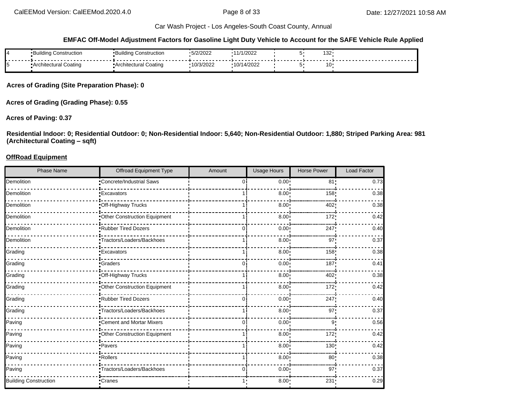#### **EMFAC Off-Model Adjustment Factors for Gasoline Light Duty Vehicle to Account for the SAFE Vehicle Rule Applied**

| 14 | Jdina L<br>Construction<br>·Dullullu | Buildina<br>Construction | 5/2/2022   | 11/1/2022             | 132 |  |
|----|--------------------------------------|--------------------------|------------|-----------------------|-----|--|
| 15 | Architectural Coating                | • Architectural Coating  | '10/3/2022 | 14/2022<br>.1011<br>v | 1∩  |  |

**Acres of Grading (Site Preparation Phase): 0**

**Acres of Grading (Grading Phase): 0.55**

#### **Acres of Paving: 0.37**

**Residential Indoor: 0; Residential Outdoor: 0; Non-Residential Indoor: 5,640; Non-Residential Outdoor: 1,880; Striped Parking Area: 981 (Architectural Coating – sqft)**

#### **OffRoad Equipment**

| <b>Phase Name</b>            | <b>Offroad Equipment Type</b> | Amount   | <b>Usage Hours</b> | <b>Horse Power</b> | Load Factor |
|------------------------------|-------------------------------|----------|--------------------|--------------------|-------------|
| Demolition                   | Concrete/Industrial Saws      | $\Omega$ | 0.00               | 81 <sub>1</sub>    | 0.73        |
| Demolition                   | <b>Excavators</b>             |          | 8.00               | 158                | 0.38        |
| Demolition                   | -Off-Highway Trucks           |          | 8.00               | 402                | 0.38        |
| Demolition                   | Other Construction Equipment  |          | 8.00               | 172'               | 0.42        |
| Demolition                   | Rubber Tired Dozers           | 0        | 0.00               | 247                | 0.40        |
| Demolition                   | Tractors/Loaders/Backhoes     |          | 8.00               | 97 <sub>1</sub>    | 0.37        |
| Grading                      | <b>Excavators</b>             |          | 8.00               | 158                | 0.38        |
| Grading                      | <b>Craders</b>                | $\Omega$ | 0.00               | 187                | 0.41        |
| Grading                      | Off-Highway Trucks            |          | 8.00               | 402                | 0.38        |
| Grading                      | Other Construction Equipment  |          | 8.00               | 172                | 0.42        |
| Grading                      | Rubber Tired Dozers           | $\Omega$ | 0.00               | 247                | 0.40        |
| Grading                      | Tractors/Loaders/Backhoes     |          | 8.00               | 97                 | 0.37        |
| Paving                       | Cement and Mortar Mixers      | $\Omega$ | 0.00               | 9 <sub>1</sub>     | 0.56        |
| Paving                       | Other Construction Equipment  |          | 8.00               | 172                | 0.42        |
| Paving                       | ·Pavers                       |          | 8.00               | 130                | 0.42        |
| Paving                       | -Rollers                      |          | 8.00               | 80 <sub>1</sub>    | 0.38        |
| Paving                       | Tractors/Loaders/Backhoes     | 0        | 0.00               | 97                 | 0.37        |
| <b>Building Construction</b> | -Cranes                       |          | 8.00:              | 231                | 0.29        |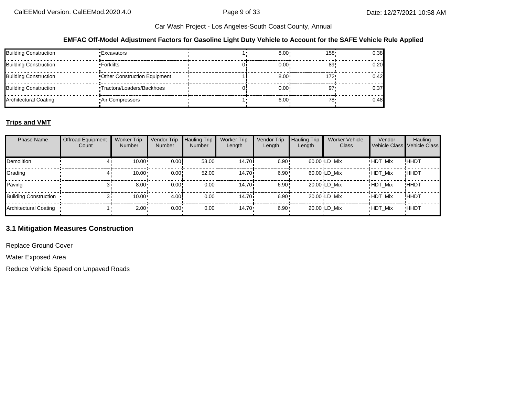#### **EMFAC Off-Model Adjustment Factors for Gasoline Light Duty Vehicle to Account for the SAFE Vehicle Rule Applied**

| <b>Building Construction</b> | •Excavators                   | $8.00 \cdot$      | 158 <sup>1</sup> | 0.38 |
|------------------------------|-------------------------------|-------------------|------------------|------|
| Building Construction        | ▪Forklifts ·                  | $0.00 \cdot$      | 89               | 0.20 |
| <b>Building Construction</b> | •Other Construction Equipment | $8.00 \cdot$      | 172'             | 0.42 |
| <b>Building Construction</b> | ■Tractors/Loaders/Backhoes    | 0.00 <sub>1</sub> |                  | 0.37 |
| Architectural Coating        | Air Compressors               | 6.00              | 78               | 0.48 |

## **Trips and VMT**

| <b>Phase Name</b>            | <b>Offroad Equipment</b><br>Count | <b>Worker Trip</b><br><b>Number</b> | Vendor Trip<br><b>Number</b> | <b>Hauling Trip</b><br><b>Number</b> | <b>Worker Trip</b><br>Length | Vendor Trip<br>Length | Hauling Trip<br>Length | <b>Worker Vehicle</b><br>Class | Vendor         | Hauling<br>  Vehicle Class ∎Vehicle Class I |
|------------------------------|-----------------------------------|-------------------------------------|------------------------------|--------------------------------------|------------------------------|-----------------------|------------------------|--------------------------------|----------------|---------------------------------------------|
| Demolition                   |                                   | $10.00 \cdot$                       | 0.00!                        | $53.00 -$                            | 14.70 <sup>i</sup>           | 6.90:                 |                        | $60.00 \cdot LD$ Mix           | <b>HDT Mix</b> | !HHDT                                       |
| Grading                      |                                   | 10.00                               | 0.00!                        | 52.00                                | 14.70i                       | 6.90:                 |                        | $60.00 \cdot LD$ Mix           | <b>HDT Mix</b> | !HHDT                                       |
| Paving                       |                                   | 8.00                                | 0.00!                        | $0.00 \cdot$                         | 14.70 <sup>i</sup>           | 6.90:                 |                        | $20.00 \cdot LD$ Mix           | <b>HDT Mix</b> | !HHDT                                       |
| <b>Building Construction</b> |                                   | 10.00                               | 4.00                         | $0.00 -$                             | 14.70 <sup>i</sup>           | 6.90:                 |                        | $20.00 \cdot LD$ Mix           | <b>HDT Mix</b> | !ННDТ                                       |
| Architectural Coating        |                                   | 2.00                                | 0.00                         | 0.00 <sub>1</sub>                    | $14.70 \cdot$                | $6.90 -$              |                        | 20.00 LD Mix                   | <b>HDT Mix</b> | <b>HHDT</b>                                 |

#### **3.1 Mitigation Measures Construction**

Replace Ground Cover

Water Exposed Area

Reduce Vehicle Speed on Unpaved Roads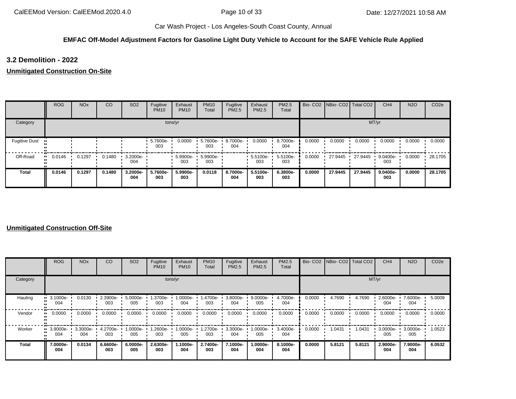#### **EMFAC Off-Model Adjustment Factors for Gasoline Light Duty Vehicle to Account for the SAFE Vehicle Rule Applied**

**3.2 Demolition - 2022**

**Unmitigated Construction On-Site**

|                      | <b>ROG</b> | <b>NO<sub>x</sub></b> | <sub>CO</sub> | SO <sub>2</sub>                 | Fugitive<br><b>PM10</b> | Exhaust<br><b>PM10</b> | <b>PM10</b><br>Total | Fugitive<br>PM2.5 | Exhaust<br><b>PM2.5</b> | PM2.5<br>Total  |        | Bio- CO2   NBio- CO2   Total CO2 |         | CH <sub>4</sub> | <b>N2O</b> | CO <sub>2e</sub> |
|----------------------|------------|-----------------------|---------------|---------------------------------|-------------------------|------------------------|----------------------|-------------------|-------------------------|-----------------|--------|----------------------------------|---------|-----------------|------------|------------------|
| Category             |            |                       |               |                                 |                         | tons/yr                |                      |                   |                         |                 |        |                                  |         | MT/yr           |            |                  |
| <b>Fugitive Dust</b> |            |                       |               |                                 | 5.7600e-<br>003         | 0.0000                 | 5.7600e-<br>003      | 8.7000e-<br>004   | 0.0000                  | 8.7000e-<br>004 | 0.0000 | 0.0000                           | 0.0000  | 0.0000          | 0.0000     | 0.0000           |
| Off-Road             | 0.0146     | 0.1297                | 0.1480        | $\cdot$ 3.2000e- $\cdot$<br>004 |                         | 5.9900e-<br>003        | 5.9900e-<br>003      |                   | $\cdot$ 5.5100e-<br>003 | 5.5100e-<br>003 | 0.0000 | 27.9445                          | 27.9445 | 9.0400e-<br>003 | 0.0000     | 28.1705          |
| <b>Total</b>         | 0.0146     | 0.1297                | 0.1480        | 3.2000e-<br>004                 | 5.7600e-<br>003         | 5.9900e-<br>003        | 0.0118               | 8.7000e-<br>004   | 5.5100e-<br>003         | 6.3800e-<br>003 | 0.0000 | 27.9445                          | 27.9445 | 9.0400e-<br>003 | 0.0000     | 28.1705          |

#### **Unmitigated Construction Off-Site**

|          | <b>ROG</b>                     | <b>NO<sub>x</sub></b> | CO              | SO <sub>2</sub> | Fugitive<br><b>PM10</b> | Exhaust<br><b>PM10</b> | <b>PM10</b><br>Total | Fugitive<br><b>PM2.5</b> | Exhaust<br>PM2.5  | <b>PM2.5</b><br>Total |        | Bio- CO2 NBio- CO2 Total CO2 |        | CH <sub>4</sub> | <b>N2O</b>      | CO <sub>2e</sub> |
|----------|--------------------------------|-----------------------|-----------------|-----------------|-------------------------|------------------------|----------------------|--------------------------|-------------------|-----------------------|--------|------------------------------|--------|-----------------|-----------------|------------------|
| Category |                                |                       |                 |                 |                         | tons/yr                |                      |                          |                   |                       |        | MT/yr                        |        |                 |                 |                  |
| Hauling  | $\blacksquare$ 3.1000e-<br>004 | 0.0130                | 2.3900e-<br>003 | 5.0000e-<br>005 | 1.3700e-<br>003         | 1.0000e-<br>004        | 1.4700e-<br>003      | 3.8000e-<br>004          | 9.0000e-<br>005   | 4.7000e-<br>004       | 0.0000 | 4.7690                       | 4.7690 | 2.6000e-<br>004 | 7.6000e-<br>004 | 5.0009           |
| Vendor   | $\blacksquare$ 0.0000          | 0.0000                | 0.0000          | 0.0000          | 0.0000                  | 0.0000                 | 0.0000               | 0.0000                   | 0.0000            | 0.0000                | 0.0000 | 0.0000                       | 0.0000 | 0.0000          | 0.0000          | 0.0000           |
| Worker   | $\blacksquare$ 3.9000e-<br>004 | 3.3000e-<br>004       | 4.2700e-<br>003 | 1.0000e-<br>005 | -2600e-<br>003          | 1.0000e-<br>005        | 1.2700e-<br>003      | 3.3000e-<br>004          | --0000e- I<br>005 | 3.4000e-<br>004       | 0.0000 | 1.0431                       | 1.0431 | 3.0000e-<br>005 | 3.0000e-<br>005 | 1.0523           |
| Total    | 7.0000e-<br>004                | 0.0134                | 6.6600e-<br>003 | 6.0000e-<br>005 | 2.6300e-<br>003         | 1.1000e-<br>004        | 2.7400e-<br>003      | 7.1000e-<br>004          | 1.0000e-<br>004   | 8.1000e-<br>004       | 0.0000 | 5.8121                       | 5.8121 | 2.9000e-<br>004 | 7.9000e-<br>004 | 6.0532           |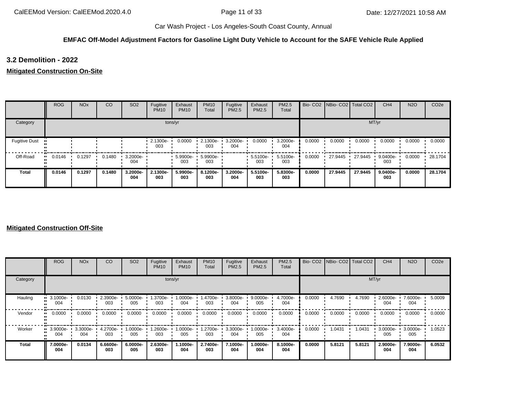#### **EMFAC Off-Model Adjustment Factors for Gasoline Light Duty Vehicle to Account for the SAFE Vehicle Rule Applied**

**3.2 Demolition - 2022**

**Mitigated Construction On-Site**

|                      | <b>ROG</b> | <b>NO<sub>x</sub></b> | CO     | SO <sub>2</sub>         | Fugitive<br><b>PM10</b> | Exhaust<br><b>PM10</b> | <b>PM10</b><br>Total | Fugitive<br>PM2.5 | Exhaust<br><b>PM2.5</b> | PM2.5<br>Total  |        | Bio- CO2 NBio- CO2 Total CO2 |         | CH <sub>4</sub> | <b>N2O</b> | CO <sub>2e</sub> |
|----------------------|------------|-----------------------|--------|-------------------------|-------------------------|------------------------|----------------------|-------------------|-------------------------|-----------------|--------|------------------------------|---------|-----------------|------------|------------------|
| Category             |            |                       |        |                         |                         | tons/yr                |                      |                   |                         |                 |        |                              | MT/yr   |                 |            |                  |
| <b>Fugitive Dust</b> |            |                       |        |                         | 2.1300e-<br>003         | 0.0000                 | 2.1300e-<br>003      | 3.2000e-<br>004   | 0.0000                  | 3.2000e-<br>004 | 0.0000 | 0.0000                       | 0.0000  | 0.0000          | 0.0000     | 0.0000           |
| Off-Road             | 0.0146     | 0.1297                | 0.1480 | $\cdot$ 3.2000e-<br>004 |                         | 5.9900e-<br>003        | 5.9900e-<br>003      |                   | 5.5100e-<br>003         | 5.5100e-<br>003 | 0.0000 | 27.9445                      | 27.9445 | 9.0400e-<br>003 | 0.0000     | 28.1704          |
| <b>Total</b>         | 0.0146     | 0.1297                | 0.1480 | 3.2000e-<br>004         | 2.1300e-<br>003         | 5.9900e-<br>003        | 8.1200e-<br>003      | 3.2000e-<br>004   | 5.5100e-<br>003         | 5.8300e-<br>003 | 0.0000 | 27.9445                      | 27.9445 | 9.0400e-<br>003 | 0.0000     | 28.1704          |

#### **Mitigated Construction Off-Site**

|          | <b>ROG</b>                     | <b>NO<sub>x</sub></b> | CO              | SO <sub>2</sub>    | Fugitive<br><b>PM10</b> | Exhaust<br><b>PM10</b> | <b>PM10</b><br>Total | Fugitive<br><b>PM2.5</b> | Exhaust<br>PM2.5  | <b>PM2.5</b><br>Total |        | Bio- CO2 NBio- CO2 Total CO2 |        | CH <sub>4</sub>    | <b>N2O</b>      | CO <sub>2e</sub> |
|----------|--------------------------------|-----------------------|-----------------|--------------------|-------------------------|------------------------|----------------------|--------------------------|-------------------|-----------------------|--------|------------------------------|--------|--------------------|-----------------|------------------|
| Category |                                |                       |                 |                    |                         | tons/yr                |                      |                          |                   |                       |        |                              | MT/yr  |                    |                 |                  |
| Hauling  | $\blacksquare$ 3.1000e-<br>004 | 0.0130                | 2.3900e-<br>003 | $5.0000e -$<br>005 | 1.3700e-<br>003         | 1.0000e-<br>004        | 1.4700e-<br>003      | 3.8000e-<br>004          | 9.0000e-<br>005   | 4.7000e-<br>004       | 0.0000 | 4.7690                       | 4.7690 | 2.6000e-<br>004    | 7.6000e-<br>004 | 5.0009           |
| Vendor   | $\blacksquare$ 0.0000          | 0.0000                | 0.0000          | 0.0000             | 0.0000                  | 0.0000                 | 0.0000               | 0.0000                   | 0.0000            | 0.0000                | 0.0000 | 0.0000                       | 0.0000 | 0.0000             | 0.0000          | 0.0000           |
| Worker   | $\blacksquare$ 3.9000e-<br>004 | 3.3000e-<br>004       | 4.2700e-<br>003 | 1.0000e-<br>005    | -2600e-<br>003          | 1.0000e-<br>005        | 1.2700e-<br>003      | 3.3000e-<br>004          | --0000e-1.<br>005 | 3.4000e-<br>004       | 0.0000 | 1.0431                       | 1.0431 | $3.0000e -$<br>005 | 3.0000e-<br>005 | 1.0523           |
| Total    | 7.0000e-<br>004                | 0.0134                | 6.6600e-<br>003 | 6.0000e-<br>005    | 2.6300e-<br>003         | 1.1000e-<br>004        | 2.7400e-<br>003      | 7.1000e-<br>004          | 1.0000e-<br>004   | 8.1000e-<br>004       | 0.0000 | 5.8121                       | 5.8121 | 2.9000e-<br>004    | 7.9000e-<br>004 | 6.0532           |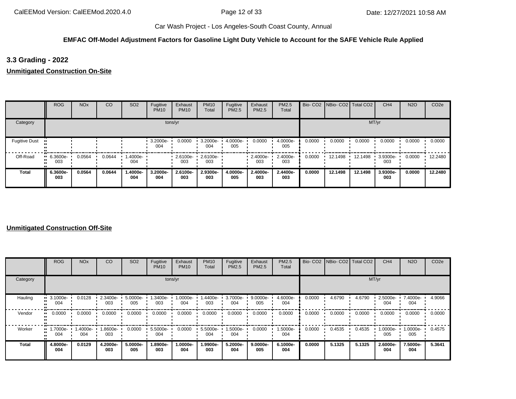#### **EMFAC Off-Model Adjustment Factors for Gasoline Light Duty Vehicle to Account for the SAFE Vehicle Rule Applied**

**3.3 Grading - 2022**

**Unmitigated Construction On-Site**

|                      | <b>ROG</b>         | <b>NO<sub>x</sub></b> | CO     | SO <sub>2</sub>   | Fugitive<br><b>PM10</b> | Exhaust<br><b>PM10</b>   | <b>PM10</b><br>Total | Fugitive<br>PM2.5 | Exhaust<br>PM2.5 | PM2.5<br>Total  |        | Bio- CO2   NBio- CO2   Total CO2 |         | CH <sub>4</sub> | <b>N2O</b> | CO <sub>2e</sub> |
|----------------------|--------------------|-----------------------|--------|-------------------|-------------------------|--------------------------|----------------------|-------------------|------------------|-----------------|--------|----------------------------------|---------|-----------------|------------|------------------|
| Category             |                    |                       |        |                   |                         | tons/yr                  |                      |                   |                  |                 |        |                                  |         | MT/yr           |            |                  |
| <b>Fugitive Dust</b> |                    |                       |        |                   | 3.2000e-<br>004         | 0.0000                   | 3.2000e-<br>004      | 4.0000e-<br>005   | 0.0000           | 4.0000e-<br>005 | 0.0000 | 0.0000                           | 0.0000  | 0.0000          | 0.0000     | 0.0000           |
| Off-Road             | $-6.3600e-$<br>003 | 0.0564                | 0.0644 | $.4000e -$<br>004 |                         | 2.6100e- 2.6100e-<br>003 | 003                  |                   | 2.4000e-<br>003  | 2.4000e-<br>003 | 0.0000 | 12.1498                          | 12.1498 | 3.9300e-<br>003 | 0.0000     | 12.2480          |
| Total                | 6.3600e-<br>003    | 0.0564                | 0.0644 | 1.4000e-<br>004   | 3.2000e-<br>004         | 2.6100e-<br>003          | 2.9300e-<br>003      | 4.0000e-<br>005   | 2.4000e-<br>003  | 2.4400e-<br>003 | 0.0000 | 12.1498                          | 12.1498 | 3.9300e-<br>003 | 0.0000     | 12.2480          |

#### **Unmitigated Construction Off-Site**

|          | <b>ROG</b>                     | <b>NO<sub>x</sub></b> | CO              | SO <sub>2</sub> | Fugitive<br><b>PM10</b> | Exhaust<br><b>PM10</b> | <b>PM10</b><br>Total | Fugitive<br><b>PM2.5</b> | Exhaust<br>PM2.5 | <b>PM2.5</b><br>Total |        | Bio- CO2   NBio- CO2   Total CO2 |        | CH <sub>4</sub> | <b>N2O</b>         | CO <sub>2e</sub> |
|----------|--------------------------------|-----------------------|-----------------|-----------------|-------------------------|------------------------|----------------------|--------------------------|------------------|-----------------------|--------|----------------------------------|--------|-----------------|--------------------|------------------|
| Category |                                |                       |                 |                 |                         | tons/yr                |                      |                          |                  |                       |        |                                  | MT/yr  |                 |                    |                  |
| Hauling  | $\blacksquare$ 3.1000e-<br>004 | 0.0128                | 2.3400e-<br>003 | 5.0000e-<br>005 | 1.3400e-<br>003         | 1.0000e-<br>004        | -4400e.<br>003       | 3.7000e-<br>004          | 9.0000e-<br>005  | 4.6000e-<br>004       | 0.0000 | 4.6790                           | 4.6790 | 2.5000e-<br>004 | 7.4000e-<br>004    | 4.9066           |
| Vendor   | $\blacksquare$ 0.0000          | 0.0000                | 0.0000          | 0.0000          | 0.0000                  | 0.0000                 | 0.0000               | 0.0000                   | 0.0000           | 0.0000                | 0.0000 | 0.0000                           | 0.0000 | 0.0000          | 0.0000             | 0.0000           |
| Worker   | $\blacksquare$ 1.7000e-<br>004 | 1.4000e-<br>004       | .8600e-<br>003  | 0.0000          | 5.5000e-<br>004         | 0.0000                 | 5.5000e-<br>004      | 1.5000e-<br>004          | 0.0000           | 1.5000e-<br>004       | 0.0000 | 0.4535                           | 0.4535 | 1.0000e-<br>005 | $1.0000e -$<br>005 | 0.4575           |
| Total    | 4.8000e-<br>004                | 0.0129                | 4.2000e-<br>003 | 5.0000e-<br>005 | -.8900e<br>003          | 1.0000e-<br>004        | 1.9900e-<br>003      | 5.2000e-<br>004          | 9.0000e-<br>005  | 6.1000e-<br>004       | 0.0000 | 5.1325                           | 5.1325 | 2.6000e-<br>004 | 7.5000e-<br>004    | 5.3641           |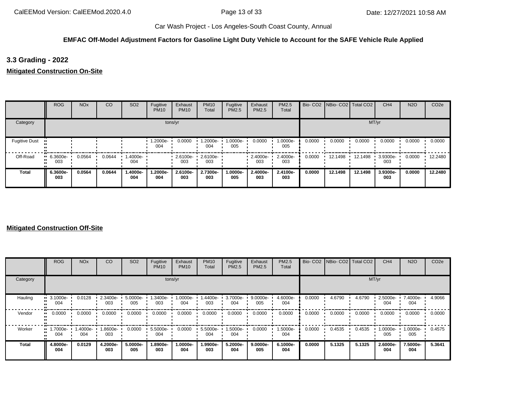#### **EMFAC Off-Model Adjustment Factors for Gasoline Light Duty Vehicle to Account for the SAFE Vehicle Rule Applied**

**3.3 Grading - 2022**

**Mitigated Construction On-Site**

|                      | <b>ROG</b>             | <b>NO<sub>x</sub></b> | CO     | SO <sub>2</sub> | Fugitive<br><b>PM10</b> | Exhaust<br><b>PM10</b> | <b>PM10</b><br>Total | Fugitive<br>PM2.5 | Exhaust<br>PM2.5        | PM2.5<br>Total  |        | Bio- CO2 NBio- CO2 Total CO2 |         | CH <sub>4</sub> | <b>N2O</b> | CO <sub>2e</sub> |
|----------------------|------------------------|-----------------------|--------|-----------------|-------------------------|------------------------|----------------------|-------------------|-------------------------|-----------------|--------|------------------------------|---------|-----------------|------------|------------------|
| Category             |                        |                       |        |                 |                         | tons/yr                |                      |                   |                         |                 |        |                              |         | MT/yr           |            |                  |
| <b>Fugitive Dust</b> |                        |                       |        |                 | .2000e-<br>004          | 0.0000                 | 1.2000e-<br>004      | 1.0000e-<br>005   | 0.0000                  | 1.0000e-<br>005 | 0.0000 | 0.0000                       | 0.0000  | 0.0000          | 0.0000     | 0.0000           |
| Off-Road             | $-6.3600e-$<br><br>003 | 0.0564                | 0.0644 | 1.4000e-<br>004 |                         | 2.6100e-<br>003        | 2.6100e-<br>003      |                   | $\cdot$ 2.4000e-<br>003 | 2.4000e-<br>003 | 0.0000 | 12.1498                      | 12.1498 | 3.9300e-<br>003 | 0.0000     | 12.2480          |
| <b>Total</b>         | 6.3600e-<br>003        | 0.0564                | 0.0644 | -.4000e<br>004  | 1.2000e-<br>004         | 2.6100e-<br>003        | 2.7300e-<br>003      | 1.0000e-<br>005   | 2.4000e-<br>003         | 2.4100e-<br>003 | 0.0000 | 12.1498                      | 12.1498 | 3.9300e-<br>003 | 0.0000     | 12.2480          |

#### **Mitigated Construction Off-Site**

|          | ROG                            | <b>NO<sub>x</sub></b> | CO              | SO <sub>2</sub> | Fugitive<br><b>PM10</b> | Exhaust<br><b>PM10</b> | <b>PM10</b><br><b>Total</b> | Fugitive<br><b>PM2.5</b> | Exhaust<br>PM2.5 | <b>PM2.5</b><br>Total |        | Bio- CO2 NBio- CO2 Total CO2 |        | CH <sub>4</sub> | <b>N2O</b>         | CO <sub>2e</sub> |
|----------|--------------------------------|-----------------------|-----------------|-----------------|-------------------------|------------------------|-----------------------------|--------------------------|------------------|-----------------------|--------|------------------------------|--------|-----------------|--------------------|------------------|
| Category |                                |                       |                 |                 |                         | tons/yr                |                             |                          |                  |                       |        |                              | MT/yr  |                 |                    |                  |
| Hauling  | $\blacksquare$ 3.1000e-<br>004 | 0.0128                | 2.3400e-<br>003 | 5.0000e-<br>005 | 1.3400e-<br>003         | 1.0000e-<br>004        | .4400e-<br>003              | 3.7000e-<br>004          | 9.0000e-<br>005  | 4.6000e-<br>004       | 0.0000 | 4.6790                       | 4.6790 | 2.5000e-<br>004 | 7.4000e-<br>004    | 4.9066           |
| Vendor   | $\blacksquare$ 0.0000          | 0.0000                | 0.0000          | 0.0000          | 0.0000                  | 0.0000                 | 0.0000                      | 0.0000                   | 0.0000           | 0.0000                | 0.0000 | 0.0000                       | 0.0000 | 0.0000          | 0.0000             | 0.0000           |
| Worker   | $\blacksquare$ 1.7000e-<br>004 | 1.4000e-<br>004       | .8600e-<br>003  | 0.0000          | 5.5000e-<br>004         | 0.0000                 | 5.5000e-<br>004             | 1.5000e-<br>004          | 0.0000           | 1.5000e-<br>004       | 0.0000 | 0.4535                       | 0.4535 | 1.0000e-<br>005 | $1.0000e -$<br>005 | 0.4575           |
| Total    | 4.8000e-<br>004                | 0.0129                | 4.2000e-<br>003 | 5.0000e-<br>005 | .8900e-<br>003          | 1.0000e-<br>004        | 1.9900e-<br>003             | 5.2000e-<br>004          | 9.0000e-<br>005  | 6.1000e-<br>004       | 0.0000 | 5.1325                       | 5.1325 | 2.6000e-<br>004 | 7.5000e-<br>004    | 5.3641           |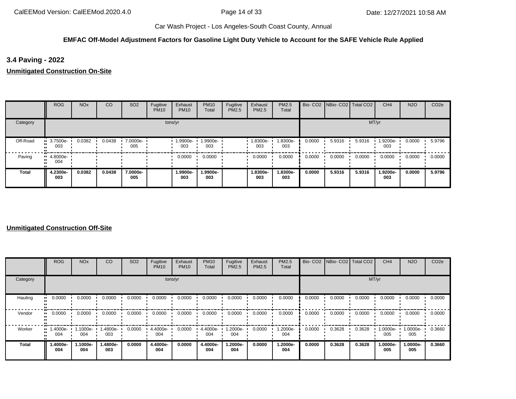#### **EMFAC Off-Model Adjustment Factors for Gasoline Light Duty Vehicle to Account for the SAFE Vehicle Rule Applied**

**3.4 Paving - 2022**

**Unmitigated Construction On-Site**

|          | <b>ROG</b>                     | <b>NO<sub>x</sub></b> | CO     | <b>SO2</b>      | Fugitive<br><b>PM10</b> | Exhaust<br><b>PM10</b> | <b>PM10</b><br>Total | Fugitive<br>PM2.5 | Exhaust<br><b>PM2.5</b> | PM2.5<br>Total  |        | Bio- CO2   NBio- CO2   Total CO2 |        | CH <sub>4</sub> | <b>N2O</b> | CO <sub>2e</sub> |
|----------|--------------------------------|-----------------------|--------|-----------------|-------------------------|------------------------|----------------------|-------------------|-------------------------|-----------------|--------|----------------------------------|--------|-----------------|------------|------------------|
| Category |                                |                       |        |                 | tons/yr                 |                        |                      |                   |                         |                 |        |                                  |        | MT/yr           |            |                  |
| Off-Road | $\blacksquare$ 3.7500e-<br>003 | 0.0382                | 0.0438 | 7.0000e-<br>005 |                         | 1.9900e-<br>003        | 1.9900e-<br>003      |                   | 1.8300e-<br>003         | 1.8300e-<br>003 | 0.0000 | 5.9316                           | 5.9316 | 1.9200e-<br>003 | 0.0000     | 5.9796           |
| Paving   | $\blacksquare$ 4.8000e-<br>004 |                       |        |                 |                         | 0.0000                 | 0.0000               |                   | 0.0000                  | 0.0000          | 0.0000 | 0.0000                           | 0.0000 | 0.0000          | 0.0000     | 0.0000           |
| Total    | 4.2300e-<br>003                | 0.0382                | 0.0438 | 7.0000e-<br>005 |                         | 1.9900e-<br>003        | 1.9900e-<br>003      |                   | 1.8300e-<br>003         | 1.8300e-<br>003 | 0.0000 | 5.9316                           | 5.9316 | 1.9200e-<br>003 | 0.0000     | 5.9796           |

#### **Unmitigated Construction Off-Site**

|          | <b>ROG</b>                     | <b>NO<sub>x</sub></b> | CO              | SO <sub>2</sub> | Fugitive<br><b>PM10</b> | Exhaust<br><b>PM10</b> | <b>PM10</b><br>Total | Fugitive<br>PM2.5 | Exhaust<br>PM2.5 | <b>PM2.5</b><br>Total |        | Bio- CO2 NBio- CO2 Total CO2 |        | CH <sub>4</sub> | <b>N2O</b>      | CO <sub>2e</sub> |
|----------|--------------------------------|-----------------------|-----------------|-----------------|-------------------------|------------------------|----------------------|-------------------|------------------|-----------------------|--------|------------------------------|--------|-----------------|-----------------|------------------|
| Category |                                |                       |                 |                 |                         | tons/yr                |                      |                   |                  |                       |        |                              | MT/yr  |                 |                 |                  |
| Hauling  | $\blacksquare$ 0.0000          | 0.0000                | 0.0000          | 0.0000          | 0.0000                  | 0.0000                 | 0.0000               | 0.0000            | 0.0000           | 0.0000                | 0.0000 | 0.0000                       | 0.0000 | 0.0000          | 0.0000          | 0.0000           |
| Vendor   | $\blacksquare$ 0.0000          | 0.0000                | 0.0000          | 0.0000          | 0.0000                  | 0.0000                 | 0.0000               | 0.0000            | 0.0000           | 0.0000                | 0.0000 | 0.0000                       | 0.0000 | 0.0000          | 0.0000          | 0.0000           |
| Worker   | $\blacksquare$ 1.4000e-<br>004 | $1.1000e -$<br>004    | .4800e-<br>003  | 0.0000          | 4.4000e-<br>004         | 0.0000                 | 4.4000e-<br>004      | 1.2000e-<br>004   | 0.0000           | 1.2000e-<br>004       | 0.0000 | 0.3628                       | 0.3628 | 1.0000e-<br>005 | 1.0000e-<br>005 | 0.3660           |
| Total    | 1.4000e-<br>004                | 1.1000e-<br>004       | 1.4800e-<br>003 | 0.0000          | 4.4000e-<br>004         | 0.0000                 | 4.4000e-<br>004      | -2000e.<br>004    | 0.0000           | 1.2000e-<br>004       | 0.0000 | 0.3628                       | 0.3628 | 1.0000e-<br>005 | 1.0000e-<br>005 | 0.3660           |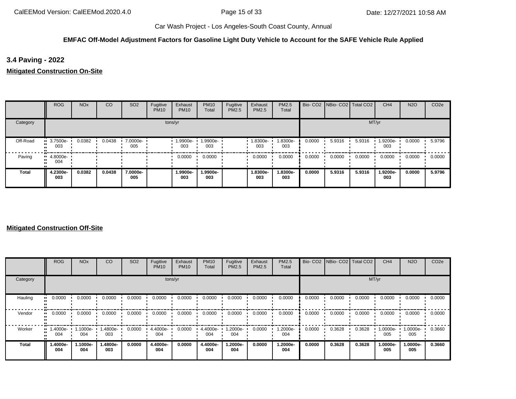#### **EMFAC Off-Model Adjustment Factors for Gasoline Light Duty Vehicle to Account for the SAFE Vehicle Rule Applied**

**3.4 Paving - 2022**

**Mitigated Construction On-Site**

|              | <b>ROG</b>              | <b>NO<sub>x</sub></b> | CO     | SO <sub>2</sub> | Fugitive<br><b>PM10</b> | Exhaust<br><b>PM10</b> | <b>PM10</b><br>Total | Fugitive<br>PM2.5 | Exhaust<br>PM2.5 | PM2.5<br>Total  |        | Bio- CO2   NBio- CO2   Total CO2 |        | CH <sub>4</sub> | <b>N2O</b> | CO <sub>2e</sub> |
|--------------|-------------------------|-----------------------|--------|-----------------|-------------------------|------------------------|----------------------|-------------------|------------------|-----------------|--------|----------------------------------|--------|-----------------|------------|------------------|
| Category     |                         |                       |        |                 | tons/yr                 |                        |                      |                   |                  |                 |        |                                  | MT/yr  |                 |            |                  |
| Off-Road     | $\cdot$ 3.7500e-<br>003 | 0.0382                | 0.0438 | 7.0000e-<br>005 |                         | 1.9900e-<br>003        | -9900e-<br>003       |                   | 1.8300e-<br>003  | 1.8300e-<br>003 | 0.0000 | 5.9316                           | 5.9316 | 1.9200e-<br>003 | 0.0000     | 5.9796           |
| Paving       | $-4.8000e-$<br>004      |                       |        |                 |                         | 0.0000                 | 0.0000               |                   | 0.0000           | 0.0000          | 0.0000 | 0.0000                           | 0.0000 | 0.0000          | 0.0000     | 0.0000           |
| <b>Total</b> | 4.2300e-<br>003         | 0.0382                | 0.0438 | 7.0000e-<br>005 |                         | 1.9900e-<br>003        | 1.9900e-<br>003      |                   | 1.8300e-<br>003  | 1.8300e-<br>003 | 0.0000 | 5.9316                           | 5.9316 | 1.9200e-<br>003 | 0.0000     | 5.9796           |

#### **Mitigated Construction Off-Site**

|          | <b>ROG</b>                     | <b>NO<sub>x</sub></b> | CO              | SO <sub>2</sub> | Fugitive<br><b>PM10</b> | Exhaust<br><b>PM10</b> | <b>PM10</b><br>Total | Fugitive<br>PM2.5 | Exhaust<br>PM2.5 | <b>PM2.5</b><br>Total |        | Bio- CO2 NBio- CO2 Total CO2 |        | CH <sub>4</sub> | <b>N2O</b>      | CO <sub>2e</sub> |
|----------|--------------------------------|-----------------------|-----------------|-----------------|-------------------------|------------------------|----------------------|-------------------|------------------|-----------------------|--------|------------------------------|--------|-----------------|-----------------|------------------|
| Category |                                |                       |                 |                 |                         | tons/yr                |                      |                   |                  |                       |        |                              | MT/yr  |                 |                 |                  |
| Hauling  | $\blacksquare$ 0.0000          | 0.0000                | 0.0000          | 0.0000          | 0.0000                  | 0.0000                 | 0.0000               | 0.0000            | 0.0000           | 0.0000                | 0.0000 | 0.0000                       | 0.0000 | 0.0000          | 0.0000          | 0.0000           |
| Vendor   | $\blacksquare$ 0.0000          | 0.0000                | 0.0000          | 0.0000          | 0.0000                  | 0.0000                 | 0.0000               | 0.0000            | 0.0000           | 0.0000                | 0.0000 | 0.0000                       | 0.0000 | 0.0000          | 0.0000          | 0.0000           |
| Worker   | $\blacksquare$ 1.4000e-<br>004 | $1.1000e -$<br>004    | .4800e-<br>003  | 0.0000          | 4.4000e-<br>004         | 0.0000                 | 4.4000e-<br>004      | 1.2000e-<br>004   | 0.0000           | 1.2000e-<br>004       | 0.0000 | 0.3628                       | 0.3628 | 1.0000e-<br>005 | 1.0000e-<br>005 | 0.3660           |
| Total    | 1.4000e-<br>004                | 1.1000e-<br>004       | 1.4800e-<br>003 | 0.0000          | 4.4000e-<br>004         | 0.0000                 | 4.4000e-<br>004      | -2000e.<br>004    | 0.0000           | 1.2000e-<br>004       | 0.0000 | 0.3628                       | 0.3628 | 1.0000e-<br>005 | 1.0000e-<br>005 | 0.3660           |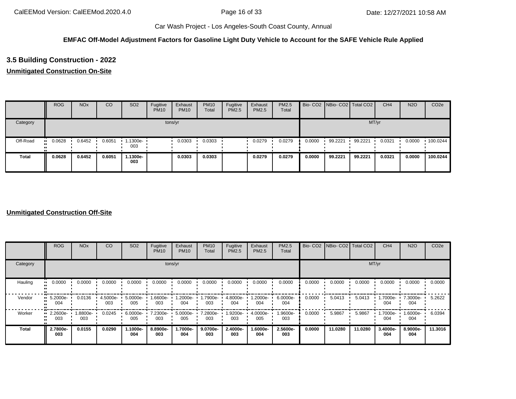#### **EMFAC Off-Model Adjustment Factors for Gasoline Light Duty Vehicle to Account for the SAFE Vehicle Rule Applied**

## **3.5 Building Construction - 2022**

## **Unmitigated Construction On-Site**

|              | <b>ROG</b> | <b>NO<sub>x</sub></b> | CO     | SO <sub>2</sub> | Fugitive<br><b>PM10</b> | Exhaust<br><b>PM10</b> | <b>PM10</b><br>Total | Fugitive<br>PM2.5 | Exhaust<br>PM2.5 | <b>PM2.5</b><br>Total |        | Bio- CO2 NBio- CO2 Total CO2 |         | CH <sub>4</sub> | <b>N2O</b> | CO <sub>2e</sub> |
|--------------|------------|-----------------------|--------|-----------------|-------------------------|------------------------|----------------------|-------------------|------------------|-----------------------|--------|------------------------------|---------|-----------------|------------|------------------|
| Category     |            |                       |        |                 |                         | tons/yr                |                      |                   |                  |                       |        |                              | MT/yr   |                 |            |                  |
| Off-Road     | 0.0628     | 0.6452                | 0.6051 | 1.1300e-<br>003 |                         | 0.0303                 | 0.0303               |                   | 0.0279           | 0.0279                | 0.0000 | 99.2221                      | 99.2221 | 0.0321          | 0.0000     | 100.0244         |
| <b>Total</b> | 0.0628     | 0.6452                | 0.6051 | 1.1300e-<br>003 |                         | 0.0303                 | 0.0303               |                   | 0.0279           | 0.0279                | 0.0000 | 99.2221                      | 99.2221 | 0.0321          | 0.0000     | 100.0244         |

#### **Unmitigated Construction Off-Site**

|              | <b>ROG</b>               | <b>NO<sub>x</sub></b> | CO                 | SO <sub>2</sub> | Fugitive<br><b>PM10</b> | Exhaust<br><b>PM10</b> | <b>PM10</b><br>Total | Fugitive<br>PM2.5 | Exhaust<br>PM2.5 | PM2.5<br>Total  |        | Bio- CO2   NBio- CO2   Total CO2 |         | CH <sub>4</sub> | <b>N2O</b>      | CO <sub>2e</sub> |
|--------------|--------------------------|-----------------------|--------------------|-----------------|-------------------------|------------------------|----------------------|-------------------|------------------|-----------------|--------|----------------------------------|---------|-----------------|-----------------|------------------|
| Category     |                          |                       |                    |                 | tons/yr                 |                        |                      |                   |                  |                 |        |                                  | MT/yr   |                 |                 |                  |
| Hauling      | 0.0000<br>$\blacksquare$ | 0.0000                | 0.0000             | 0.0000          | 0.0000                  | 0.0000                 | 0.0000               | 0.0000            | 0.0000           | 0.0000          | 0.0000 | 0.0000                           | 0.0000  | 0.0000          | 0.0000          | 0.0000           |
| Vendor       | 5.2000e-<br>004          | 0.0136                | $4.5000e -$<br>003 | 5.0000e-<br>005 | 1.6600e-<br>003         | 1.2000e-<br>004        | 1.7900e-<br>003      | 4.8000e-<br>004   | .2000e-<br>004   | 6.0000e-<br>004 | 0.0000 | 5.0413                           | 5.0413  | 1.7000e-<br>004 | 7.3000e-<br>004 | 5.2622           |
| Worker       | 2.2600e-<br>003          | 1.8800e-<br>003       | 0.0245             | 6.0000e-<br>005 | 7.2300e-<br>003         | 5.0000e-<br>005        | 7.2800e-<br>003      | 1.9200e-<br>003   | 4.0000e-<br>005  | 1.9600e-<br>003 | 0.0000 | 5.9867                           | 5.9867  | 1.7000e-<br>004 | 1.6000e-<br>004 | 6.0394           |
| <b>Total</b> | 2.7800e-<br>003          | 0.0155                | 0.0290             | 1.1000e-<br>004 | 8.8900e-<br>003         | 1.7000e-<br>004        | 9.0700e-<br>003      | 2.4000e-<br>003   | -.6000e<br>004   | 2.5600e-<br>003 | 0.0000 | 11.0280                          | 11.0280 | 3.4000e-<br>004 | 8.9000e-<br>004 | 11.3016          |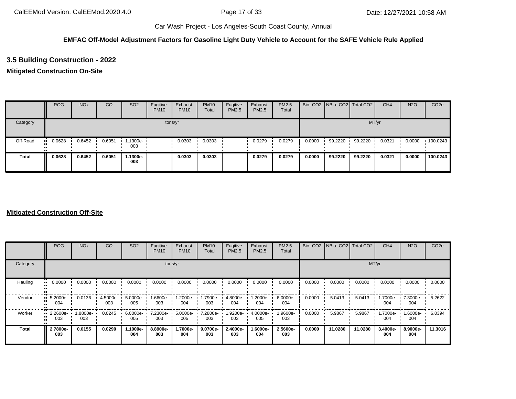#### **EMFAC Off-Model Adjustment Factors for Gasoline Light Duty Vehicle to Account for the SAFE Vehicle Rule Applied**

## **3.5 Building Construction - 2022**

## **Mitigated Construction On-Site**

|              | <b>ROG</b> | <b>NO<sub>x</sub></b> | CO     | SO <sub>2</sub>                 | Fugitive<br><b>PM10</b> | Exhaust<br><b>PM10</b> | <b>PM10</b><br>Total | Fugitive<br>PM2.5 | Exhaust<br><b>PM2.5</b> | PM2.5<br>Total |        | Bio- CO2 NBio- CO2 Total CO2 |         | CH <sub>4</sub> | <b>N2O</b> | CO <sub>2e</sub> |
|--------------|------------|-----------------------|--------|---------------------------------|-------------------------|------------------------|----------------------|-------------------|-------------------------|----------------|--------|------------------------------|---------|-----------------|------------|------------------|
| Category     |            |                       |        |                                 |                         | tons/yr                |                      |                   |                         |                |        |                              | MT/yr   |                 |            |                  |
| Off-Road     | 0.0628     | 0.6452                | 0.6051 | $\cdot$ 1.1300e- $\cdot$<br>003 |                         | 0.0303                 | 0.0303               |                   | 0.0279                  | 0.0279         | 0.0000 | 99.2220                      | 99.2220 | 0.0321          | 0.0000     | 100.0243         |
| <b>Total</b> | 0.0628     | 0.6452                | 0.6051 | 1.1300e-<br>003                 |                         | 0.0303                 | 0.0303               |                   | 0.0279                  | 0.0279         | 0.0000 | 99.2220                      | 99.2220 | 0.0321          | 0.0000     | 100.0243         |

#### **Mitigated Construction Off-Site**

|              | <b>ROG</b>                 | <b>NO<sub>x</sub></b> | CO              | SO <sub>2</sub> | Fugitive<br><b>PM10</b> | Exhaust<br><b>PM10</b> | <b>PM10</b><br>Total | Fugitive<br><b>PM2.5</b> | Exhaust<br>PM2.5 | <b>PM2.5</b><br>Total |        | Bio- CO2 NBio- CO2 Total CO2 |         | CH <sub>4</sub> | <b>N2O</b>      | CO <sub>2e</sub> |
|--------------|----------------------------|-----------------------|-----------------|-----------------|-------------------------|------------------------|----------------------|--------------------------|------------------|-----------------------|--------|------------------------------|---------|-----------------|-----------------|------------------|
| Category     |                            |                       |                 |                 |                         | tons/yr                |                      |                          |                  |                       |        |                              | MT/yr   |                 |                 |                  |
| Hauling      | 0.0000<br>$\bullet\bullet$ | 0.0000                | 0.0000          | 0.0000          | 0.0000                  | 0.0000                 | 0.0000               | 0.0000                   | 0.0000           | 0.0000                | 0.0000 | 0.0000                       | 0.0000  | 0.0000          | 0.0000          | 0.0000           |
| Vendor       | 5.2000e-<br>004            | 0.0136                | 4.5000e-<br>003 | 5.0000e-<br>005 | 1.6600e-<br>003         | 1.2000e-<br>004        | 1.7900e-<br>003      | 4.8000e-<br>004          | -2000e.<br>004   | 6.0000e-<br>004       | 0.0000 | 5.0413                       | 5.0413  | 1.7000e-<br>004 | 7.3000e-<br>004 | 5.2622           |
| Worker       | 2.2600e-<br><br>003        | --8800e<br>003        | 0.0245          | 6.0000e-<br>005 | 7.2300e-<br>003         | 5.0000e-<br>005        | 7.2800e-<br>003      | 1.9200e-<br>003          | 4.0000e-<br>005  | 1.9600e-<br>003       | 0.0000 | 5.9867                       | 5.9867  | 1.7000e-<br>004 | -:0000 M<br>004 | 6.0394           |
| <b>Total</b> | 2.7800e-<br>003            | 0.0155                | 0.0290          | 1.1000e-<br>004 | 8.8900e-<br>003         | 1.7000e-<br>004        | 9.0700e-<br>003      | 2.4000e-<br>003          | 1.6000e-<br>004  | 2.5600e-<br>003       | 0.0000 | 11.0280                      | 11.0280 | 3.4000e-<br>004 | 8.9000e-<br>004 | 11.3016          |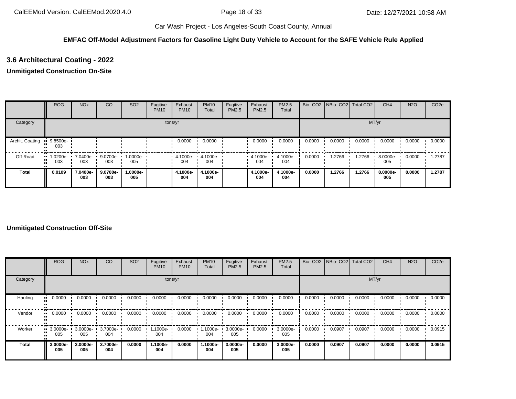#### **EMFAC Off-Model Adjustment Factors for Gasoline Light Duty Vehicle to Account for the SAFE Vehicle Rule Applied**

## **3.6 Architectural Coating - 2022**

#### **Unmitigated Construction On-Site**

|                 | <b>ROG</b>      | <b>NO<sub>x</sub></b> | CO                | SO <sub>2</sub> | Fugitive<br><b>PM10</b> | Exhaust<br><b>PM10</b> | <b>PM10</b><br>Total | Fugitive<br><b>PM2.5</b> | Exhaust<br>PM2.5 | <b>PM2.5</b><br>Total |        | Bio- CO2 NBio- CO2 Total CO2 |        | CH <sub>4</sub> | <b>N2O</b> | CO <sub>2e</sub> |
|-----------------|-----------------|-----------------------|-------------------|-----------------|-------------------------|------------------------|----------------------|--------------------------|------------------|-----------------------|--------|------------------------------|--------|-----------------|------------|------------------|
| Category        |                 |                       |                   |                 |                         | tons/yr                |                      |                          |                  |                       |        |                              | MT/yr  |                 |            |                  |
| Archit. Coating | 9.8500e-<br>003 |                       |                   |                 |                         | 0.0000                 | 0.0000               |                          | 0.0000           | 0.0000                | 0.0000 | 0.0000                       | 0.0000 | 0.0000          | 0.0000     | 0.0000           |
| Off-Road        | 1.0200e-<br>003 | 7.0400e-<br>003       | $9.0700e-$<br>003 | 1.0000e-<br>005 |                         | 4.1000e-<br>004        | 4.1000e-<br>004      |                          | 4.1000e-<br>004  | 4.1000e-<br>004       | 0.0000 | 1.2766                       | 1.2766 | 8.0000e-<br>005 | 0.0000     | 1.2787           |
| <b>Total</b>    | 0.0109          | 7.0400e-<br>003       | 9.0700e-<br>003   | 1.0000e-<br>005 |                         | 4.1000e-<br>004        | 4.1000e-<br>004      |                          | 4.1000e-<br>004  | 4.1000e-<br>004       | 0.0000 | 1.2766                       | 1.2766 | 8.0000e-<br>005 | 0.0000     | 1.2787           |

#### **Unmitigated Construction Off-Site**

|          | <b>ROG</b>                     | <b>NO<sub>x</sub></b> | CO              | SO <sub>2</sub> | Fugitive<br><b>PM10</b> | Exhaust<br><b>PM10</b> | <b>PM10</b><br>Total | Fugitive<br><b>PM2.5</b> | Exhaust<br>PM2.5 | PM2.5<br>Total  |        | Bio- CO2   NBio- CO2   Total CO2 |        | CH <sub>4</sub> | <b>N2O</b> | CO <sub>2e</sub> |
|----------|--------------------------------|-----------------------|-----------------|-----------------|-------------------------|------------------------|----------------------|--------------------------|------------------|-----------------|--------|----------------------------------|--------|-----------------|------------|------------------|
| Category |                                |                       |                 |                 |                         | tons/yr                |                      |                          |                  |                 |        |                                  | MT/yr  |                 |            |                  |
| Hauling  | 0.0000<br>$\mathbf{u}$         | 0.0000                | 0.0000          | 0.0000          | 0.0000                  | 0.0000                 | 0.0000               | 0.0000                   | 0.0000           | 0.0000          | 0.0000 | 0.0000                           | 0.0000 | 0.0000          | 0.0000     | 0.0000           |
| Vendor   | 0.0000<br>                     | 0.0000                | 0.0000          | 0.0000          | 0.0000                  | 0.0000                 | 0.0000               | 0.0000                   | 0.0000           | 0.0000          | 0.0000 | 0.0000                           | 0.0000 | 0.0000          | 0.0000     | 0.0000           |
| Worker   | $\blacksquare$ 3.0000e-<br>005 | $3.0000e -$<br>005    | 3.7000e-<br>004 | 0.0000          | 1.1000e-<br>004         | 0.0000                 | 1.1000e-<br>004      | 3.0000e-<br>005          | 0.0000           | 3.0000e-<br>005 | 0.0000 | 0.0907                           | 0.0907 | 0.0000          | 0.0000     | 0.0915           |
| Total    | 3.0000e-<br>005                | 3.0000e-<br>005       | 3.7000e-<br>004 | 0.0000          | 1.1000e-<br>004         | 0.0000                 | 1.1000e-<br>004      | 3.0000e-<br>005          | 0.0000           | 3.0000e-<br>005 | 0.0000 | 0.0907                           | 0.0907 | 0.0000          | 0.0000     | 0.0915           |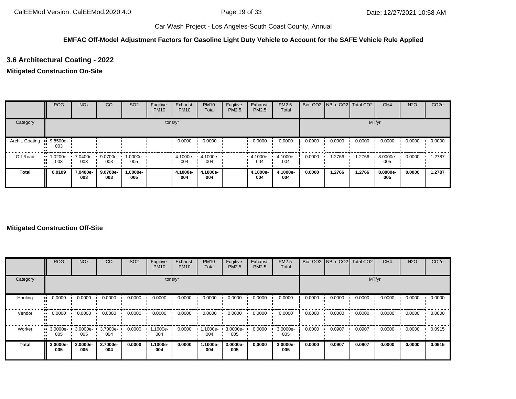#### **EMFAC Off-Model Adjustment Factors for Gasoline Light Duty Vehicle to Account for the SAFE Vehicle Rule Applied**

## **3.6 Architectural Coating - 2022**

#### **Mitigated Construction On-Site**

|                 | <b>ROG</b>      | <b>NO<sub>x</sub></b> | CO              | SO <sub>2</sub>   | Fugitive<br><b>PM10</b> | Exhaust<br><b>PM10</b> | <b>PM10</b><br>Total | Fugitive<br>PM2.5 | Exhaust<br><b>PM2.5</b> | PM2.5<br>Total  |        | Bio- CO2 NBio- CO2 Total CO2 |        | CH <sub>4</sub> | <b>N2O</b> | CO <sub>2e</sub> |
|-----------------|-----------------|-----------------------|-----------------|-------------------|-------------------------|------------------------|----------------------|-------------------|-------------------------|-----------------|--------|------------------------------|--------|-----------------|------------|------------------|
| Category        |                 |                       |                 |                   |                         | tons/yr                |                      |                   |                         |                 |        |                              | MT/yr  |                 |            |                  |
| Archit. Coating | 9.8500e-<br>003 |                       |                 |                   |                         | 0.0000                 | 0.0000               |                   | 0.0000                  | 0.0000          | 0.0000 | 0.0000                       | 0.0000 | 0.0000          | 0.0000     | 0.0000           |
| Off-Road        | 1.0200e-<br>003 | 7.0400e-<br>003       | 9.0700e-<br>003 | 1.0000e- ·<br>005 |                         | 4.1000e-<br>004        | 4.1000e-<br>004      |                   | 4.1000e-<br>004         | 4.1000e-<br>004 | 0.0000 | 1.2766                       | 1.2766 | 8.0000e-<br>005 | 0.0000     | 1.2787           |
| <b>Total</b>    | 0.0109          | 7.0400e-<br>003       | 9.0700e-<br>003 | 1.0000e-<br>005   |                         | 4.1000e-<br>004        | 4.1000e-<br>004      |                   | 4.1000e-<br>004         | 4.1000e-<br>004 | 0.0000 | 1.2766                       | 1.2766 | 8.0000e-<br>005 | 0.0000     | 1.2787           |

#### **Mitigated Construction Off-Site**

|          | <b>ROG</b>                     | <b>NO<sub>x</sub></b> | CO              | SO <sub>2</sub> | Fugitive<br><b>PM10</b> | Exhaust<br><b>PM10</b> | <b>PM10</b><br>Total | Fugitive<br><b>PM2.5</b> | Exhaust<br>PM2.5 | <b>PM2.5</b><br>Total |        | Bio- CO2 NBio- CO2 Total CO2 |        | CH <sub>4</sub> | <b>N2O</b> | CO <sub>2e</sub> |
|----------|--------------------------------|-----------------------|-----------------|-----------------|-------------------------|------------------------|----------------------|--------------------------|------------------|-----------------------|--------|------------------------------|--------|-----------------|------------|------------------|
| Category |                                |                       |                 |                 | tons/yr                 |                        |                      |                          |                  |                       |        |                              | MT/yr  |                 |            |                  |
| Hauling  | 0.0000<br>                     | 0.0000                | 0.0000          | 0.0000          | 0.0000                  | 0.0000                 | 0.0000               | 0.0000                   | 0.0000           | 0.0000                | 0.0000 | 0.0000                       | 0.0000 | 0.0000          | 0.0000     | 0.0000           |
| Vendor   | $\blacksquare$ 0.0000          | 0.0000                | 0.0000          | 0.0000          | 0.0000                  | 0.0000                 | 0.0000               | 0.0000                   | 0.0000           | 0.0000                | 0.0000 | 0.0000                       | 0.0000 | 0.0000          | 0.0000     | 0.0000           |
| Worker   | $\blacksquare$ 3.0000e-<br>005 | $3.0000e -$<br>005    | 3.7000e-<br>004 | 0.0000          | .1000e-<br>004          | 0.0000                 | $1.1000e -$<br>004   | 3.0000e-<br>005          | 0.0000           | 3.0000e-<br>005       | 0.0000 | 0.0907                       | 0.0907 | 0.0000          | 0.0000     | 0.0915           |
| Total    | 3.0000e-<br>005                | 3.0000e-<br>005       | 3.7000e-<br>004 | 0.0000          | 1.1000e-<br>004         | 0.0000                 | 1.1000e-<br>004      | 3.0000e-<br>005          | 0.0000           | 3.0000e-<br>005       | 0.0000 | 0.0907                       | 0.0907 | 0.0000          | 0.0000     | 0.0915           |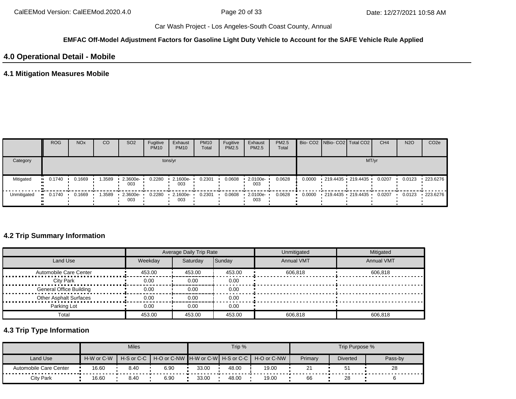#### **EMFAC Off-Model Adjustment Factors for Gasoline Light Duty Vehicle to Account for the SAFE Vehicle Rule Applied**

## **4.0 Operational Detail - Mobile**

## **4.1 Mitigation Measures Mobile**

|             | <b>ROG</b> | <b>NO<sub>x</sub></b> | CO     | SO <sub>2</sub> | Fugitive<br><b>PM10</b> | Exhaust<br><b>PM10</b> | <b>PM10</b><br>Total | Fugitive<br><b>PM2.5</b> | Exhaust<br><b>PM2.5</b>         | PM2.5<br>Total |        | Bio- CO2 NBio- CO2   Total CO2 | CH <sub>4</sub> | <b>N2O</b> | CO <sub>2</sub> e |
|-------------|------------|-----------------------|--------|-----------------|-------------------------|------------------------|----------------------|--------------------------|---------------------------------|----------------|--------|--------------------------------|-----------------|------------|-------------------|
| Category    |            |                       |        |                 |                         | tons/yr                |                      |                          |                                 |                |        |                                | MT/yr           |            |                   |
| Mitigated   | 0.1740     | 0.1669                | .3589  | 2.3600e-<br>003 | 0.2280                  | 2.1600e-<br>003        | 0.2301               | 0.0608                   | $\cdot$ 2.0100e-<br>003         | 0.0628         | 0.0000 | 219.4435 219.4435              | 0.0207          | 0.0123     | $-223.6276$       |
| Unmitigated | 0.1740     | 0.1669                | 1.3589 | 2.3600e-<br>003 | 0.2280                  | 2.1600e-<br>003        | 0.2301               | 0.0608                   | $\cdot$ 2.0100e- $\cdot$<br>003 | 0.0628         | 0.0000 | 219.4435 219.4435 0.0207       |                 | 0.0123     | $-223.6276$       |

## **4.2 Trip Summary Information**

|                                |         | Average Daily Trip Rate |        | Unmitigated       | Mitigated         |
|--------------------------------|---------|-------------------------|--------|-------------------|-------------------|
| Land Use                       | Weekday | Saturday                | Sunday | <b>Annual VMT</b> | <b>Annual VMT</b> |
| Automobile Care Center         | 453.00  | 453.00                  | 453.00 | 606.818           | 606.818           |
| <b>City Park</b>               | 0.00    | 0.00                    | 0.00   |                   |                   |
| <b>General Office Building</b> | 0.00    | 0.00                    | 0.00   |                   |                   |
| <b>Other Asphalt Surfaces</b>  | 0.00    | 0.00                    | 0.00   |                   |                   |
| Parking Lot                    | 0.00    | 0.00                    | 0.00   |                   |                   |
| Total                          | 453.00  | 453.00                  | 453.00 | 606.818           | 606.818           |

## **4.3 Trip Type Information**

|                            |            | <b>Miles</b>             |                                         |       | Trip % |             |         | Trip Purpose %  |         |
|----------------------------|------------|--------------------------|-----------------------------------------|-------|--------|-------------|---------|-----------------|---------|
| Land Use                   | H-W or C-W | $H-S$ or C-C $\parallel$ | │ H-O or C-NW ┃H-W or C-W┃ H-S or C-C │ |       |        | H-O or C-NW | Primary | <b>Diverted</b> | Pass-by |
| Automobile Care Center<br> | 16.60      | 8.40                     | 6.90                                    | 33.00 | 48.00  | 19.00       | 21      | 51              | 28      |
| City Park                  | 16.60      | 8.40                     | 6.90                                    | 33.00 | 48.00  | 19.00       | 66      | 28              |         |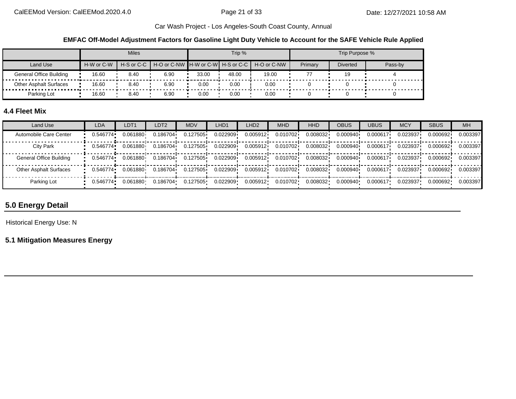**EMFAC Off-Model Adjustment Factors for Gasoline Light Duty Vehicle to Account for the SAFE Vehicle Rule Applied**

|                               |            | <b>Miles</b> |                                                                  |       | Trip % |       |         | Trip Purpose %  |         |
|-------------------------------|------------|--------------|------------------------------------------------------------------|-------|--------|-------|---------|-----------------|---------|
| Land Use                      | H-W or C-W |              | H-S or C-C   H-O or C-NW   H-W or C-W   H-S or C-C   H-O or C-NW |       |        |       | Primary | <b>Diverted</b> | Pass-by |
| General Office Building       | 16.60      | 8.40         | 6.90                                                             | 33.00 | 48.00  | 19.00 |         |                 |         |
| <b>Other Asphalt Surfaces</b> | 16.60      | 8.40         | 6.90                                                             | 0.00  | 0.00   | 0.00  |         |                 |         |
| Parking Lot                   | 16.60      | 8.40         | 6.90                                                             | 0.00  | 0.00   | 0.00  |         |                 |         |

## **4.4 Fleet Mix**

| Land Use                      | <b>LDA</b> | LDT <sub>1</sub> | LDT2     | <b>MDV</b> | LHD1     | LHD <sub>2</sub> | <b>MHD</b> | <b>HHD</b> | OBUS     | <b>UBUS</b> | <b>MCY</b> | <b>SBUS</b> | <b>MH</b> |
|-------------------------------|------------|------------------|----------|------------|----------|------------------|------------|------------|----------|-------------|------------|-------------|-----------|
| Automobile Care Center        | 0.546774   | 0.061880         | 0.186704 | 0.127505   | 0.022909 | 0.005912         | 0.010702   | 0.008032   | 0.000940 | 0.000617    | 0.023937   | 0.000692    | 0.003397  |
| City Park                     | 0.546774   | 0.061880         | 0.186704 | 0.127505   | 0.022909 | 0.005912         | 0.010702   | 0.008032   | 0.000940 | 0.000617    | 0.023937   | 0.000692    | 0.003397  |
| General Office Building       | 0.546774   | 0.061880         | 0.186704 | 0.127505   | 0.022909 | 0.005912         | 0.010702   | 0.008032   | 0.000940 | 0.000617    | 0.023937   | 0.000692    | 0.003397  |
| <b>Other Asphalt Surfaces</b> | 0.546774   | 0.061880         | 0.186704 | 0.127505   | 0.022909 | 0.005912         | 0.010702   | 0.008032   | 0.000940 | 0.000617    | 0.023937   | 0.000692    | 0.003397  |
| Parking Lot                   | 0.546774   | 0.061880         | 0.186704 | 0.127505   | 0.022909 | 0.005912         | 0.010702   | 0.008032   | 0.000940 | 0.000617    | 0.023937   | 0.000692    | 0.003397  |

## **5.0 Energy Detail**

Historical Energy Use: N

**5.1 Mitigation Measures Energy**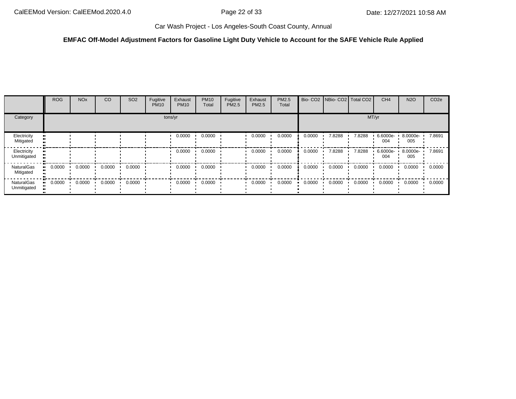#### **EMFAC Off-Model Adjustment Factors for Gasoline Light Duty Vehicle to Account for the SAFE Vehicle Rule Applied**

|                                | <b>ROG</b> | <b>NO<sub>x</sub></b> | CO     | SO <sub>2</sub> | Fugitive<br><b>PM10</b> | Exhaust<br><b>PM10</b> | <b>PM10</b><br>Total | Fugitive<br>PM2.5 | Exhaust<br>PM2.5 | PM2.5<br>Total |        | Bio- CO2   NBio- CO2   Total CO2 |        | CH <sub>4</sub> | <b>N2O</b>      | CO <sub>2e</sub> |
|--------------------------------|------------|-----------------------|--------|-----------------|-------------------------|------------------------|----------------------|-------------------|------------------|----------------|--------|----------------------------------|--------|-----------------|-----------------|------------------|
| Category                       |            |                       |        |                 |                         | tons/yr                |                      |                   |                  |                |        |                                  | MT/yr  |                 |                 |                  |
| Electricity<br>Mitigated       |            |                       |        |                 |                         | 0.0000                 | 0.0000               |                   | 0.0000           | 0.0000         | 0.0000 | 7.8288                           | 7.8288 | 6.6000e-<br>004 | 8.0000e-<br>005 | 7.8691           |
| Electricity<br>Unmitigated     |            |                       |        |                 |                         | 0.0000                 | 0.0000               |                   | 0.0000           | 0.0000         | 0.0000 | 7.8288                           | 7.8288 | 6.6000e-<br>004 | 8.0000e-<br>005 | 7.8691           |
| <b>NaturalGas</b><br>Mitigated | 0.0000     | 0.0000                | 0.0000 | 0.0000          |                         | 0.0000                 | 0.0000               |                   | 0.0000           | 0.0000         | 0.0000 | 0.0000                           | 0.0000 | 0.0000          | 0.0000          | 0.0000           |
| NaturalGas<br>Unmitigated      | 0.0000     | 0.0000                | 0.0000 | 0.0000          |                         | 0.0000                 | 0.0000               |                   | 0.0000           | 0.0000         | 0.0000 | 0.0000                           | 0.0000 | 0.0000          | 0.0000          | 0.0000           |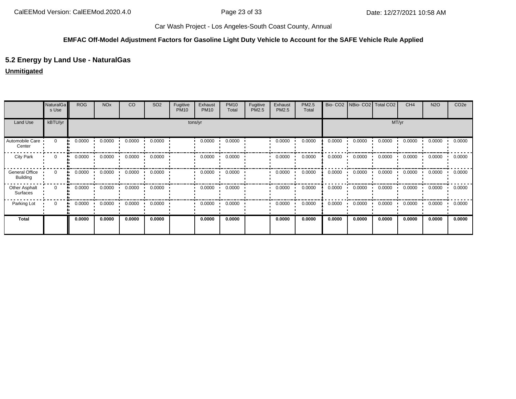#### **EMFAC Off-Model Adjustment Factors for Gasoline Light Duty Vehicle to Account for the SAFE Vehicle Rule Applied**

## **5.2 Energy by Land Use - NaturalGas**

#### **Unmitigated**

|                                          | NaturalGa<br>s Use | <b>ROG</b> | <b>NO<sub>x</sub></b> | CO     | SO <sub>2</sub> | Fugitive<br><b>PM10</b> | Exhaust<br><b>PM10</b> | <b>PM10</b><br>Total | Fugitive<br>PM2.5 | Exhaust<br>PM2.5 | PM2.5<br>Total | Bio-CO <sub>2</sub> | NBio- CO2   Total CO2 |        | CH <sub>4</sub> | <b>N2O</b> | CO <sub>2e</sub> |
|------------------------------------------|--------------------|------------|-----------------------|--------|-----------------|-------------------------|------------------------|----------------------|-------------------|------------------|----------------|---------------------|-----------------------|--------|-----------------|------------|------------------|
| Land Use                                 | kBTU/yr            |            |                       |        |                 |                         | tons/yr                |                      |                   |                  | MT/yr          |                     |                       |        |                 |            |                  |
| Automobile Care<br>Center                | $\mathbf 0$        | 0.0000     | 0.0000                | 0.0000 | 0.0000          |                         | 0.0000                 | 0.0000               |                   | 0.0000           | 0.0000         | 0.0000              | 0.0000                | 0.0000 | 0.0000          | 0.0000     | 0.0000           |
| <b>City Park</b>                         | 0                  | 0.0000     | 0.0000                | 0.0000 | 0.0000          |                         | 0.0000                 | 0.0000               |                   | 0.0000           | 0.0000         | 0.0000              | 0.0000                | 0.0000 | 0.0000          | 0.0000     | 0.0000           |
| <b>General Office</b><br><b>Building</b> | $\mathbf{0}$       | 0.0000     | 0.0000                | 0.0000 | 0.0000          |                         | 0.0000                 | 0.0000               |                   | 0.0000           | 0.0000         | 0.0000              | 0.0000                | 0.0000 | 0.0000          | 0.0000     | 0.0000           |
| Other Asphalt<br>Surfaces                | $\mathbf{0}$       | 0.0000     | 0.0000                | 0.0000 | 0.0000          |                         | 0.0000                 | 0.0000               |                   | 0.0000           | 0.0000         | 0.0000              | 0.0000                | 0.0000 | 0.0000          | 0.0000     | 0.0000           |
| Parking Lot                              | 0                  | 0.0000     | 0.0000                | 0.0000 | 0.0000          |                         | 0.0000                 | 0.0000               |                   | 0.0000           | 0.0000         | 0.0000              | 0.0000                | 0.0000 | 0.0000          | 0.0000     | 0.0000           |
| <b>Total</b>                             |                    | 0.0000     | 0.0000                | 0.0000 | 0.0000          |                         | 0.0000                 | 0.0000               |                   | 0.0000           | 0.0000         | 0.0000              | 0.0000                | 0.0000 | 0.0000          | 0.0000     | 0.0000           |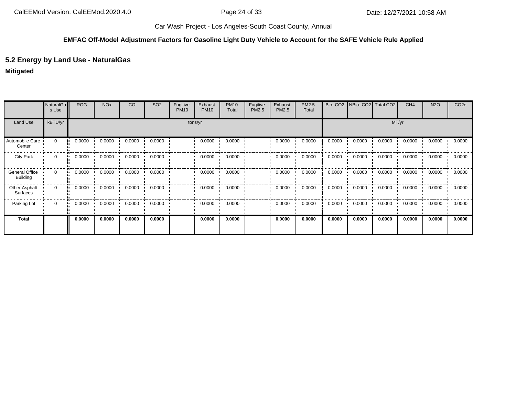#### **EMFAC Off-Model Adjustment Factors for Gasoline Light Duty Vehicle to Account for the SAFE Vehicle Rule Applied**

## **5.2 Energy by Land Use - NaturalGas**

#### **Mitigated**

|                                   | NaturalGa<br>s Use | <b>ROG</b> | <b>NO<sub>x</sub></b> | CO     | SO <sub>2</sub> | Fugitive<br><b>PM10</b> | Exhaust<br><b>PM10</b> | <b>PM10</b><br>Total | Fugitive<br>PM2.5 | Exhaust<br>PM2.5 | PM2.5<br>Total |        | Bio- CO2   NBio- CO2   Total CO2 |        | CH <sub>4</sub> | <b>N2O</b> | CO <sub>2e</sub> |
|-----------------------------------|--------------------|------------|-----------------------|--------|-----------------|-------------------------|------------------------|----------------------|-------------------|------------------|----------------|--------|----------------------------------|--------|-----------------|------------|------------------|
| Land Use                          | kBTU/yr            |            | tons/yr               |        |                 |                         |                        |                      |                   |                  |                |        |                                  | MT/yr  |                 |            |                  |
| Automobile Care<br>Center         | $\mathbf 0$        | 0.0000     | 0.0000                | 0.0000 | 0.0000          |                         | 0.0000                 | 0.0000               |                   | 0.0000           | 0.0000         | 0.0000 | 0.0000                           | 0.0000 | 0.0000          | 0.0000     | 0.0000           |
| <b>City Park</b>                  | 0                  | 0.0000     | 0.0000                | 0.0000 | 0.0000          |                         | 0.0000                 | 0.0000               |                   | 0.0000           | 0.0000         | 0.0000 | 0.0000                           | 0.0000 | 0.0000          | 0.0000     | 0.0000           |
| General Office<br><b>Building</b> | $\mathbf{0}$<br>.  | 0.0000     | 0.0000                | 0.0000 | 0.0000          |                         | 0.0000                 | 0.0000               |                   | 0.0000           | 0.0000         | 0.0000 | 0.0000                           | 0.0000 | 0.0000          | 0.0000     | 0.0000           |
| Other Asphalt<br>Surfaces         | $\mathbf 0$        | 0.0000     | 0.0000                | 0.0000 | 0.0000          |                         | 0.0000                 | 0.0000               |                   | 0.0000           | 0.0000         | 0.0000 | 0.0000                           | 0.0000 | 0.0000          | 0.0000     | 0.0000           |
| Parking Lot                       | 0                  | 0.0000     | 0.0000                | 0.0000 | 0.0000          |                         | 0.0000                 | 0.0000               |                   | 0.0000           | 0.0000         | 0.0000 | 0.0000                           | 0.0000 | 0.0000          | 0.0000     | 0.0000           |
| <b>Total</b>                      |                    | 0.0000     | 0.0000                | 0.0000 | 0.0000          |                         | 0.0000                 | 0.0000               |                   | 0.0000           | 0.0000         | 0.0000 | 0.0000                           | 0.0000 | 0.0000          | 0.0000     | 0.0000           |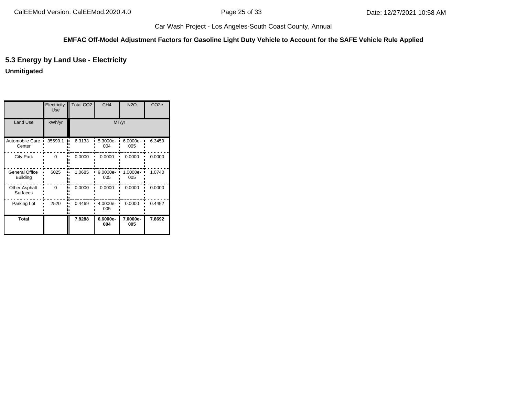#### **EMFAC Off-Model Adjustment Factors for Gasoline Light Duty Vehicle to Account for the SAFE Vehicle Rule Applied**

## **5.3 Energy by Land Use - Electricity**

**Unmitigated**

|                                          | Electricity<br>Use | <b>Total CO2</b> | CH <sub>4</sub> | <b>N2O</b>      | CO <sub>2e</sub> |
|------------------------------------------|--------------------|------------------|-----------------|-----------------|------------------|
| <b>Land Use</b>                          | kWh/yr             |                  | MT/yr           |                 |                  |
| Automobile Care<br>Center                | 35599.1            | 6.3133           | 5.3000e-<br>004 | 6.0000e-<br>005 | 6.3459           |
| <b>City Park</b>                         | $\Omega$           | 0.0000           | 0.0000          | 0.0000          | 0.0000           |
| <b>General Office</b><br><b>Building</b> | 6025               | 1.0685           | 9.0000e-<br>005 | 1.0000e-<br>005 | 1.0740           |
| Other Asphalt<br><b>Surfaces</b>         | $\Omega$           | 0.0000           | 0.0000          | 0.0000          | 0.0000           |
| Parking Lot                              | 2520               | 0.4469           | 4.0000e-<br>005 | 0.0000          | 0.4492           |
| <b>Total</b>                             |                    | 7.8288           | 6.6000e-<br>004 | 7.0000e-<br>005 | 7.8692           |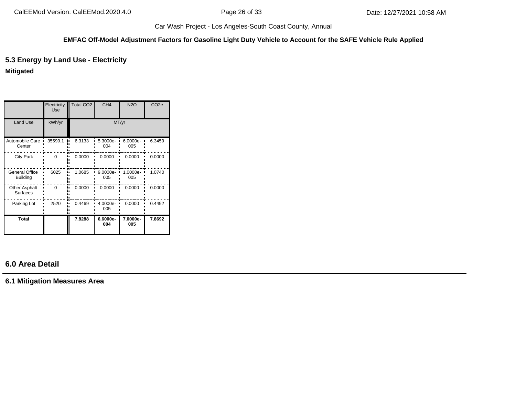#### **EMFAC Off-Model Adjustment Factors for Gasoline Light Duty Vehicle to Account for the SAFE Vehicle Rule Applied**

## **5.3 Energy by Land Use - Electricity**

#### **Mitigated**

|                                   | Electricity<br><b>Use</b> | <b>Total CO2</b> | CH <sub>4</sub> | <b>N2O</b>      | CO <sub>2e</sub> |
|-----------------------------------|---------------------------|------------------|-----------------|-----------------|------------------|
| <b>Land Use</b>                   | kWh/yr                    |                  | MT/yr           |                 |                  |
| Automobile Care<br>Center         | 35599.1                   | 6.3133           | 5.3000e-<br>004 | 6.0000e-<br>005 | 6.3459           |
| <b>City Park</b>                  | $\Omega$                  | 0.0000           | 0.0000          | 0.0000          | 0.0000           |
| General Office<br><b>Building</b> | 6025                      | 1.0685           | 9.0000e-<br>005 | 1.0000e-<br>005 | 1.0740           |
| Other Asphalt<br><b>Surfaces</b>  | $\Omega$                  | 0.0000           | 0.0000          | 0.0000          | 0.0000           |
| Parking Lot                       | 2520                      | 0.4469           | 4.0000e-<br>005 | 0.0000          | 0.4492           |
| Total                             |                           | 7.8288           | 6.6000e-<br>004 | 7.0000e-<br>005 | 7.8692           |

## **6.0 Area Detail**

**6.1 Mitigation Measures Area**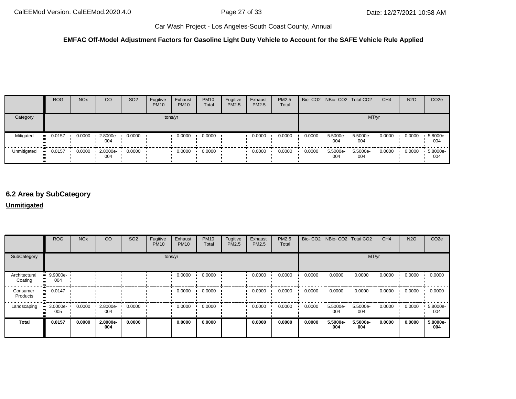#### **EMFAC Off-Model Adjustment Factors for Gasoline Light Duty Vehicle to Account for the SAFE Vehicle Rule Applied**

|             | <b>ROG</b>            | <b>NO<sub>x</sub></b> | CO                  | SO <sub>2</sub> | Fugitive<br><b>PM10</b> | Exhaust<br><b>PM10</b> | <b>PM10</b><br>Total | Fugitive<br>PM2.5 | Exhaust<br><b>PM2.5</b> | <b>PM2.5</b><br>Total |        |                 | Bio- CO2 NBio- CO2 Total CO2 | CH <sub>4</sub> | <b>N2O</b> | CO <sub>2e</sub> |
|-------------|-----------------------|-----------------------|---------------------|-----------------|-------------------------|------------------------|----------------------|-------------------|-------------------------|-----------------------|--------|-----------------|------------------------------|-----------------|------------|------------------|
| Category    |                       |                       |                     |                 |                         | tons/yr                |                      |                   |                         |                       |        |                 | MT/yr                        |                 |            |                  |
| Mitigated   | $-0.0157$             | 0.0000                | 2.8000e-<br>004     | 0.0000          |                         | 0.0000                 | 0.0000               |                   | 0.0000                  | 0.0000                | 0.0000 | 5.5000e-<br>004 | 5.5000e-<br>004              | 0.0000          | 0.0000     | 5.8000e-<br>004  |
| Unmitigated | $\blacksquare$ 0.0157 | 0.0000                | $-2.8000e -$<br>004 | 0.0000          |                         | 0.0000                 | 0.0000               |                   | 0.0000                  | 0.0000                | 0.0000 | 5.5000e-<br>004 | 5.5000e-<br>004              | 0.0000          | 0.0000     | 5.8000e-<br>004  |

## **6.2 Area by SubCategory**

#### **Unmitigated**

|                          | <b>ROG</b>              | <b>NO<sub>x</sub></b> | CO              | SO <sub>2</sub> | Fugitive<br><b>PM10</b> | Exhaust<br><b>PM10</b> | <b>PM10</b><br>Total | Fugitive<br>PM2.5 | Exhaust<br><b>PM2.5</b> | PM2.5<br>Total |        | Bio- CO2   NBio- CO2   Total CO2 |                 | CH <sub>4</sub> | <b>N2O</b> | CO <sub>2e</sub> |
|--------------------------|-------------------------|-----------------------|-----------------|-----------------|-------------------------|------------------------|----------------------|-------------------|-------------------------|----------------|--------|----------------------------------|-----------------|-----------------|------------|------------------|
| SubCategory              | tons/yr                 |                       |                 |                 |                         |                        |                      |                   |                         |                | MT/yr  |                                  |                 |                 |            |                  |
| Architectural<br>Coating | $9.9000e-$<br>004       |                       |                 |                 |                         | 0.0000                 | 0.0000               |                   | 0.0000                  | 0.0000         | 0.0000 | 0.0000                           | 0.0000          | 0.0000          | 0.0000     | 0.0000           |
| Consumer<br>Products     | 0.0147<br>$\bullet$     |                       |                 |                 |                         | 0.0000                 | 0.0000               |                   | 0.0000                  | 0.0000         | 0.0000 | 0.0000                           | 0.0000          | 0.0000          | 0.0000     | 0.0000           |
| Landscaping              | $\cdot$ 3.0000e-<br>005 | 0.0000                | 2.8000e-<br>004 | 0.0000          |                         | 0.0000                 | 0.0000               |                   | 0.0000                  | 0.0000         | 0.0000 | 5.5000e-<br>004                  | 5.5000e-<br>004 | 0.0000          | 0.0000     | 5.8000e-<br>004  |
| <b>Total</b>             | 0.0157                  | 0.0000                | 2.8000e-<br>004 | 0.0000          |                         | 0.0000                 | 0.0000               |                   | 0.0000                  | 0.0000         | 0.0000 | 5.5000e-<br>004                  | 5.5000e-<br>004 | 0.0000          | 0.0000     | 5.8000e-<br>004  |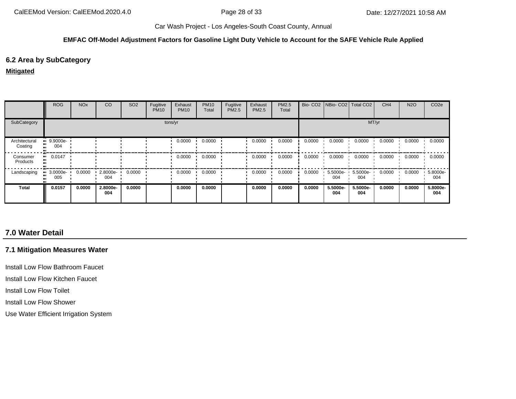#### **EMFAC Off-Model Adjustment Factors for Gasoline Light Duty Vehicle to Account for the SAFE Vehicle Rule Applied**

#### **6.2 Area by SubCategory**

#### **Mitigated**

|                          | <b>ROG</b>                     | <b>NO<sub>x</sub></b> | CO              | SO <sub>2</sub> | Fugitive<br><b>PM10</b> | Exhaust<br><b>PM10</b> | <b>PM10</b><br>Total | Fugitive<br>PM2.5 | Exhaust<br><b>PM2.5</b> | PM2.5<br>Total |        | Bio- CO2   NBio- CO2   Total CO2 |                 | CH <sub>4</sub> | <b>N2O</b> | CO <sub>2e</sub> |
|--------------------------|--------------------------------|-----------------------|-----------------|-----------------|-------------------------|------------------------|----------------------|-------------------|-------------------------|----------------|--------|----------------------------------|-----------------|-----------------|------------|------------------|
| SubCategory              | tons/yr                        |                       |                 |                 |                         |                        |                      |                   | MT/yr                   |                |        |                                  |                 |                 |            |                  |
| Architectural<br>Coating | $9.9000e-$<br>004              |                       |                 |                 |                         | 0.0000                 | 0.0000               |                   | 0.0000                  | 0.0000         | 0.0000 | 0.0000                           | 0.0000          | 0.0000          | 0.0000     | 0.0000           |
| Consumer<br>Products     | $-0.0147$                      |                       |                 |                 |                         | 0.0000                 | 0.0000               |                   | 0.0000                  | 0.0000         | 0.0000 | 0.0000                           | 0.0000          | 0.0000          | 0.0000     | 0.0000           |
| Landscaping              | $\blacksquare$ 3.0000e-<br>005 | 0.0000                | 2.8000e-<br>004 | 0.0000          |                         | 0.0000                 | 0.0000               |                   | 0.0000                  | 0.0000         | 0.0000 | 5.5000e-<br>004                  | 5.5000e-<br>004 | 0.0000          | 0.0000     | 5.8000e-<br>004  |
| Total                    | 0.0157                         | 0.0000                | 2.8000e-<br>004 | 0.0000          |                         | 0.0000                 | 0.0000               |                   | 0.0000                  | 0.0000         | 0.0000 | 5.5000e-<br>004                  | 5.5000e-<br>004 | 0.0000          | 0.0000     | 5.8000e-<br>004  |

## **7.0 Water Detail**

## **7.1 Mitigation Measures Water**

Install Low Flow Bathroom Faucet

Install Low Flow Kitchen Faucet

Install Low Flow Toilet

Install Low Flow Shower

Use Water Efficient Irrigation System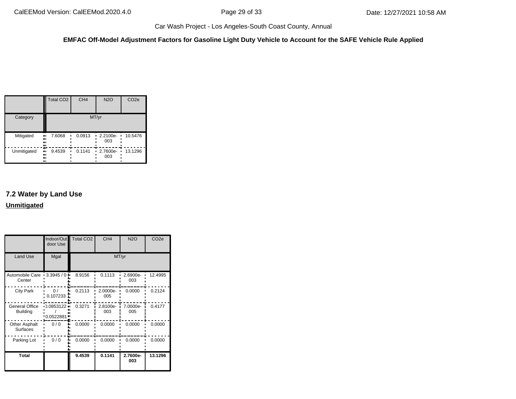**EMFAC Off-Model Adjustment Factors for Gasoline Light Duty Vehicle to Account for the SAFE Vehicle Rule Applied**

|             | <b>Total CO2</b>              | CH <sub>4</sub> | <b>N2O</b>      | CO <sub>2e</sub> |
|-------------|-------------------------------|-----------------|-----------------|------------------|
| Category    |                               |                 | MT/yr           |                  |
| Mitigated   | 7.6068<br>ш,<br><br>81<br>    | 0.0913          | 2.2100e-<br>003 | 10.5476          |
| Unmitigated | æ<br>9.4539<br>ш<br><br><br>ш | 0.1141          | 2.7600e-<br>003 | 13.1296          |

## **7.2 Water by Land Use Unmitigated**

|                                          | door Use                    | Indoor/Out Total CO2 | CH <sub>4</sub> | <b>N2O</b>      | CO <sub>2e</sub> |
|------------------------------------------|-----------------------------|----------------------|-----------------|-----------------|------------------|
| Land Use                                 | Mgal                        |                      | MT/yr           |                 |                  |
| Automobile Care<br>Center                | $-3.3945/0 -$               | 8.9156               | 0.1113          | 2.6900e-<br>003 | 12.4995          |
| <b>City Park</b>                         | 0/<br>0.107233              | 0.2113               | 2.0000e-<br>005 | 0.0000          | 0.2124           |
| <b>General Office</b><br><b>Building</b> | 0.0853122<br>ш<br>0.0522881 | 0.3271               | 2.8100e-<br>003 | 7.0000e-<br>005 | 0.4177           |
| <b>Other Asphalt</b><br><b>Surfaces</b>  | 0/0                         | 0.0000               | 0.0000          | 0.0000          | 0.0000           |
| Parking Lot                              | 0/0                         | 0.0000               | 0.0000          | 0.0000          | 0.0000           |
| <b>Total</b>                             |                             | 9.4539               | 0.1141          | 2.7600e-<br>003 | 13.1296          |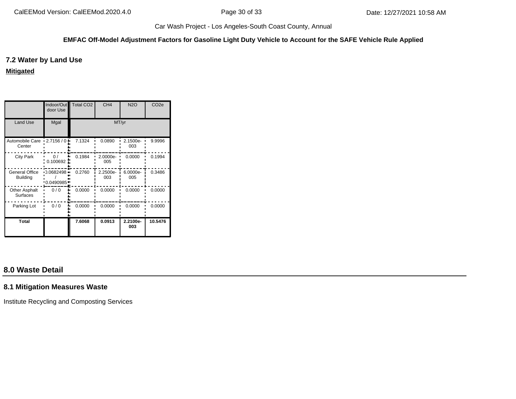#### **EMFAC Off-Model Adjustment Factors for Gasoline Light Duty Vehicle to Account for the SAFE Vehicle Rule Applied**

#### **7.2 Water by Land Use**

**Mitigated**

|                                          | Indoor/Out<br>door Use      | <b>Total CO2</b> | CH <sub>4</sub> | <b>N2O</b>      | CO <sub>2e</sub> |
|------------------------------------------|-----------------------------|------------------|-----------------|-----------------|------------------|
| Land Use                                 | Mgal                        |                  | MT/yr           |                 |                  |
| Automobile Care<br>Center                | 12.7156/0                   | 7.1324           | 0.0890          | 2.1500e-<br>003 | 9.9996           |
| <b>City Park</b>                         | 0/<br>0.100692              | 0.1984           | 2.0000e-<br>005 | 0.0000          | 0.1994           |
| <b>General Office</b><br><b>Building</b> | $-0.0682498 -$<br>0.0490985 | 0.2760           | 2.2500e-<br>003 | 6.0000e-<br>005 | 0.3486           |
| <b>Other Asphalt</b><br><b>Surfaces</b>  | 0/0                         | 0.0000           | 0.0000          | 0.0000          | 0.0000           |
| Parking Lot                              | 0/0                         | 0.0000           | 0.0000          | 0.0000          | 0.0000           |
| <b>Total</b>                             |                             | 7.6068           | 0.0913          | 2.2100e-<br>003 | 10.5476          |

## **8.0 Waste Detail**

#### **8.1 Mitigation Measures Waste**

Institute Recycling and Composting Services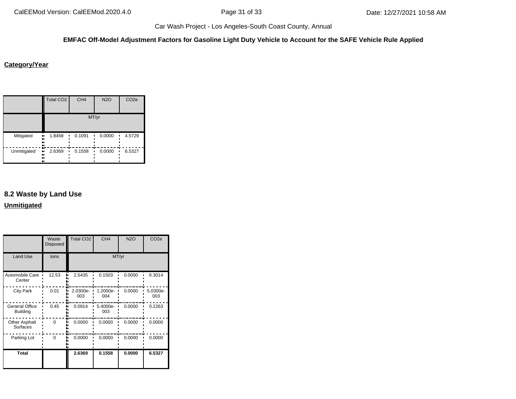#### **EMFAC Off-Model Adjustment Factors for Gasoline Light Duty Vehicle to Account for the SAFE Vehicle Rule Applied**

#### **Category/Year**

|             | <b>Total CO2</b>           | CH <sub>4</sub> | <b>N2O</b> | CO <sub>2e</sub> |  |  |  |
|-------------|----------------------------|-----------------|------------|------------------|--|--|--|
|             | MT/yr                      |                 |            |                  |  |  |  |
| Mitigated   | 1.8458<br>ш,<br><br><br>., | 0.1091          | 0.0000     | 4.5729           |  |  |  |
| Unmitigated | 2.6369<br>ш,<br><br><br>ш  | 0.1558          | 0.0000     | 6.5327           |  |  |  |

## **8.2 Waste by Land Use**

**Unmitigated**

|                                          | Waste<br><b>Disposed</b> | <b>Total CO2</b> | CH <sub>4</sub> | <b>N2O</b> | CO <sub>2e</sub> |
|------------------------------------------|--------------------------|------------------|-----------------|------------|------------------|
| Land Use                                 | tons                     |                  | MT/yr           |            |                  |
| Automobile Care<br>Center                | 12.53                    | 2.5435           | 0.1503          | 0.0000     | 6.3014           |
| <b>City Park</b>                         | 0.01                     | 2.0300e-<br>003  | 1.2000e-<br>004 | 0.0000     | 5.0300e-<br>003  |
| <b>General Office</b><br><b>Building</b> | 0.45                     | 0.0914           | 5.4000e-<br>003 | 0.0000     | 0.2263           |
| <b>Other Asphalt</b><br><b>Surfaces</b>  | $\Omega$                 | 0.0000           | 0.0000          | 0.0000     | 0.0000           |
| Parking Lot                              | $\Omega$                 | 0.0000           | 0.0000          | 0.0000     | 0.0000           |
| Total                                    |                          | 2.6369           | 0.1558          | 0.0000     | 6.5327           |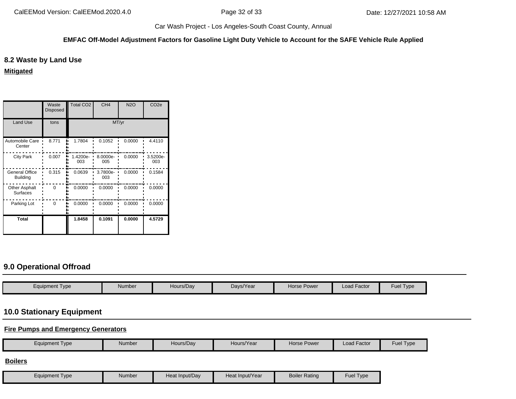#### **EMFAC Off-Model Adjustment Factors for Gasoline Light Duty Vehicle to Account for the SAFE Vehicle Rule Applied**

## **8.2 Waste by Land Use**

**Mitigated**

|                                          | Waste<br><b>Disposed</b> | <b>Total CO2</b>  | CH <sub>4</sub> | <b>N2O</b> | CO <sub>2e</sub> |
|------------------------------------------|--------------------------|-------------------|-----------------|------------|------------------|
| <b>Land Use</b>                          | tons                     |                   | MT/yr           |            |                  |
| Automobile Care<br>Center                | 8.771                    | 1.7804            | 0.1052          | 0.0000     | 4.4110           |
| <b>City Park</b>                         | 0.007                    | $1.4200e-$<br>003 | 8.0000e-<br>005 | 0.0000     | 3.5200e-<br>003  |
| <b>General Office</b><br><b>Building</b> | 0.315                    | 0.0639            | 3.7800e-<br>003 | 0.0000     | 0.1584           |
| Other Asphalt<br><b>Surfaces</b>         | $\Omega$                 | 0.0000            | 0.0000          | 0.0000     | 0.0000           |
| Parking Lot                              | 0                        | 0.0000            | 0.0000          | 0.0000     | 0.0000           |
| <b>Total</b>                             |                          | 1.8458            | 0.1091          | 0.0000     | 4.5729           |

## **9.0 Operational Offroad**

| Equipment Type | Number | Hours/Dav | Days/Year | <b>Horse Power</b> | Load Factor | Fuel Type |
|----------------|--------|-----------|-----------|--------------------|-------------|-----------|

## **10.0 Stationary Equipment**

**Fire Pumps and Emergency Generators**

| <b>Equipment Type</b> | <b>Number</b> | Hours/Day      | Hours/Year      | Horse Power          | <b>Load Factor</b> | Fuel Type |
|-----------------------|---------------|----------------|-----------------|----------------------|--------------------|-----------|
| <b>Boilers</b>        |               |                |                 |                      |                    |           |
| <b>Equipment Type</b> | <b>Number</b> | Heat Input/Day | Heat Input/Year | <b>Boiler Rating</b> | Fuel Type          |           |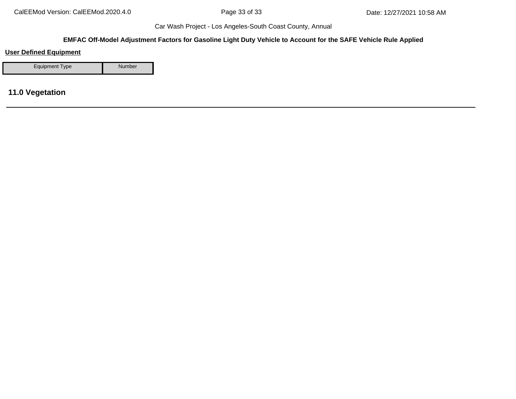#### **EMFAC Off-Model Adjustment Factors for Gasoline Light Duty Vehicle to Account for the SAFE Vehicle Rule Applied**

## **User Defined Equipment**

Equipment Type Number

## **11.0 Vegetation**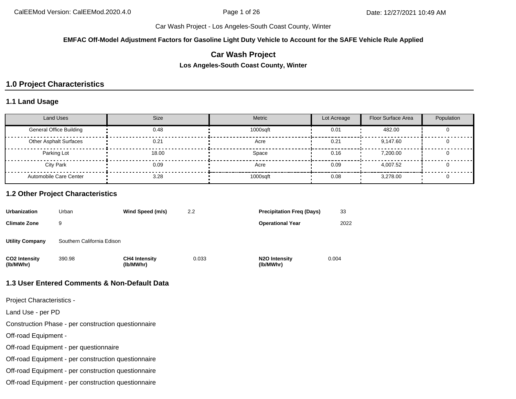**EMFAC Off-Model Adjustment Factors for Gasoline Light Duty Vehicle to Account for the SAFE Vehicle Rule Applied**

## **Car Wash Project**

**Los Angeles-South Coast County, Winter**

## **1.0 Project Characteristics**

#### **1.1 Land Usage**

| <b>Land Uses</b>               | <b>Size</b> | Metric   | Lot Acreage | <b>Floor Surface Area</b> | Population |
|--------------------------------|-------------|----------|-------------|---------------------------|------------|
| <b>General Office Building</b> | 0.48        | 1000sqft | 0.01        | 482.00                    |            |
| <b>Other Asphalt Surfaces</b>  | 0.21        | Acre     | 0.21        | 9,147.60                  |            |
| Parking Lot                    | 18.00       | Space    | 0.16        | 7.200.00                  |            |
| <b>City Park</b>               | 0.09        | Acre     | 0.09        | 4.007.52                  |            |
| Automobile Care Center         | 3.28        | 1000sqft | 0.08        | 3.278.00                  |            |

#### **1.2 Other Project Characteristics**

| <b>Urbanization</b>        | Urban                      | Wind Speed (m/s)                  | 2.2   | <b>Precipitation Freg (Days)</b>        | 33    |
|----------------------------|----------------------------|-----------------------------------|-------|-----------------------------------------|-------|
| <b>Climate Zone</b>        | 9                          |                                   |       | <b>Operational Year</b>                 | 2022  |
| <b>Utility Company</b>     | Southern California Edison |                                   |       |                                         |       |
| CO2 Intensity<br>(lb/MWhr) | 390.98                     | <b>CH4 Intensity</b><br>(lb/MWhr) | 0.033 | N <sub>2</sub> O Intensity<br>(lb/MWhr) | 0.004 |

#### **1.3 User Entered Comments & Non-Default Data**

Project Characteristics -

Land Use - per PD

Construction Phase - per construction questionnaire

Off-road Equipment -

Off-road Equipment - per questionnaire

Off-road Equipment - per construction questionnaire

Off-road Equipment - per construction questionnaire

Off-road Equipment - per construction questionnaire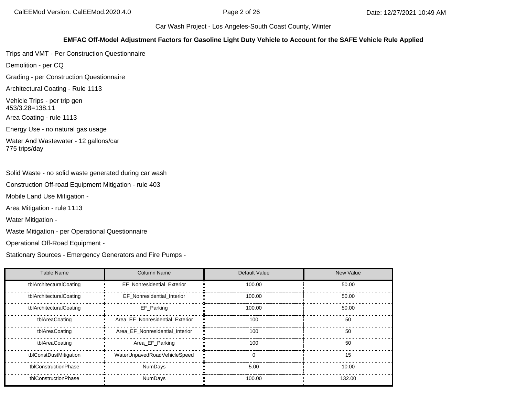#### **EMFAC Off-Model Adjustment Factors for Gasoline Light Duty Vehicle to Account for the SAFE Vehicle Rule Applied**

Trips and VMT - Per Construction Questionnaire

Demolition - per CQ

Grading - per Construction Questionnaire

Architectural Coating - Rule 1113

Vehicle Trips - per trip gen 453/3.28=138.11

Area Coating - rule 1113

Energy Use - no natural gas usage

Water And Wastewater - 12 gallons/car 775 trips/day

Solid Waste - no solid waste generated during car wash

Construction Off-road Equipment Mitigation - rule 403

Mobile Land Use Mitigation -

Area Mitigation - rule 1113

Water Mitigation -

Waste Mitigation - per Operational Questionnaire

Operational Off-Road Equipment -

Stationary Sources - Emergency Generators and Fire Pumps -

| <b>Table Name</b>       | <b>Column Name</b>              | Default Value | <b>New Value</b> |
|-------------------------|---------------------------------|---------------|------------------|
| tblArchitecturalCoating | EF Nonresidential Exterior      | 100.00        | 50.00            |
| tblArchitecturalCoating | EF Nonresidential Interior      | 100.00        | 50.00            |
| tblArchitecturalCoating | EF Parking                      | 100.00        | 50.00            |
| tblAreaCoating          | Area_EF_Nonresidential_Exterior | 100           | 50               |
| tblAreaCoating          | Area EF Nonresidential Interior | 100           | 50               |
| tblAreaCoating          | Area_EF_Parking                 | 100           | 50               |
| tblConstDustMitigation  | WaterUnpavedRoadVehicleSpeed    | $\Omega$      | 15               |
| tblConstructionPhase    | <b>NumDays</b>                  | 5.00          | 10.00            |
| tblConstructionPhase    | <b>NumDays</b>                  | 100.00        | 132.00           |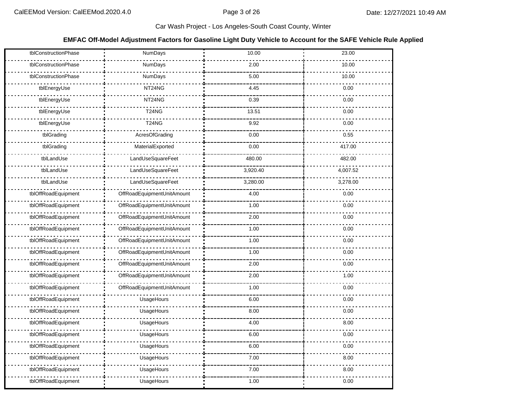#### **EMFAC Off-Model Adjustment Factors for Gasoline Light Duty Vehicle to Account for the SAFE Vehicle Rule Applied**

| tblConstructionPhase | <b>NumDays</b>             | 10.00    | 23.00    |
|----------------------|----------------------------|----------|----------|
| tblConstructionPhase | NumDays                    | 2.00     | 10.00    |
| tblConstructionPhase | NumDays                    | 5.00     | 10.00    |
| tblEnergyUse         | NT24NG                     | 4.45     | 0.00     |
| tblEnergyUse         | NT24NG                     | 0.39     | 0.00     |
| tblEnergyUse         | T24NG                      | 13.51    | 0.00     |
| tblEnergyUse         | <b>T24NG</b>               | 9.92     | 0.00     |
| tblGrading           | AcresOfGrading             | 0.00     | 0.55     |
| tblGrading           | MaterialExported           | 0.00     | 417.00   |
| tblLandUse           | LandUseSquareFeet          | 480.00   | 482.00   |
| tblLandUse           | LandUseSquareFeet          | 3,920.40 | 4,007.52 |
| tblLandUse           | LandUseSquareFeet          | 3,280.00 | 3,278.00 |
| tblOffRoadEquipment  | OffRoadEquipmentUnitAmount | 4.00     | 0.00     |
| tblOffRoadEquipment  | OffRoadEquipmentUnitAmount | 1.00     | 0.00     |
| tblOffRoadEquipment  | OffRoadEquipmentUnitAmount | 2.00     | 0.00     |
| tblOffRoadEquipment  | OffRoadEquipmentUnitAmount | 1.00     | 0.00     |
| tblOffRoadEquipment  | OffRoadEquipmentUnitAmount | 1.00     | 0.00     |
| tblOffRoadEquipment  | OffRoadEquipmentUnitAmount | 1.00     | 0.00     |
| tblOffRoadEquipment  | OffRoadEquipmentUnitAmount | 2.00     | 0.00     |
| tblOffRoadEquipment  | OffRoadEquipmentUnitAmount | 2.00     | 1.00     |
| tblOffRoadEquipment  | OffRoadEquipmentUnitAmount | 1.00     | 0.00     |
| tblOffRoadEquipment  | UsageHours                 | 6.00     | 0.00     |
| tblOffRoadEquipment  | UsageHours                 | 8.00     | 0.00     |
| tblOffRoadEquipment  | UsageHours                 | 4.00     | 8.00     |
| tblOffRoadEquipment  | UsageHours                 | 6.00     | 0.00     |
| tblOffRoadEquipment  | UsageHours                 | 6.00     | 0.00     |
| tblOffRoadEquipment  | UsageHours                 | 7.00     | 8.00     |
| tblOffRoadEquipment  | UsageHours                 | 7.00     | 8.00     |
| tblOffRoadEquipment  | UsageHours                 | 1.00     | 0.00     |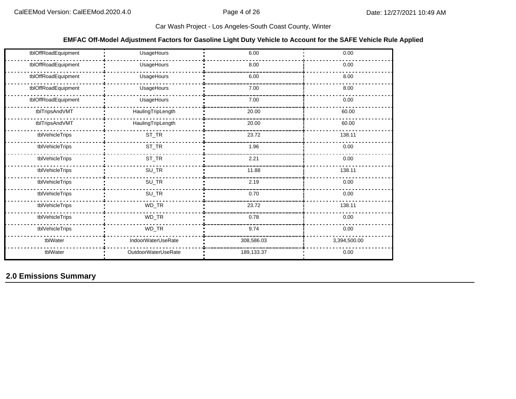#### **EMFAC Off-Model Adjustment Factors for Gasoline Light Duty Vehicle to Account for the SAFE Vehicle Rule Applied**

| tblOffRoadEquipment | UsageHours          | 6.00       | 0.00         |
|---------------------|---------------------|------------|--------------|
| tblOffRoadEquipment | UsageHours          | 8.00       | 0.00         |
| tblOffRoadEquipment | UsageHours          | 6.00       | 8.00         |
| tblOffRoadEquipment | UsageHours          | 7.00       | 8.00         |
| tblOffRoadEquipment | UsageHours          | 7.00       | 0.00         |
| tblTripsAndVMT      | HaulingTripLength   | 20.00      | 60.00        |
| tblTripsAndVMT      | HaulingTripLength   | 20.00      | 60.00        |
| tblVehicleTrips     | $ST_TR$             | 23.72      | 138.11       |
| tblVehicleTrips     | $ST_TR$             | 1.96       | 0.00         |
| tblVehicleTrips     | $\mathsf{ST\_TR}$   | 2.21       | 0.00         |
| tblVehicleTrips     | $SU_TR$             | 11.88      | 138.11       |
| tblVehicleTrips     | $SU_TR$             | 2.19       | 0.00         |
| tblVehicleTrips     | $SU_TR$             | 0.70       | 0.00         |
| tblVehicleTrips     | WD_TR               | 23.72      | 138.11       |
| tblVehicleTrips     | WD_TR               | 0.78       | 0.00         |
| tblVehicleTrips     | WD_TR               | 9.74       | 0.00         |
| tblWater            | IndoorWaterUseRate  | 308,586.03 | 3,394,500.00 |
| tblWater            | OutdoorWaterUseRate | 189,133.37 | 0.00         |

# **2.0 Emissions Summary**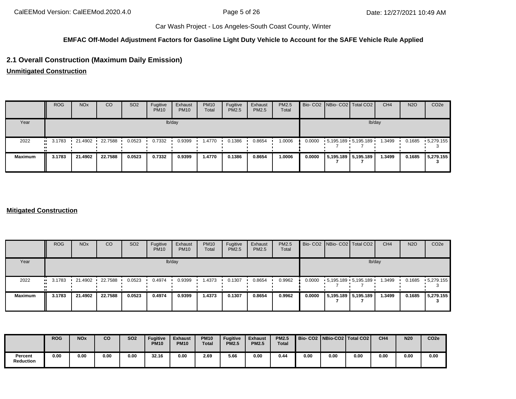## **EMFAC Off-Model Adjustment Factors for Gasoline Light Duty Vehicle to Account for the SAFE Vehicle Rule Applied**

# **2.1 Overall Construction (Maximum Daily Emission)**

**Unmitigated Construction**

|                | <b>ROG</b>            | <b>NO<sub>x</sub></b> | <sub>CO</sub> | SO <sub>2</sub> | Fugitive<br><b>PM10</b> | Exhaust<br><b>PM10</b> | <b>PM10</b><br>Total | Fugitive<br>PM2.5 | Exhaust<br>PM2.5 | PM2.5<br>Total |        | Bio- CO2 NBio- CO2 Total CO2 |                       | CH <sub>4</sub> | <b>N2O</b> | CO <sub>2e</sub>  |
|----------------|-----------------------|-----------------------|---------------|-----------------|-------------------------|------------------------|----------------------|-------------------|------------------|----------------|--------|------------------------------|-----------------------|-----------------|------------|-------------------|
| Year           |                       |                       |               |                 |                         | lb/day                 |                      |                   |                  |                |        |                              |                       | lb/day          |            |                   |
| 2022           | $\blacksquare$ 3.1783 | 21.4902               | 22.7588       | 0.0523          | 0.7332                  | 0.9399                 | 1.4770               | 0.1386            | 0.8654           | 1.0006         | 0.0000 | $5,195.189$ 5,195.189        |                       | 1.3499          | 0.1685     | $\cdot$ 5,279.155 |
| <b>Maximum</b> | 3.1783                | 21.4902               | 22.7588       | 0.0523          | 0.7332                  | 0.9399                 | 1.4770               | 0.1386            | 0.8654           | 1.0006         | 0.0000 |                              | 5,195.189   5,195.189 | 1.3499          | 0.1685     | 5,279.155         |

#### **Mitigated Construction**

|                | <b>ROG</b>            | <b>NO<sub>x</sub></b> | CO      | SO <sub>2</sub> | Fugitive<br><b>PM10</b> | Exhaust<br><b>PM10</b> | <b>PM10</b><br>Total | Fugitive<br><b>PM2.5</b> | Exhaust<br>PM2.5 | PM2.5<br>Total |        |                     | Bio- CO2 NBio- CO2 Total CO2 | CH <sub>4</sub> | <b>N2O</b> | CO <sub>2e</sub>  |
|----------------|-----------------------|-----------------------|---------|-----------------|-------------------------|------------------------|----------------------|--------------------------|------------------|----------------|--------|---------------------|------------------------------|-----------------|------------|-------------------|
| Year           |                       |                       |         |                 |                         | lb/day                 |                      |                          |                  |                |        |                     | lb/day                       |                 |            |                   |
| 2022           | $\blacksquare$ 3.1783 | 21.4902               | 22.7588 | 0.0523          | 0.4974                  | 0.9399                 | 1.4373               | 0.1307                   | 0.8654           | 0.9962         |        |                     | $0.0000$ 5,195.189 5,195.189 | 1.3499          | 0.1685     | $\cdot$ 5,279.155 |
| <b>Maximum</b> | 3.1783                | 21.4902               | 22.7588 | 0.0523          | 0.4974                  | 0.9399                 | 1.4373               | 0.1307                   | 0.8654           | 0.9962         | 0.0000 | 5,195.189 5,195.189 |                              | 1.3499          | 0.1685     | 5,279.155         |

|                      | <b>ROG</b> | <b>NOx</b> | co   | <b>SO2</b> | <b>Fugitive</b><br><b>PM10</b> | <b>Exhaust</b><br><b>PM10</b> | <b>PM10</b><br><b>Total</b> | <b>Fugitive</b><br><b>PM2.5</b> | <b>Exhaust</b><br><b>PM2.5</b> | <b>PM2.5</b><br><b>Total</b> |      |      | Bio- CO2   NBio-CO2   Total CO2 | CH <sub>4</sub> | <b>N20</b> | CO <sub>2e</sub> |
|----------------------|------------|------------|------|------------|--------------------------------|-------------------------------|-----------------------------|---------------------------------|--------------------------------|------------------------------|------|------|---------------------------------|-----------------|------------|------------------|
| Percent<br>Reduction | 0.00       | 0.00       | 0.00 | 0.00       | 32.16                          | 0.00                          | 2.69                        | 5.66                            | 0.00                           | 0.44                         | 0.00 | 0.00 | 0.00                            | 0.00            | 0.00       | 0.00             |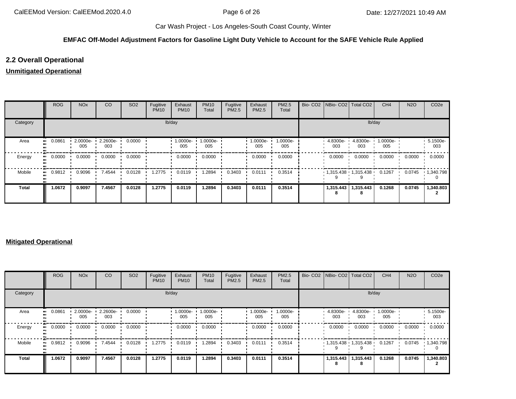## **EMFAC Off-Model Adjustment Factors for Gasoline Light Duty Vehicle to Account for the SAFE Vehicle Rule Applied**

# **2.2 Overall Operational**

# **Unmitigated Operational**

|              | <b>ROG</b>   | <b>NO<sub>x</sub></b> | CO              | SO <sub>2</sub> | Fugitive<br><b>PM10</b> | Exhaust<br><b>PM10</b> | <b>PM10</b><br>Total | Fugitive<br>PM2.5 | Exhaust<br>PM2.5 | PM2.5<br>Total  |                 | Bio- CO2   NBio- CO2   Total CO2 | CH <sub>4</sub> | <b>N2O</b> | CO <sub>2e</sub>  |
|--------------|--------------|-----------------------|-----------------|-----------------|-------------------------|------------------------|----------------------|-------------------|------------------|-----------------|-----------------|----------------------------------|-----------------|------------|-------------------|
| Category     |              |                       |                 |                 |                         | lb/day                 |                      |                   |                  |                 |                 | lb/day                           |                 |            |                   |
| Area         | 0.0861<br>   | 2.0000e-<br>005       | 2.2600e-<br>003 | 0.0000          |                         | 1.0000e-<br>005        | 1.0000e-<br>005      |                   | 1.0000e-<br>005  | 1.0000e-<br>005 | 4.8300e-<br>003 | 4.8300e-<br>003                  | 1.0000e-<br>005 |            | 5.1500e-<br>003   |
| Energy       | 0.0000<br>ш. | 0.0000                | 0.0000          | 0.0000          |                         | 0.0000                 | 0.0000               |                   | 0.0000           | 0.0000          | 0.0000          | 0.0000                           | 0.0000          | 0.0000     | 0.0000            |
| Mobile       | 0.9812<br>   | 0.9096                | 7.4544          | 0.0128          | 1.2775                  | 0.0119                 | 1.2894               | 0.3403            | 0.0111           | 0.3514          |                 | $1,315.438$ $1,315.438$ $1$      | 0.1267          | 0.0745     | $\cdot$ 1,340.798 |
| <b>Total</b> | 1.0672       | 0.9097                | 7.4567          | 0.0128          | 1.2775                  | 0.0119                 | 1.2894               | 0.3403            | 0.0111           | 0.3514          | 1,315.443       | 1,315.443                        | 0.1268          | 0.0745     | 1,340.803         |

#### **Mitigated Operational**

|              | ROG    | <b>NO<sub>x</sub></b> | CO                 | SO <sub>2</sub> | Fugitive<br><b>PM10</b> | Exhaust<br><b>PM10</b> | <b>PM10</b><br>Total | Fugitive<br>PM2.5 | Exhaust<br>PM2.5 | <b>PM2.5</b><br>Total |                 | Bio- CO2 NBio- CO2   Total CO2 | CH <sub>4</sub> | <b>N2O</b> | CO <sub>2</sub> e |
|--------------|--------|-----------------------|--------------------|-----------------|-------------------------|------------------------|----------------------|-------------------|------------------|-----------------------|-----------------|--------------------------------|-----------------|------------|-------------------|
| Category     |        |                       |                    |                 |                         | lb/day                 |                      |                   |                  |                       |                 | lb/day                         |                 |            |                   |
| Area         | 0.0861 | 2.0000e-<br>005       | $2.2600e -$<br>003 | 0.0000          |                         | 1.0000e-<br>005        | 1.0000e-<br>005      |                   | 1.0000e-<br>005  | 1.0000e-<br>005       | 4.8300e-<br>003 | 4.8300e-<br>003                | 1.0000e-<br>005 |            | 5.1500e-<br>003   |
| Energy       | 0.0000 | 0.0000                | 0.0000             | 0.0000          |                         | 0.0000                 | 0.0000               |                   | 0.0000           | 0.0000                | 0.0000          | 0.0000                         | 0.0000          | 0.0000     | 0.0000            |
| Mobile       | 0.9812 | 0.9096                | 7.4544             | 0.0128          | 1.2775                  | 0.0119                 | .2894                | 0.3403            | 0.0111           | 0.3514                |                 | $1,315.438$ $1,315.438$ $1$    | 0.1267          | 0.0745     | $\cdot$ 1,340.798 |
| <b>Total</b> | 1.0672 | 0.9097                | 7.4567             | 0.0128          | 1.2775                  | 0.0119                 | 1.2894               | 0.3403            | 0.0111           | 0.3514                | 1,315.443<br>8  | 1,315.443                      | 0.1268          | 0.0745     | 1,340.803         |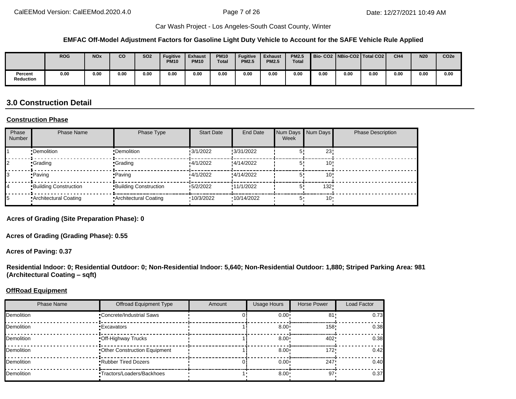#### **EMFAC Off-Model Adjustment Factors for Gasoline Light Duty Vehicle to Account for the SAFE Vehicle Rule Applied**

|                             | <b>ROG</b> | <b>NOx</b> | co   | SO <sub>2</sub> | <b>Fugitive</b><br><b>PM10</b> | <b>Exhaust</b><br><b>PM10</b> | <b>PM10</b><br><b>Total</b> | Fugitive<br><b>PM2.5</b> | <b>Exhaust</b><br><b>PM2.5</b> | <b>PM2.5</b><br><b>Total</b> |      |      | Bio-CO2   NBio-CO2   Total CO2 | CH <sub>4</sub> | <b>N20</b> | CO <sub>2e</sub> |
|-----------------------------|------------|------------|------|-----------------|--------------------------------|-------------------------------|-----------------------------|--------------------------|--------------------------------|------------------------------|------|------|--------------------------------|-----------------|------------|------------------|
| Percent<br><b>Reduction</b> | 0.00       | 0.00       | 0.00 | 0.00            | 0.00                           | 0.00                          | 0.00                        | 0.00                     | 0.00                           | 0.00                         | 0.00 | 0.00 | 0.00                           | 0.00            | 0.00       | 0.00             |

# **3.0 Construction Detail**

#### **Construction Phase**

| Phase<br>Number | <b>Phase Name</b>            | Phase Type                   | <b>Start Date</b> | End Date   | Num Days Num Days<br>Week |                 | <b>Phase Description</b> |
|-----------------|------------------------------|------------------------------|-------------------|------------|---------------------------|-----------------|--------------------------|
|                 | •Demolition                  | •Demolition                  | 3/1/2022          | :3/31/2022 |                           | 23              |                          |
|                 | <b>•Grading</b>              | •Grading                     | 14/1/2022         | :4/14/2022 |                           | 10 <sup>1</sup> |                          |
|                 | •Paving                      | •Paving                      | 4/1/2022          | :4/14/2022 |                           | 10 <sup>1</sup> |                          |
|                 | <b>Building Construction</b> | <b>Building Construction</b> | 5/2/2022          | !11/1/2022 | 51                        | 132!            |                          |
|                 | Architectural Coating        | Architectural Coating        | 10/3/2022         | 10/14/2022 | 5.                        | 10 <sup>1</sup> |                          |

**Acres of Grading (Site Preparation Phase): 0**

**Acres of Grading (Grading Phase): 0.55**

**Acres of Paving: 0.37**

**Residential Indoor: 0; Residential Outdoor: 0; Non-Residential Indoor: 5,640; Non-Residential Outdoor: 1,880; Striped Parking Area: 981 (Architectural Coating – sqft)**

#### **OffRoad Equipment**

| <b>Phase Name</b> | <b>Offroad Equipment Type</b>   | Amount | <b>Usage Hours</b> | Horse Power | Load Factor |
|-------------------|---------------------------------|--------|--------------------|-------------|-------------|
| <b>Demolition</b> | <b>Concrete/Industrial Saws</b> |        | $0.00^{\circ}$     | 81          | 0.73        |
| <b>Demolition</b> | <b>Excavators</b>               |        | $8.00 \div$        | 158"        | 0.38        |
| <b>Demolition</b> | Off-Highway Trucks              |        | $8.00 \div$        | 402         | 0.38        |
| <b>Demolition</b> | Other Construction Equipment    |        | $8.00 \cdot$       | 172"        | 0.42        |
| <b>Demolition</b> | <b>Rubber Tired Dozers</b>      |        | $0.00 \cdot$       | 247         | 0.40        |
| <b>Demolition</b> | •Tractors/Loaders/Backhoes      |        | $8.00 \cdot$       | $97 -$      | 0.37        |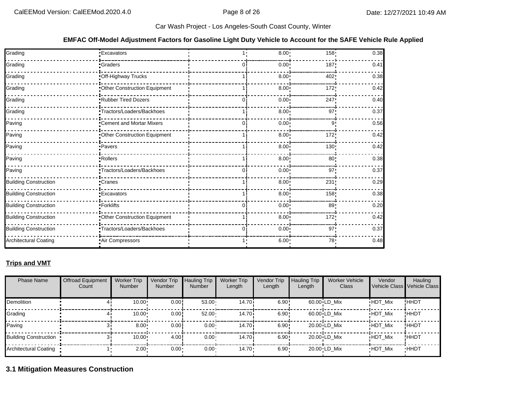#### **EMFAC Off-Model Adjustment Factors for Gasoline Light Duty Vehicle to Account for the SAFE Vehicle Rule Applied**

| Grading                      | •Excavators                  |    | 8.00              | 158 <sub>1</sub> | 0.38 |
|------------------------------|------------------------------|----|-------------------|------------------|------|
| Grading                      | •Graders                     |    | 0.00 <sub>1</sub> | 187              | 0.41 |
| Grading                      | Off-Highway Trucks           |    | 8.00              | 402              | 0.38 |
| Grading                      | Other Construction Equipment |    | 8.00              | 172              | 0.42 |
| Grading                      | Rubber Tired Dozers          | O. | $0.00 \cdot$      | 247              | 0.40 |
| Grading                      | Tractors/Loaders/Backhoes    |    | 8.00 <sup>1</sup> | 97               | 0.37 |
| Paving                       | Cement and Mortar Mixers     | 0  | $0.00 \cdot$      | 9                | 0.56 |
| Paving                       | Other Construction Equipment |    | $8.00 \div$       | 172              | 0.42 |
| Paving                       | Pavers                       |    | $8.00 \div$       | 130              | 0.42 |
| Paving                       | Rollers                      |    | 8.00              | 80               | 0.38 |
| Paving                       | Tractors/Loaders/Backhoes    |    | 0.00              | 97 <sub>1</sub>  | 0.37 |
| <b>Building Construction</b> | •Cranes                      |    | $8.00 \div$       | 231              | 0.29 |
| <b>Building Construction</b> | <b>Excavators</b>            |    | 8.00              | 158              | 0.38 |
| <b>Building Construction</b> | · Forklifts                  |    | 0.00              | 89               | 0.20 |
| <b>Building Construction</b> | Other Construction Equipment |    | 8.00              | 172              | 0.42 |
| <b>Building Construction</b> | Tractors/Loaders/Backhoes    | 0  | $0.00 \cdot$      | 97 <sub>1</sub>  | 0.37 |
| <b>Architectural Coating</b> | Air Compressors              |    | 6.00              | 78 <sup>1</sup>  | 0.48 |

## **Trips and VMT**

| <b>Phase Name</b>     | <b>Offroad Equipment</b><br>Count | <b>Worker Trip</b><br><b>Number</b> | Vendor Trip<br><b>Number</b> | <b>Hauling Trip</b><br><b>Number</b> | <b>Worker Trip</b><br>Length | Vendor Trip<br>Length | <b>Hauling Trip</b><br>Length | <b>Worker Vehicle</b><br>Class | Vendor         | Hauling<br>Vehicle Class Vehicle Class |
|-----------------------|-----------------------------------|-------------------------------------|------------------------------|--------------------------------------|------------------------------|-----------------------|-------------------------------|--------------------------------|----------------|----------------------------------------|
| Demolition            |                                   | 10.00                               | 0.00!                        | $53.00 -$                            | 14.70i                       | $6.90 +$              |                               | $60.00 \cdot LD$ Mix           | <b>HDT Mix</b> | !ННDТ                                  |
| Grading               |                                   | 10.00                               | 0.00!                        | $52.00 \cdot$                        | 14.70i                       | 6.90:                 |                               | $60.00 \cdot LD$ Mix           | <b>HDT Mix</b> | !ННDТ                                  |
| Paving                |                                   | 8.00                                | 0.00                         | $0.00 -$                             | 14.70i                       | 6.90:                 |                               | $20.00 \cdot LD$ Mix           | <b>HDT Mix</b> | !HHDT                                  |
| Building Construction |                                   | 10.00                               | 4.00                         | $0.00 -$                             | 14.70i                       | 6.90:                 |                               | $20.00 \cdot LD$ Mix           | <b>HDT Mix</b> | !ННDТ                                  |
| Architectural Coating |                                   | $2.00 \cdot$                        | 0.00                         | $0.00 \cdot$                         | $14.70 \cdot$                | $6.90 -$              |                               | 20.00 LD Mix                   | <b>HDT Mix</b> | <b>HHDT</b>                            |

# **3.1 Mitigation Measures Construction**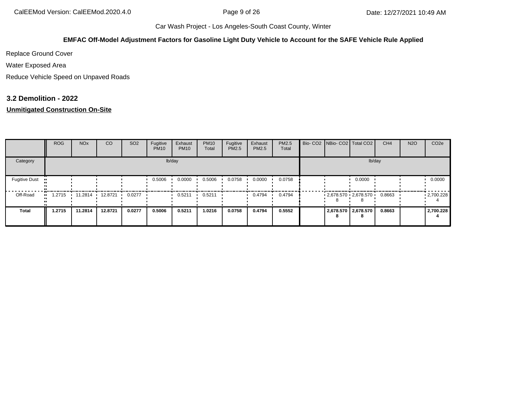#### **EMFAC Off-Model Adjustment Factors for Gasoline Light Duty Vehicle to Account for the SAFE Vehicle Rule Applied**

Replace Ground Cover

Water Exposed Area

Reduce Vehicle Speed on Unpaved Roads

### **3.2 Demolition - 2022**

## **Unmitigated Construction On-Site**

|                                   | <b>ROG</b>    | <b>NO<sub>x</sub></b> | <sub>CO</sub> | SO <sub>2</sub> | Fugitive<br><b>PM10</b> | Exhaust<br><b>PM10</b> | <b>PM10</b><br>Total | Fugitive<br>PM2.5 | Exhaust<br>PM2.5 | <b>PM2.5</b><br>Total |  | Bio- CO2 NBio- CO2 Total CO2 | CH <sub>4</sub> | <b>N2O</b> | CO <sub>2e</sub> |
|-----------------------------------|---------------|-----------------------|---------------|-----------------|-------------------------|------------------------|----------------------|-------------------|------------------|-----------------------|--|------------------------------|-----------------|------------|------------------|
| Category                          |               |                       |               |                 |                         | lb/day                 |                      |                   |                  |                       |  | lb/day                       |                 |            |                  |
| <b>Fugitive Dust</b><br>$\bullet$ |               |                       |               |                 | 0.5006                  | 0.0000                 | 0.5006               | 0.0758            | 0.0000           | 0.0758                |  | 0.0000                       |                 |            | 0.0000           |
| Off-Road                          | 1.2715<br>. . | 11.2814 12.8721       |               | 0.0277          |                         | 0.5211                 | 0.5211               |                   | 0.4794           | 0.4794                |  | $-2.678.570 - 2.678.570$     | 0.8663          |            | .2700.228        |
| <b>Total</b>                      | 1.2715        | 11.2814               | 12.8721       | 0.0277          | 0.5006                  | 0.5211                 | 1.0216               | 0.0758            | 0.4794           | 0.5552                |  | 2,678.570 2,678.570          | 0.8663          |            | 2,700.228        |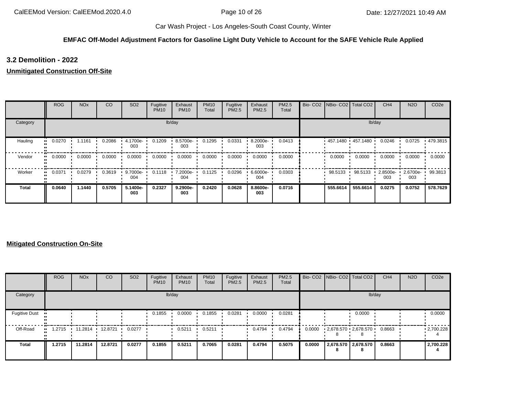## **EMFAC Off-Model Adjustment Factors for Gasoline Light Duty Vehicle to Account for the SAFE Vehicle Rule Applied**

## **3.2 Demolition - 2022**

### **Unmitigated Construction Off-Site**

|          | <b>ROG</b>    | <b>NO<sub>x</sub></b> | CO     | SO <sub>2</sub> | Fugitive<br><b>PM10</b> | Exhaust<br><b>PM10</b> | <b>PM10</b><br>Total | Fugitive<br>PM2.5 | Exhaust<br>PM2.5 | PM2.5<br>Total | Bio- CO2   NBio- CO2   Total CO2 |                   | CH <sub>4</sub> | <b>N2O</b>      | CO <sub>2e</sub> |
|----------|---------------|-----------------------|--------|-----------------|-------------------------|------------------------|----------------------|-------------------|------------------|----------------|----------------------------------|-------------------|-----------------|-----------------|------------------|
| Category |               |                       |        |                 |                         | lb/day                 |                      |                   |                  |                |                                  |                   | lb/day          |                 |                  |
| Hauling  | 0.0270<br>. . | 1.1161                | 0.2086 | 4.1700e-<br>003 | 0.1209                  | 8.5700e-<br>003        | 0.1295               | 0.0331            | 8.2000e-<br>003  | 0.0413         |                                  | 457.1480 457.1480 | 0.0246          | 0.0725          | .479.3815        |
| Vendor   | 0.0000<br>    | 0.0000                | 0.0000 | 0.0000          | 0.0000                  | 0.0000                 | 0.0000               | 0.0000            | 0.0000           | 0.0000         | 0.0000                           | 0.0000            | 0.0000          | 0.0000          | 0.0000           |
| Worker   | 0.0371<br>    | 0.0279                | 0.3619 | 9.7000e-<br>004 | 0.1118                  | 7.2000e-<br>004        | 0.1125               | 0.0296            | 6.6000e-<br>004  | 0.0303         | 98.5133                          | 98.5133           | 2.8500e-<br>003 | 2.6700e-<br>003 | 99.3813          |
| Total    | 0.0640        | 1.1440                | 0.5705 | 5.1400e-<br>003 | 0.2327                  | 9.2900e-<br>003        | 0.2420               | 0.0628            | 8.8600e-<br>003  | 0.0716         | 555.6614                         | 555.6614          | 0.0275          | 0.0752          | 578.7629         |

#### **Mitigated Construction On-Site**

|                      | <b>ROG</b>                | <b>NO<sub>x</sub></b> | <b>CO</b> | SO <sub>2</sub> | Fugitive<br><b>PM10</b> | Exhaust<br><b>PM10</b> | <b>PM10</b><br>Total | Fugitive<br><b>PM2.5</b> | Exhaust<br><b>PM2.5</b> | PM2.5<br>Total |        | Bio- CO2 NBio- CO2 Total CO2 |                           | CH <sub>4</sub> | <b>N2O</b> | CO <sub>2e</sub>  |
|----------------------|---------------------------|-----------------------|-----------|-----------------|-------------------------|------------------------|----------------------|--------------------------|-------------------------|----------------|--------|------------------------------|---------------------------|-----------------|------------|-------------------|
| Category             |                           |                       |           |                 |                         | lb/day                 |                      |                          |                         |                |        |                              | lb/day                    |                 |            |                   |
| <b>Fugitive Dust</b> |                           |                       |           |                 | 0.1855                  | 0.0000                 | 0.1855               | 0.0281                   | 0.0000                  | 0.0281         |        |                              | 0.0000                    |                 |            | 0.0000            |
| Off-Road             | .2715<br>$\blacksquare$ 1 | 11.2814 ·             | 12.8721   | 0.0277          |                         | 0.5211                 | 0.5211               |                          | 0.4794                  | 0.4794         | 0.0000 | $2,678.570$ $2,678.570$      |                           | 0.8663          |            | $\cdot$ 2,700.228 |
| Total                | 1.2715                    | 11.2814               | 12.8721   | 0.0277          | 0.1855                  | 0.5211                 | 0.7065               | 0.0281                   | 0.4794                  | 0.5075         | 0.0000 | 8                            | 2,678.570 2,678.570<br>85 | 0.8663          |            | 2,700.228         |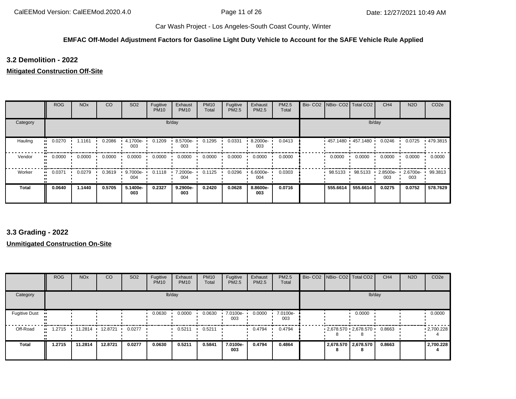#### **EMFAC Off-Model Adjustment Factors for Gasoline Light Duty Vehicle to Account for the SAFE Vehicle Rule Applied**

**3.2 Demolition - 2022**

#### **Mitigated Construction Off-Site**

|          | <b>ROG</b> | <b>NO<sub>x</sub></b> | CO     | SO <sub>2</sub> | Fugitive<br><b>PM10</b> | Exhaust<br><b>PM10</b> | <b>PM10</b><br>Total | Fugitive<br>PM2.5 | Exhaust<br><b>PM2.5</b> | PM2.5<br>Total |          | Bio- CO2   NBio- CO2   Total CO2 | CH <sub>4</sub> | <b>N2O</b>      | CO <sub>2e</sub> |
|----------|------------|-----------------------|--------|-----------------|-------------------------|------------------------|----------------------|-------------------|-------------------------|----------------|----------|----------------------------------|-----------------|-----------------|------------------|
| Category |            |                       |        |                 |                         | lb/day                 |                      |                   |                         |                |          |                                  | lb/day          |                 |                  |
| Hauling  | 0.0270<br> | 1.1161                | 0.2086 | 4.1700e-<br>003 | 0.1209                  | 8.5700e-<br>003        | 0.1295               | 0.0331            | 8.2000e-<br>003         | 0.0413         |          | 457.1480 457.1480 '              | 0.0246          | 0.0725          | .479.3815        |
| Vendor   | 0.0000<br> | 0.0000                | 0.0000 | 0.0000          | 0.0000                  | 0.0000                 | 0.0000               | 0.0000            | 0.0000                  | 0.0000         | 0.0000   | 0.0000                           | 0.0000          | 0.0000          | 0.0000           |
| Worker   | 0.0371<br> | 0.0279                | 0.3619 | 9.7000e-<br>004 | 0.1118                  | 7.2000e-<br>004        | 0.1125               | 0.0296            | 6.6000e-<br>004         | 0.0303         | 98.5133  | 98.5133                          | 2.8500e-<br>003 | 2.6700e-<br>003 | 99.3813          |
| Total    | 0.0640     | 1.1440                | 0.5705 | 5.1400e-<br>003 | 0.2327                  | 9.2900e-<br>003        | 0.2420               | 0.0628            | 8.8600e-<br>003         | 0.0716         | 555.6614 | 555.6614                         | 0.0275          | 0.0752          | 578.7629         |

# **3.3 Grading - 2022**

### **Unmitigated Construction On-Site**

|                      | <b>ROG</b> | <b>NO<sub>x</sub></b> | CO      | SO <sub>2</sub> | Fugitive<br><b>PM10</b> | Exhaust<br><b>PM10</b> | <b>PM10</b><br>Total | Fugitive<br>PM2.5 | Exhaust<br><b>PM2.5</b> | <b>PM2.5</b><br>Total |   | Bio- CO2   NBio- CO2   Total CO2 | CH <sub>4</sub> | <b>N2O</b> | CO <sub>2e</sub>  |
|----------------------|------------|-----------------------|---------|-----------------|-------------------------|------------------------|----------------------|-------------------|-------------------------|-----------------------|---|----------------------------------|-----------------|------------|-------------------|
| Category             |            |                       |         |                 |                         | lb/day                 |                      |                   |                         |                       |   | lb/day                           |                 |            |                   |
| <b>Fugitive Dust</b> |            |                       |         |                 | 0.0630                  | 0.0000                 | 0.0630               | 7.0100e-<br>003   | 0.0000                  | 7.0100e-<br>003       |   | 0.0000                           |                 |            | 0.0000            |
| Off-Road             | 1.2715     | 11.2814               | 12.8721 | 0.0277          |                         | 0.5211                 | 0.5211               |                   | 0.4794                  | 0.4794                |   | $2,678.570$ $2,678.570$          | 0.8663          |            | $\cdot$ 2,700.228 |
| <b>Total</b>         | 1.2715     | 11.2814               | 12.8721 | 0.0277          | 0.0630                  | 0.5211                 | 0.5841               | 7.0100e-<br>003   | 0.4794                  | 0.4864                | 8 | 2,678.570 2,678.570              | 0.8663          |            | 2,700.228         |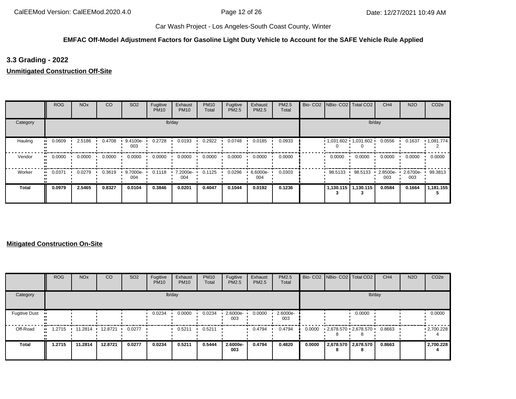## **EMFAC Off-Model Adjustment Factors for Gasoline Light Duty Vehicle to Account for the SAFE Vehicle Rule Applied**

# **3.3 Grading - 2022**

**Unmitigated Construction Off-Site**

|          | <b>ROG</b> | <b>NO<sub>x</sub></b> | CO     | SO <sub>2</sub> | Fugitive<br><b>PM10</b> | Exhaust<br><b>PM10</b> | <b>PM10</b><br>Total | Fugitive<br>PM2.5 | Exhaust<br><b>PM2.5</b> | PM2.5<br>Total | Bio- CO2   NBio- CO2   Total CO2 |                       | CH <sub>4</sub> | <b>N2O</b>      | CO <sub>2e</sub> |
|----------|------------|-----------------------|--------|-----------------|-------------------------|------------------------|----------------------|-------------------|-------------------------|----------------|----------------------------------|-----------------------|-----------------|-----------------|------------------|
| Category |            |                       |        |                 |                         | lb/day                 |                      |                   |                         |                |                                  |                       | lb/day          |                 |                  |
| Hauling  | 0.0609     | 2.5186                | 0.4708 | 9.4100e-<br>003 | 0.2728                  | 0.0193                 | 0.2922               | 0.0748            | 0.0185                  | 0.0933         | $1,031.602$ 1,031.602            |                       | 0.0556          | 0.1637          | 1,081.774        |
| Vendor   | 0.0000<br> | 0.0000                | 0.0000 | 0.0000          | 0.0000                  | 0.0000                 | 0.0000               | 0.0000            | 0.0000                  | 0.0000         | 0.0000                           | 0.0000                | 0.0000          | 0.0000          | 0.0000           |
| Worker   | 0.0371     | 0.0279                | 0.3619 | 9.7000e-<br>004 | 0.1118                  | 7.2000e-<br>004        | 0.1125               | 0.0296            | $6.6000e -$<br>004      | 0.0303         | 98.5133                          | 98.5133               | 2.8500e-<br>003 | 2.6700e-<br>003 | 99.3813          |
| Total    | 0.0979     | 2.5465                | 0.8327 | 0.0104          | 0.3846                  | 0.0201                 | 0.4047               | 0.1044            | 0.0192                  | 0.1236         |                                  | 1,130.115   1,130.115 | 0.0584          | 0.1664          | 1,181.155        |

## **Mitigated Construction On-Site**

|                      | <b>ROG</b> | <b>NO<sub>x</sub></b> | CO      | SO <sub>2</sub> | Fugitive<br><b>PM10</b> | Exhaust<br><b>PM10</b> | <b>PM10</b><br>Total | Fugitive<br>PM2.5 | Exhaust<br>PM2.5 | PM2.5<br>Total  |        | Bio- CO2   NBio- CO2   Total CO2 |                          | CH <sub>4</sub> | <b>N2O</b> | CO <sub>2e</sub>  |
|----------------------|------------|-----------------------|---------|-----------------|-------------------------|------------------------|----------------------|-------------------|------------------|-----------------|--------|----------------------------------|--------------------------|-----------------|------------|-------------------|
| Category             |            |                       |         |                 |                         | lb/day                 |                      |                   |                  |                 |        |                                  | lb/day                   |                 |            |                   |
| <b>Fugitive Dust</b> | . .        |                       |         |                 | 0.0234                  | 0.0000                 | 0.0234               | 2.6000e-<br>003   | 0.0000           | 2.6000e-<br>003 |        |                                  | 0.0000                   |                 |            | 0.0000            |
| Off-Road             | 1.2715<br> | 11.2814               | 12.8721 | 0.0277          |                         | 0.5211                 | 0.5211               |                   | 0.4794           | 0.4794          | 0.0000 | $2,678.570$ $2,678.570$          |                          | 0.8663          |            | $\cdot$ 2,700.228 |
| Total                | 1.2715     | 11.2814               | 12.8721 | 0.0277          | 0.0234                  | 0.5211                 | 0.5444               | 2.6000e-<br>003   | 0.4794           | 0.4820          | 0.0000 | 8                                | 2,678.570 2,678.570<br>8 | 0.8663          |            | 2,700.228         |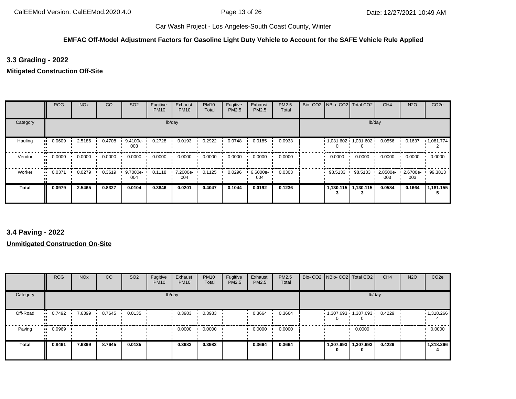## **EMFAC Off-Model Adjustment Factors for Gasoline Light Duty Vehicle to Account for the SAFE Vehicle Rule Applied**

**3.3 Grading - 2022**

**Mitigated Construction Off-Site**

|              | <b>ROG</b> | <b>NO<sub>x</sub></b> | CO     | SO <sub>2</sub> | Fugitive<br><b>PM10</b> | Exhaust<br><b>PM10</b> | <b>PM10</b><br>Total | Fugitive<br>PM2.5 | Exhaust<br>PM2.5 | PM2.5<br>Total |         | Bio- CO2   NBio- CO2   Total CO2 | CH <sub>4</sub> | <b>N2O</b>      | CO <sub>2e</sub>  |
|--------------|------------|-----------------------|--------|-----------------|-------------------------|------------------------|----------------------|-------------------|------------------|----------------|---------|----------------------------------|-----------------|-----------------|-------------------|
| Category     |            |                       |        |                 |                         | lb/day                 |                      |                   |                  |                |         |                                  | lb/day          |                 |                   |
| Hauling      | 0.0609     | 2.5186                | 0.4708 | 9.4100e-<br>003 | 0.2728                  | 0.0193                 | 0.2922               | 0.0748            | 0.0185           | 0.0933         |         | $1,031.602$ 1,031.602            | 0.0556          | 0.1637          | $\cdot$ 1,081.774 |
| Vendor       | 0.0000     | 0.0000                | 0.0000 | 0.0000          | 0.0000                  | 0.0000                 | 0.0000               | 0.0000            | 0.0000           | 0.0000         | 0.0000  | 0.0000                           | 0.0000          | 0.0000          | 0.0000            |
| Worker       | 0.0371     | 0.0279                | 0.3619 | 9.7000e-<br>004 | 0.1118                  | 7.2000e-<br>004        | 0.1125               | 0.0296            | 6.6000e-<br>004  | 0.0303         | 98.5133 | 98.5133                          | 2.8500e-<br>003 | 2.6700e-<br>003 | 99.3813           |
| <b>Total</b> | 0.0979     | 2.5465                | 0.8327 | 0.0104          | 0.3846                  | 0.0201                 | 0.4047               | 0.1044            | 0.0192           | 0.1236         |         | 1,130.115   1,130.115            | 0.0584          | 0.1664          | 1,181.155         |

# **3.4 Paving - 2022**

**Unmitigated Construction On-Site**

|              | <b>ROG</b> | <b>NO<sub>x</sub></b> | <sub>CO</sub> | SO <sub>2</sub> | Fugitive<br><b>PM10</b> | Exhaust<br><b>PM10</b> | <b>PM10</b><br>Total | Fugitive<br><b>PM2.5</b> | Exhaust<br>PM2.5 | PM2.5<br>Total | Bio- CO2 NBio- CO2 Total CO2 |                | CH <sub>4</sub> | <b>N2O</b> | CO <sub>2e</sub>  |
|--------------|------------|-----------------------|---------------|-----------------|-------------------------|------------------------|----------------------|--------------------------|------------------|----------------|------------------------------|----------------|-----------------|------------|-------------------|
| Category     |            |                       |               |                 |                         | lb/day                 |                      |                          |                  |                |                              | lb/day         |                 |            |                   |
| Off-Road     | 0.7492     | 7.6399                | 8.7645        | 0.0135          |                         | 0.3983                 | 0.3983               |                          | 0.3664           | 0.3664         | $1,307.693$ $1,307.693$      | 0              | 0.4229          |            | $\cdot$ 1,318.266 |
| Paving       | 0.0969     |                       |               |                 |                         | 0.0000                 | 0.0000               |                          | 0.0000           | 0.0000         |                              | 0.0000         |                 |            | 0.0000            |
| <b>Total</b> | 0.8461     | 7.6399                | 8.7645        | 0.0135          |                         | 0.3983                 | 0.3983               |                          | 0.3664           | 0.3664         | 1,307.693                    | 1,307.693<br>0 | 0.4229          |            | 1,318.266         |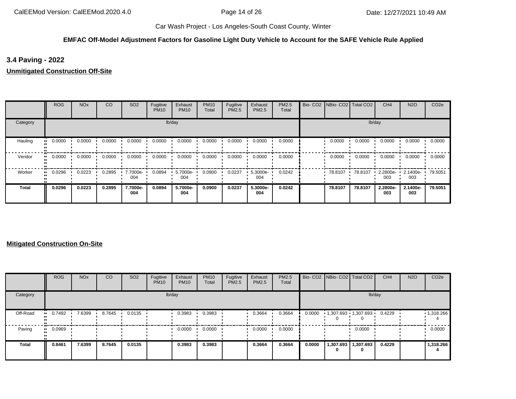## **EMFAC Off-Model Adjustment Factors for Gasoline Light Duty Vehicle to Account for the SAFE Vehicle Rule Applied**

**3.4 Paving - 2022**

**Unmitigated Construction Off-Site**

|          | <b>ROG</b>            | <b>NO<sub>x</sub></b> | CO     | SO <sub>2</sub> | Fugitive<br><b>PM10</b> | Exhaust<br><b>PM10</b> | <b>PM10</b><br>Total | Fugitive<br>PM2.5 | Exhaust<br><b>PM2.5</b> | PM2.5<br>Total | Bio- CO2 NBio- CO2 Total CO2 |         | CH <sub>4</sub> | <b>N2O</b>      | CO <sub>2e</sub> |
|----------|-----------------------|-----------------------|--------|-----------------|-------------------------|------------------------|----------------------|-------------------|-------------------------|----------------|------------------------------|---------|-----------------|-----------------|------------------|
| Category |                       |                       |        |                 |                         | lb/day                 |                      |                   |                         |                |                              |         | lb/day          |                 |                  |
| Hauling  | 0.0000<br>            | 0.0000                | 0.0000 | 0.0000          | 0.0000                  | 0.0000                 | 0.0000               | 0.0000            | 0.0000                  | 0.0000         | 0.0000                       | 0.0000  | 0.0000          | 0.0000          | 0.0000           |
| Vendor   | $\blacksquare$ 0.0000 | 0.0000                | 0.0000 | 0.0000          | 0.0000                  | 0.0000                 | 0.0000               | 0.0000            | 0.0000                  | 0.0000         | 0.0000                       | 0.0000  | 0.0000          | 0.0000          | 0.0000           |
| Worker   | 0.0296                | 0.0223                | 0.2895 | 7.7000e-<br>004 | 0.0894                  | 5.7000e-<br>004        | 0.0900               | 0.0237            | 5.3000e-<br>004         | 0.0242         | 78.8107                      | 78.8107 | 2.2800e-<br>003 | 2.1400e-<br>003 | 79.5051          |
| Total    | 0.0296                | 0.0223                | 0.2895 | 7.7000e-<br>004 | 0.0894                  | 5.7000e-<br>004        | 0.0900               | 0.0237            | 5.3000e-<br>004         | 0.0242         | 78.8107                      | 78.8107 | 2.2800e-<br>003 | 2.1400e-<br>003 | 79.5051          |

#### **Mitigated Construction On-Site**

|              | <b>ROG</b> | <b>NO<sub>x</sub></b> | CO     | SO <sub>2</sub> | Fugitive<br><b>PM10</b> | Exhaust<br><b>PM10</b> | <b>PM10</b><br>Total | Fugitive<br>PM2.5 | Exhaust<br>PM2.5 | <b>PM2.5</b><br>Total |        | Bio- CO2   NBio- CO2   Total CO2 |                              | CH <sub>4</sub> | <b>N2O</b> | CO <sub>2</sub> e |
|--------------|------------|-----------------------|--------|-----------------|-------------------------|------------------------|----------------------|-------------------|------------------|-----------------------|--------|----------------------------------|------------------------------|-----------------|------------|-------------------|
| Category     |            |                       |        |                 |                         | lb/day                 |                      |                   |                  |                       |        |                                  | lb/day                       |                 |            |                   |
| Off-Road     | 0.7492     | 7.6399                | 8.7645 | 0.0135          |                         | 0.3983                 | 0.3983               |                   | 0.3664           | 0.3664                | 0.0000 | . .                              | 1,307.693 1,307.693          | 0.4229          |            | $\cdot$ 1,318.266 |
| Paving       | 0.0969     |                       |        |                 |                         | 0.0000                 | 0.0000               |                   | 0.0000           | 0.0000                |        |                                  | 0.0000                       |                 |            | 0.0000            |
| <b>Total</b> | 0.8461     | 7.6399                | 8.7645 | 0.0135          |                         | 0.3983                 | 0.3983               |                   | 0.3664           | 0.3664                | 0.0000 |                                  | 1,307.693   1,307.693  <br>0 | 0.4229          |            | 1,318.266         |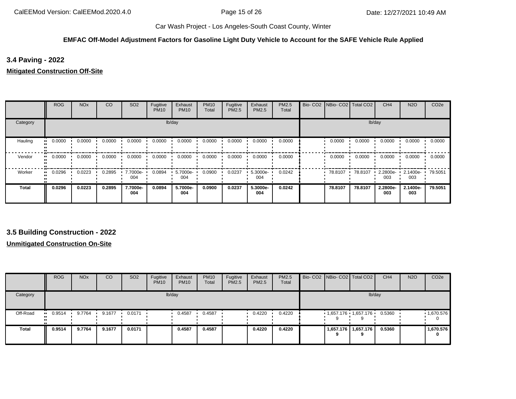## **EMFAC Off-Model Adjustment Factors for Gasoline Light Duty Vehicle to Account for the SAFE Vehicle Rule Applied**

**3.4 Paving - 2022**

**Mitigated Construction Off-Site**

|          | <b>ROG</b> | <b>NO<sub>x</sub></b> | CO     | SO <sub>2</sub> | Fugitive<br><b>PM10</b> | Exhaust<br><b>PM10</b> | <b>PM10</b><br>Total | Fugitive<br>PM2.5 | Exhaust<br><b>PM2.5</b> | PM2.5<br>Total | Bio- CO2   NBio- CO2   Total CO2 |         | CH <sub>4</sub> | <b>N2O</b>      | CO <sub>2e</sub> |
|----------|------------|-----------------------|--------|-----------------|-------------------------|------------------------|----------------------|-------------------|-------------------------|----------------|----------------------------------|---------|-----------------|-----------------|------------------|
| Category |            |                       |        |                 |                         | lb/day                 |                      |                   |                         |                |                                  |         | lb/day          |                 |                  |
| Hauling  | 0.0000     | 0.0000                | 0.0000 | 0.0000          | 0.0000                  | 0.0000                 | 0.0000               | 0.0000            | 0.0000                  | 0.0000         | 0.0000                           | 0.0000  | 0.0000          | 0.0000          | 0.0000           |
| Vendor   | 0.0000     | 0.0000                | 0.0000 | 0.0000          | 0.0000                  | 0.0000                 | 0.0000               | 0.0000            | 0.0000                  | 0.0000         | 0.0000                           | 0.0000  | 0.0000          | 0.0000          | 0.0000           |
| Worker   | 0.0296     | 0.0223                | 0.2895 | 7.7000e-<br>004 | 0.0894                  | 5.7000e-<br>004        | 0.0900               | 0.0237            | 5.3000e-<br>004         | 0.0242         | 78.8107                          | 78.8107 | 2.2800e-<br>003 | 2.1400e-<br>003 | 79.5051          |
| Total    | 0.0296     | 0.0223                | 0.2895 | 7.7000e-<br>004 | 0.0894                  | 5.7000e-<br>004        | 0.0900               | 0.0237            | 5.3000e-<br>004         | 0.0242         | 78.8107                          | 78.8107 | 2.2800e-<br>003 | 2.1400e-<br>003 | 79.5051          |

**3.5 Building Construction - 2022**

**Unmitigated Construction On-Site**

|          | <b>ROG</b>            | NO <sub>x</sub> | CO     | SO <sub>2</sub> | Fugitive<br><b>PM10</b> | Exhaust<br><b>PM10</b> | <b>PM10</b><br>Total | Fugitive<br>PM2.5 | Exhaust<br>PM2.5 | PM2.5<br>Total |           | Bio- CO2 NBio- CO2 Total CO2 | CH <sub>4</sub> | <b>N2O</b> | CO <sub>2e</sub> |
|----------|-----------------------|-----------------|--------|-----------------|-------------------------|------------------------|----------------------|-------------------|------------------|----------------|-----------|------------------------------|-----------------|------------|------------------|
| Category |                       |                 |        |                 |                         | lb/day                 |                      |                   |                  |                |           | lb/day                       |                 |            |                  |
| Off-Road | $\blacksquare$ 0.9514 | 9.7764          | 9.1677 | 0.0171          |                         | 0.4587                 | 0.4587               |                   | 0.4220           | 0.4220         |           | 1,657.176 1,657.176          | 0.5360          |            | 1,670.576        |
| Total    | 0.9514                | 9.7764          | 9.1677 | 0.0171          |                         | 0.4587                 | 0.4587               |                   | 0.4220           | 0.4220         | 1,657.176 | 1,657.176<br>9               | 0.5360          |            | 1,670.576<br>0   |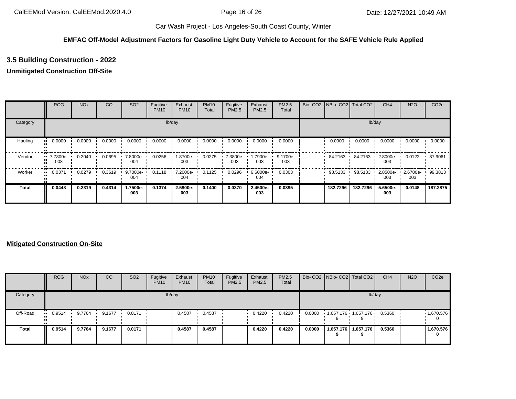## **EMFAC Off-Model Adjustment Factors for Gasoline Light Duty Vehicle to Account for the SAFE Vehicle Rule Applied**

# **3.5 Building Construction - 2022**

# **Unmitigated Construction Off-Site**

|              | <b>ROG</b>                     | <b>NO<sub>x</sub></b> | CO     | SO <sub>2</sub> | Fugitive<br><b>PM10</b> | Exhaust<br><b>PM10</b> | <b>PM10</b><br>Total | Fugitive<br><b>PM2.5</b> | Exhaust<br>PM2.5       | <b>PM2.5</b><br>Total | Bio- CO2   NBio- CO2   Total CO2 |          | CH <sub>4</sub> | <b>N2O</b>      | CO <sub>2e</sub> |
|--------------|--------------------------------|-----------------------|--------|-----------------|-------------------------|------------------------|----------------------|--------------------------|------------------------|-----------------------|----------------------------------|----------|-----------------|-----------------|------------------|
| Category     |                                |                       |        |                 |                         | lb/day                 |                      |                          |                        |                       |                                  |          | lb/day          |                 |                  |
| Hauling      | 0.0000<br>                     | 0.0000                | 0.0000 | 0.0000          | 0.0000                  | 0.0000                 | 0.0000               | 0.0000                   | 0.0000                 | 0.0000                | 0.0000                           | 0.0000   | 0.0000          | 0.0000          | 0.0000           |
| Vendor       | $\blacksquare$ 7.7800e-<br>003 | 0.2040                | 0.0695 | 7.8000e-<br>004 | 0.0256                  | 1.8700e-<br>003        | 0.0275               | 7.3800e-<br>003          | --000e- 1.7900e<br>003 | 9.1700e-<br>003       | 84.2163                          | 84.2163  | 2.8000e-<br>003 | 0.0122          | 87.9061          |
| Worker       | 0.0371<br>                     | 0.0279                | 0.3619 | 9.7000e-<br>004 | 0.1118                  | 7.2000e-<br>004        | 0.1125               | 0.0296                   | 6.6000e-<br>004        | 0.0303                | 98.5133                          | 98.5133  | 2.8500e-<br>003 | 2.6700e-<br>003 | 99.3813          |
| <b>Total</b> | 0.0448                         | 0.2319                | 0.4314 | 1.7500e-<br>003 | 0.1374                  | 2.5900e-<br>003        | 0.1400               | 0.0370                   | 2.4500e-<br>003        | 0.0395                | 182.7296                         | 182.7296 | 5.6500e-<br>003 | 0.0148          | 187.2875         |

### **Mitigated Construction On-Site**

|              | <b>ROG</b> | <b>NO<sub>x</sub></b> | CO     | SO <sub>2</sub> | Fugitive<br><b>PM10</b> | Exhaust<br><b>PM10</b> | <b>PM10</b><br>Total | Fugitive<br>PM2.5 | Exhaust<br><b>PM2.5</b> | PM2.5<br>Total |        | Bio- CO2   NBio- CO2   Total CO2 |                       | CH <sub>4</sub> | <b>N2O</b> | CO <sub>2e</sub>  |
|--------------|------------|-----------------------|--------|-----------------|-------------------------|------------------------|----------------------|-------------------|-------------------------|----------------|--------|----------------------------------|-----------------------|-----------------|------------|-------------------|
| Category     |            |                       |        |                 |                         | lb/day                 |                      |                   |                         |                |        |                                  |                       | lb/day          |            |                   |
| Off-Road     | 0.9514     | 9.7764                | 9.1677 | 0.0171          |                         | 0.4587                 | 0.4587               |                   | 0.4220                  | 0.4220         | 0.0000 | 1,657.176 1,657.176              |                       | 0.5360          |            | $\cdot$ 1,670.576 |
| <b>Total</b> | 0.9514     | 9.7764                | 9.1677 | 0.0171          |                         | 0.4587                 | 0.4587               |                   | 0.4220                  | 0.4220         | 0.0000 | 9                                | 1,657.176   1,657.176 | 0.5360          |            | 1,670.576<br>0    |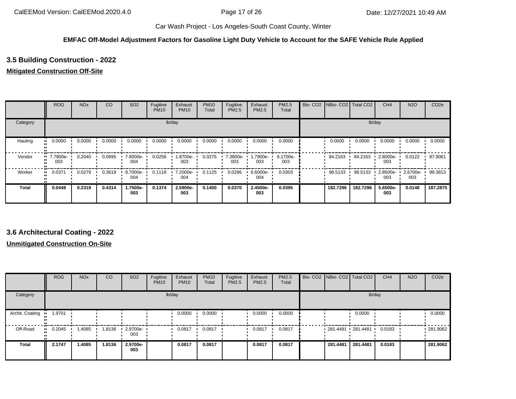## **EMFAC Off-Model Adjustment Factors for Gasoline Light Duty Vehicle to Account for the SAFE Vehicle Rule Applied**

# **3.5 Building Construction - 2022**

#### **Mitigated Construction Off-Site**

|              | <b>ROG</b>                   | <b>NO<sub>x</sub></b> | CO     | SO <sub>2</sub> | Fugitive<br><b>PM10</b> | Exhaust<br><b>PM10</b> | <b>PM10</b><br>Total | Fugitive<br><b>PM2.5</b> | Exhaust<br>PM2.5  | PM2.5<br>Total  | Bio- CO2   NBio- CO2   Total CO2 |          | CH <sub>4</sub>   | <b>N2O</b>      | CO <sub>2e</sub> |
|--------------|------------------------------|-----------------------|--------|-----------------|-------------------------|------------------------|----------------------|--------------------------|-------------------|-----------------|----------------------------------|----------|-------------------|-----------------|------------------|
| Category     |                              |                       |        |                 |                         | lb/day                 |                      |                          |                   |                 |                                  |          | lb/day            |                 |                  |
| Hauling      | 0.0000                       | 0.0000                | 0.0000 | 0.0000          | 0.0000                  | 0.0000                 | 0.0000               | 0.0000                   | 0.0000            | 0.0000          | 0.0000                           | 0.0000   | 0.0000            | 0.0000          | 0.0000           |
| Vendor       | 7.7800e-<br>$\bullet$<br>003 | 0.2040                | 0.0695 | 7.8000e-<br>004 | 0.0256                  | 1.8700e-<br>003        | 0.0275               | 7.3800e-<br>003          | --7900e. ا<br>003 | 9.1700e-<br>003 | 84.2163                          | 84.2163  | $2.8000e-$<br>003 | 0.0122          | 87.9061          |
| Worker       | 0.0371                       | 0.0279                | 0.3619 | 9.7000e-<br>004 | 0.1118                  | 7.2000e-<br>004        | 0.1125               | 0.0296                   | 6.6000e-<br>004   | 0.0303          | 98.5133                          | 98.5133  | 2.8500e-<br>003   | 2.6700e-<br>003 | 99.3813          |
| <b>Total</b> | 0.0448                       | 0.2319                | 0.4314 | 1.7500e-<br>003 | 0.1374                  | 2.5900e-<br>003        | 0.1400               | 0.0370                   | 2.4500e-<br>003   | 0.0395          | 182.7296                         | 182.7296 | 5.6500e-<br>003   | 0.0148          | 187.2875         |

# **3.6 Architectural Coating - 2022**

### **Unmitigated Construction On-Site**

|                 | <b>ROG</b> | <b>NO<sub>x</sub></b> | CO     | SO <sub>2</sub> | Fugitive<br><b>PM10</b> | Exhaust<br><b>PM10</b> | <b>PM10</b><br>Total | Fugitive<br>PM2.5 | Exhaust<br><b>PM2.5</b> | <b>PM2.5</b><br>Total | Bio- CO2   NBio- CO2   Total CO2 |          | CH <sub>4</sub> | <b>N2O</b> | CO <sub>2e</sub> |
|-----------------|------------|-----------------------|--------|-----------------|-------------------------|------------------------|----------------------|-------------------|-------------------------|-----------------------|----------------------------------|----------|-----------------|------------|------------------|
| Category        |            |                       |        |                 |                         | lb/day                 |                      |                   |                         |                       |                                  | lb/day   |                 |            |                  |
| Archit. Coating | 1.9701     |                       |        |                 |                         | 0.0000                 | 0.0000               |                   | 0.0000                  | 0.0000                |                                  | 0.0000   |                 |            | 0.0000           |
| Off-Road        | 0.2045     | .4085                 | 1.8136 | 2.9700e-<br>003 |                         | 0.0817                 | 0.0817               |                   | 0.0817                  | 0.0817                | 281.4481 281.4481                |          | 0.0183          |            | .281.9062        |
| <b>Total</b>    | 2.1747     | 1.4085                | 1.8136 | 2.9700e-<br>003 |                         | 0.0817                 | 0.0817               |                   | 0.0817                  | 0.0817                | 281.4481                         | 281.4481 | 0.0183          |            | 281.9062         |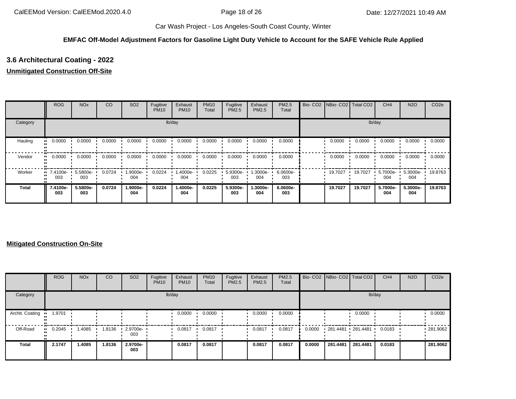## **EMFAC Off-Model Adjustment Factors for Gasoline Light Duty Vehicle to Account for the SAFE Vehicle Rule Applied**

# **3.6 Architectural Coating - 2022**

#### **Unmitigated Construction Off-Site**

|          | <b>ROG</b>                     | <b>NO<sub>x</sub></b> | CO     | SO <sub>2</sub> | Fugitive<br><b>PM10</b> | Exhaust<br><b>PM10</b> | <b>PM10</b><br>Total | Fugitive<br>PM2.5 | Exhaust<br><b>PM2.5</b> | PM2.5<br>Total  | Bio- CO2   NBio- CO2   Total CO2 |         | CH <sub>4</sub> | <b>N2O</b>      | CO <sub>2e</sub> |
|----------|--------------------------------|-----------------------|--------|-----------------|-------------------------|------------------------|----------------------|-------------------|-------------------------|-----------------|----------------------------------|---------|-----------------|-----------------|------------------|
| Category |                                |                       |        |                 |                         | lb/day                 |                      |                   |                         |                 |                                  |         | lb/day          |                 |                  |
| Hauling  | 0.0000<br>                     | 0.0000                | 0.0000 | 0.0000          | 0.0000                  | 0.0000                 | 0.0000               | 0.0000            | 0.0000                  | 0.0000          | 0.0000                           | 0.0000  | 0.0000          | 0.0000          | 0.0000           |
| Vendor   | 0.0000<br>                     | 0.0000                | 0.0000 | 0.0000          | 0.0000                  | 0.0000                 | 0.0000               | 0.0000            | 0.0000                  | 0.0000          | 0.0000                           | 0.0000  | 0.0000          | 0.0000          | 0.0000           |
| Worker   | $\blacksquare$ 7.4100e-<br>003 | 5.5800e-<br>003       | 0.0724 | 1.9000e-<br>004 | 0.0224                  | 1.4000e-<br>004        | 0.0225               | 5.9300e-<br>003   | -3000e-<br>004          | 6.0600e-<br>003 | 19.7027                          | 19.7027 | 5.7000e-<br>004 | 5.3000e-<br>004 | 19.8763          |
| Total    | 7.4100e-<br>003                | 5.5800e-<br>003       | 0.0724 | 1.9000e-<br>004 | 0.0224                  | 1.4000e-<br>004        | 0.0225               | 5.9300e-<br>003   | 1.3000e-<br>004         | 6.0600e-<br>003 | 19.7027                          | 19.7027 | 5.7000e-<br>004 | 5.3000e-<br>004 | 19.8763          |

#### **Mitigated Construction On-Site**

|                 | <b>ROG</b>    | <b>NO<sub>x</sub></b> | CO     | SO <sub>2</sub> | Fugitive<br><b>PM10</b> | Exhaust<br><b>PM10</b> | <b>PM10</b><br>Total | Fugitive<br><b>PM2.5</b> | Exhaust<br>PM2.5 | <b>PM2.5</b><br>Total |        | Bio- CO2 NBio- CO2 Total CO2 |          | CH <sub>4</sub> | <b>N2O</b> | CO <sub>2e</sub> |
|-----------------|---------------|-----------------------|--------|-----------------|-------------------------|------------------------|----------------------|--------------------------|------------------|-----------------------|--------|------------------------------|----------|-----------------|------------|------------------|
| Category        |               |                       |        |                 |                         | lb/day                 |                      |                          |                  |                       |        |                              | lb/day   |                 |            |                  |
| Archit. Coating | 1.9701<br>.   |                       |        |                 |                         | 0.0000                 | 0.0000               |                          | 0.0000           | 0.0000                |        |                              | 0.0000   |                 |            | 0.0000           |
| Off-Road        | 0.2045<br>. . | .4085                 | 1.8136 | 2.9700e-<br>003 |                         | 0.0817                 | 0.0817               |                          | 0.0817           | 0.0817                | 0.0000 | 281.4481 281.4481            |          | 0.0183          |            | .281.9062        |
| <b>Total</b>    | 2.1747        | 1.4085                | 1.8136 | 2.9700e-<br>003 |                         | 0.0817                 | 0.0817               |                          | 0.0817           | 0.0817                | 0.0000 | 281.4481                     | 281.4481 | 0.0183          |            | 281.9062         |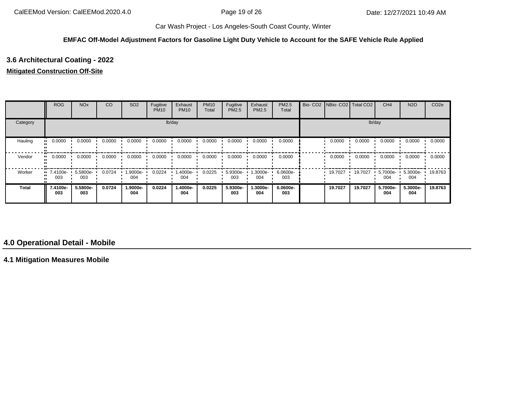#### **EMFAC Off-Model Adjustment Factors for Gasoline Light Duty Vehicle to Account for the SAFE Vehicle Rule Applied**

# **3.6 Architectural Coating - 2022**

#### **Mitigated Construction Off-Site**

|              | <b>ROG</b>                     | <b>NO<sub>x</sub></b> | <sub>CO</sub> | SO <sub>2</sub> | Fugitive<br><b>PM10</b> | Exhaust<br><b>PM10</b> | <b>PM10</b><br>Total | Fugitive<br>PM2.5 | Exhaust<br><b>PM2.5</b> | PM2.5<br>Total  | Bio- CO2   NBio- CO2   Total CO2 |         | CH <sub>4</sub> | <b>N2O</b>      | CO <sub>2e</sub> |
|--------------|--------------------------------|-----------------------|---------------|-----------------|-------------------------|------------------------|----------------------|-------------------|-------------------------|-----------------|----------------------------------|---------|-----------------|-----------------|------------------|
| Category     |                                |                       |               |                 |                         | lb/day                 |                      |                   |                         |                 |                                  |         | lb/day          |                 |                  |
| Hauling      | 0.0000                         | 0.0000                | 0.0000        | 0.0000          | 0.0000                  | 0.0000                 | 0.0000               | 0.0000            | 0.0000                  | 0.0000          | 0.0000                           | 0.0000  | 0.0000          | 0.0000          | 0.0000           |
| Vendor       | 0.0000                         | 0.0000                | 0.0000        | 0.0000          | 0.0000                  | 0.0000                 | 0.0000               | 0.0000            | 0.0000                  | 0.0000          | 0.0000                           | 0.0000  | 0.0000          | 0.0000          | 0.0000           |
| Worker       | $\blacksquare$ 7.4100e-<br>003 | 5.5800e-<br>003       | 0.0724        | 1.9000e-<br>004 | 0.0224                  | 1.4000e-<br>004        | 0.0225               | 5.9300e-<br>003   | --3000e<br>004          | 6.0600e-<br>003 | 19.7027                          | 19.7027 | 5.7000e-<br>004 | 5.3000e-<br>004 | 19.8763          |
| <b>Total</b> | 7.4100e-<br>003                | 5.5800e-<br>003       | 0.0724        | 1.9000e-<br>004 | 0.0224                  | 1.4000e-<br>004        | 0.0225               | 5.9300e-<br>003   | 1.3000e-<br>004         | 6.0600e-<br>003 | 19.7027                          | 19.7027 | 5.7000e-<br>004 | 5.3000e-<br>004 | 19.8763          |

# **4.0 Operational Detail - Mobile**

**4.1 Mitigation Measures Mobile**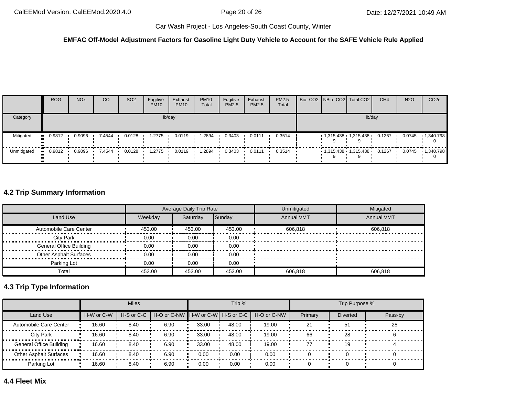#### **EMFAC Off-Model Adjustment Factors for Gasoline Light Duty Vehicle to Account for the SAFE Vehicle Rule Applied**

|             | <b>ROG</b> | <b>NO<sub>x</sub></b> | <sub>CO</sub> | SO <sub>2</sub> | Fugitive<br><b>PM10</b> | Exhaust<br><b>PM10</b> | <b>PM10</b><br>Total | Fugitive<br><b>PM2.5</b> | Exhaust<br><b>PM2.5</b> | PM2.5<br>Total          |  | Bio- CO2 NBio- CO2 Total CO2 | CH <sub>4</sub> | <b>N2O</b> | CO <sub>2</sub> e |
|-------------|------------|-----------------------|---------------|-----------------|-------------------------|------------------------|----------------------|--------------------------|-------------------------|-------------------------|--|------------------------------|-----------------|------------|-------------------|
| Category    |            |                       |               |                 |                         | lb/day                 |                      |                          |                         |                         |  | lb/day                       |                 |            |                   |
| Mitigated   | 0.9812     | 0.9096                | 7.4544        | 0.0128          | 1.2775                  | 0.0119                 | .2894                | 0.3403                   | 0.0111                  | 0.3514                  |  | $1,315.438$ $1,315.438$      | 0.1267          | 0.0745     | 1,340.798         |
| Unmitigated | $-0.9812$  |                       | 0.9096 7.4544 | 0.0128          | 1.2775                  | 0.0119                 | 1.2894               | 0.3403                   | 0.0111                  | $0.3514$ $\blacksquare$ |  | $1,315.438$ $1,315.438$      | 0.1267          | 0.0745     | 1,340.798         |

# **4.2 Trip Summary Information**

|                                |         | Average Daily Trip Rate |        | Unmitigated       | Mitigated         |
|--------------------------------|---------|-------------------------|--------|-------------------|-------------------|
| Land Use                       | Weekdav | Saturday                | Sunday | <b>Annual VMT</b> | <b>Annual VMT</b> |
| Automobile Care Center         | 453.00  | 453.00                  | 453.00 | 606.818           | 606.818           |
| <b>City Park</b>               | 0.00    | 0.00                    | 0.00   |                   |                   |
| <b>General Office Building</b> | 0.00    | 0.00                    | 0.00   |                   |                   |
| <b>Other Asphalt Surfaces</b>  | 0.00    | 0.00                    | 0.00   |                   |                   |
| Parking Lot                    | 0.00    | 0.00                    | 0.00   |                   |                   |
| Total                          | 453.00  | 453.00                  | 453.00 | 606.818           | 606.818           |

# **4.3 Trip Type Information**

|                               |            | <b>Miles</b>   |                                     |       | Trip % |             |         | Trip Purpose %  |         |
|-------------------------------|------------|----------------|-------------------------------------|-------|--------|-------------|---------|-----------------|---------|
| Land Use                      | H-W or C-W | $H-S$ or $C-C$ | H-O or C-NW H-W or C-W H-S or C-C I |       |        | H-O or C-NW | Primary | <b>Diverted</b> | Pass-by |
| Automobile Care Center        | 16.60      | 8.40           | 6.90                                | 33.00 | 48.00  | 19.00       | 21      | 51              | 28      |
| City Park                     | 16.60      | 8.40           | 6.90                                | 33.00 | 48.00  | 19.00       | 66      | 28              |         |
| General Office Building       | 16.60      | 8.40           | 6.90                                | 33.00 | 48.00  | 19.00       | 77      | 19              |         |
| <b>Other Asphalt Surfaces</b> | 16.60      | 8.40           | 6.90                                | 0.00  | 0.00   | 0.00        |         |                 |         |
| Parking Lot                   | 16.60      | 8.40           | 6.90                                | 0.00  | 0.00   | 0.00        |         |                 |         |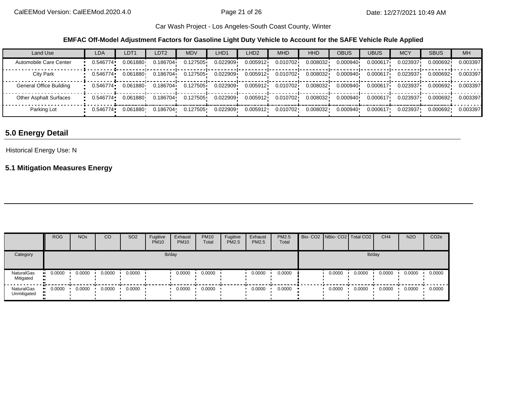**EMFAC Off-Model Adjustment Factors for Gasoline Light Duty Vehicle to Account for the SAFE Vehicle Rule Applied**

| Land Use                      | <b>LDA</b> | LDT <sub>1</sub> | LDT <sub>2</sub> | <b>MDV</b> | LHD1     | LHD <sub>2</sub> | <b>MHD</b> | HHD      | <b>OBUS</b> | <b>UBUS</b> | <b>MCY</b> | <b>SBUS</b> | <b>MH</b> |
|-------------------------------|------------|------------------|------------------|------------|----------|------------------|------------|----------|-------------|-------------|------------|-------------|-----------|
| Automobile Care Center        | 0.546774   | 0.061880         | 0.186704         | 0.127505   | 0.022909 | 0.005912         | 0.010702   | 0.008032 | 0.000940    | 0.000617    | 0.023937   | 0.000692    | 0.003397  |
| City Park                     | 0.546774   | 0.061880         | 0.186704         | 0.127505   | 0.022909 | 0.005912         | 0.010702   | 0.008032 | 0.000940    | 0.000617    | 0.023937   | 0.000692    | 0.003397  |
| General Office Building       | 0.546774   | 0.061880         | 0.186704         | 0.127505   | 0.022909 | 0.005912         | 0.010702   | 0.008032 | 0.000940    | 0.000617    | 0.023937   | 0.000692    | 0.003397  |
| <b>Other Asphalt Surfaces</b> | 0.546774   | 0.061880         | 0.186704         | 0.127505   | 0.022909 | 0.005912         | 0.010702   | 0.008032 | 0.000940    | 0.000617    | 0.023937   | 0.000692    | 0.003397  |
| Parking Lot                   | 0.546774•  | 0.061880         | 0.186704         | 0.127505   | 0.022909 | 0.005912         | 0.010702   | 0.008032 | 0.000940    | 0.000617    | 0.023937   | 0.000692    | 0.003397  |

# **5.0 Energy Detail**

### Historical Energy Use: N

# **5.1 Mitigation Measures Energy**

|                           | <b>ROG</b>    | <b>NO<sub>x</sub></b> | CO     | SO <sub>2</sub> | Fugitive<br><b>PM10</b> | Exhaust<br><b>PM10</b> | <b>PM10</b><br>Total | Fugitive<br>PM2.5 | Exhaust<br>PM2.5 | PM2.5<br>Total | Bio- CO2   NBio- CO2   Total CO2 |        | CH <sub>4</sub> | <b>N2O</b> | CO <sub>2e</sub> |
|---------------------------|---------------|-----------------------|--------|-----------------|-------------------------|------------------------|----------------------|-------------------|------------------|----------------|----------------------------------|--------|-----------------|------------|------------------|
| Category                  |               |                       |        |                 |                         | lb/day                 |                      |                   |                  |                |                                  | lb/day |                 |            |                  |
| NaturalGas<br>Mitigated   | 0.0000<br>. . | 0.0000                | 0.0000 | 0.0000          |                         | 0.0000                 | 0.0000               |                   | 0.0000           | 0.0000         | 0.0000                           | 0.0000 | 0.0000          | 0.0000     | 0.0000           |
| NaturalGas<br>Unmitigated | $-0.0000$     | 0.0000                | 0.0000 | 0.0000          |                         | 0.0000                 | 0.0000               |                   | 0.0000           | 0.0000         | 0.0000                           | 0.0000 | 0.0000          | 0.0000     | 0.0000           |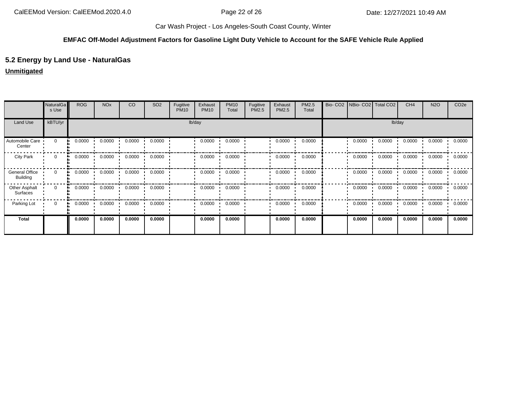## **EMFAC Off-Model Adjustment Factors for Gasoline Light Duty Vehicle to Account for the SAFE Vehicle Rule Applied**

# **5.2 Energy by Land Use - NaturalGas**

#### **Unmitigated**

|                                          | NaturalGa<br>s Use | <b>ROG</b> | <b>NO<sub>x</sub></b> | CO     | SO <sub>2</sub> | Fugitive<br><b>PM10</b> | Exhaust<br><b>PM10</b> | <b>PM10</b><br>Total | Fugitive<br>PM2.5 | Exhaust<br>PM2.5 | PM2.5<br>Total | Bio-CO <sub>2</sub> |        | NBio- CO2   Total CO2 | CH <sub>4</sub> | <b>N2O</b> | CO <sub>2e</sub> |
|------------------------------------------|--------------------|------------|-----------------------|--------|-----------------|-------------------------|------------------------|----------------------|-------------------|------------------|----------------|---------------------|--------|-----------------------|-----------------|------------|------------------|
| Land Use                                 | kBTU/yr            |            |                       |        |                 | lb/day                  |                        |                      |                   |                  |                |                     |        | lb/day                |                 |            |                  |
| Automobile Care<br>Center                | $\mathbf 0$        | 0.0000     | 0.0000                | 0.0000 | 0.0000          |                         | 0.0000                 | 0.0000               |                   | 0.0000           | 0.0000         |                     | 0.0000 | 0.0000                | 0.0000          | 0.0000     | 0.0000           |
| <b>City Park</b>                         | 0                  | 0.0000     | 0.0000                | 0.0000 | 0.0000          |                         | 0.0000                 | 0.0000               |                   | 0.0000           | 0.0000         |                     | 0.0000 | 0.0000                | 0.0000          | 0.0000     | 0.0000           |
| <b>General Office</b><br><b>Building</b> | $\mathbf 0$        | 0.0000     | 0.0000                | 0.0000 | 0.0000          |                         | 0.0000                 | 0.0000               |                   | 0.0000           | 0.0000         |                     | 0.0000 | 0.0000                | 0.0000          | 0.0000     | 0.0000           |
| Other Asphalt<br>Surfaces                | $\mathbf 0$        | 0.0000     | 0.0000                | 0.0000 | 0.0000          |                         | 0.0000                 | 0.0000               |                   | 0.0000           | 0.0000         |                     | 0.0000 | 0.0000                | 0.0000          | 0.0000     | 0.0000           |
| Parking Lot                              | 0                  | 0.0000     | 0.0000                | 0.0000 | 0.0000          |                         | 0.0000                 | 0.0000               |                   | 0.0000           | 0.0000         |                     | 0.0000 | 0.0000                | 0.0000          | 0.0000     | 0.0000           |
| <b>Total</b>                             |                    | 0.0000     | 0.0000                | 0.0000 | 0.0000          |                         | 0.0000                 | 0.0000               |                   | 0.0000           | 0.0000         |                     | 0.0000 | 0.0000                | 0.0000          | 0.0000     | 0.0000           |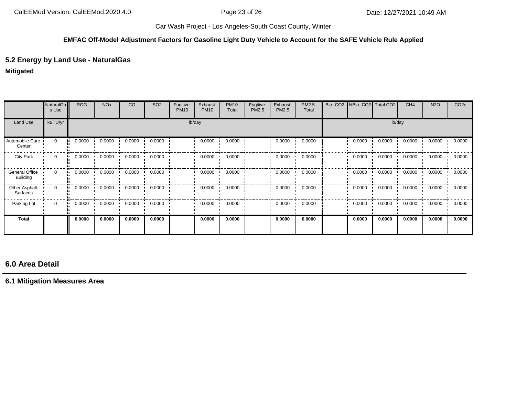#### **EMFAC Off-Model Adjustment Factors for Gasoline Light Duty Vehicle to Account for the SAFE Vehicle Rule Applied**

# **5.2 Energy by Land Use - NaturalGas**

### **Mitigated**

|                            | <b>NaturalGa</b><br>s Use | <b>ROG</b>   | <b>NO<sub>x</sub></b> | CO     | SO <sub>2</sub> | Fugitive<br><b>PM10</b> | Exhaust<br><b>PM10</b> | <b>PM10</b><br>Total | Fugitive<br>PM2.5 | Exhaust<br>PM2.5 | PM2.5<br>Total | Bio-CO <sub>2</sub> | NBio- CO2   Total CO2 |        | CH <sub>4</sub> | <b>N2O</b> | CO <sub>2e</sub> |
|----------------------------|---------------------------|--------------|-----------------------|--------|-----------------|-------------------------|------------------------|----------------------|-------------------|------------------|----------------|---------------------|-----------------------|--------|-----------------|------------|------------------|
| Land Use                   | kBTU/yr                   |              |                       |        |                 |                         | lb/day                 |                      |                   |                  |                |                     |                       | lb/day |                 |            |                  |
| Automobile Care<br>Center  | $\mathbf 0$               | 0.0000       | 0.0000                | 0.0000 | 0.0000          |                         | 0.0000                 | 0.0000               |                   | 0.0000           | 0.0000         |                     | 0.0000                | 0.0000 | 0.0000          | 0.0000     | 0.0000           |
| <b>City Park</b>           | $\mathbf{0}$              | 0.0000       | 0.0000                | 0.0000 | 0.0000          |                         | 0.0000                 | 0.0000               |                   | 0.0000           | 0.0000         |                     | 0.0000                | 0.0000 | 0.0000          | 0.0000     | 0.0000           |
| General Office<br>Building | $\Omega$<br>a bar         | 0.0000       | 0.0000                | 0.0000 | 0.0000          |                         | 0.0000                 | 0.0000               |                   | 0.0000           | 0.0000         |                     | 0.0000                | 0.0000 | 0.0000          | 0.0000     | 0.0000           |
| Other Asphalt<br>Surfaces  | $\mathbf{0}$              | 0.0000<br>ш. | 0.0000                | 0.0000 | 0.0000          |                         | 0.0000                 | 0.0000               |                   | 0.0000           | 0.0000         |                     | 0.0000                | 0.0000 | 0.0000          | 0.0000     | 0.0000           |
| Parking Lot                | $\mathbf{0}$              | 0.0000<br>ш. | 0.0000                | 0.0000 | 0.0000          |                         | 0.0000                 | 0.0000               |                   | 0.0000           | 0.0000         |                     | 0.0000                | 0.0000 | 0.0000          | 0.0000     | 0.0000           |
| Total                      |                           | 0.0000       | 0.0000                | 0.0000 | 0.0000          |                         | 0.0000                 | 0.0000               |                   | 0.0000           | 0.0000         |                     | 0.0000                | 0.0000 | 0.0000          | 0.0000     | 0.0000           |

# **6.0 Area Detail**

# **6.1 Mitigation Measures Area**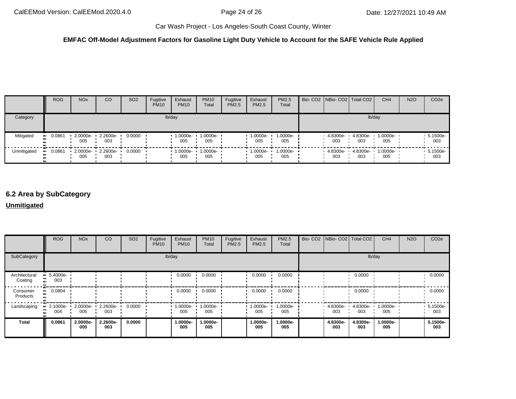#### **EMFAC Off-Model Adjustment Factors for Gasoline Light Duty Vehicle to Account for the SAFE Vehicle Rule Applied**

|             | <b>ROG</b>    | <b>NO<sub>x</sub></b> | CO                       | SO <sub>2</sub> | Fugitive<br><b>PM10</b> | Exhaust<br><b>PM10</b> | <b>PM10</b><br>Total | Fugitive<br><b>PM2.5</b> | Exhaust<br><b>PM2.5</b> | <b>PM2.5</b><br>Total | Bio- CO2   NBio- CO2   Total CO2 |                 | CH <sub>4</sub>          | <b>N2O</b> | CO <sub>2e</sub> |
|-------------|---------------|-----------------------|--------------------------|-----------------|-------------------------|------------------------|----------------------|--------------------------|-------------------------|-----------------------|----------------------------------|-----------------|--------------------------|------------|------------------|
| Category    |               |                       |                          |                 |                         | lb/day                 |                      |                          |                         |                       |                                  | lb/day          |                          |            |                  |
| Mitigated   | 0.0861<br>.   | 005                   | 2.0000e- 2.2600e-<br>003 | 0.0000          |                         | 1.0000e-<br>005        | 1.0000e-<br>005      |                          | 1.0000e-<br>005         | 1.0000e-<br>005       | 4.8300e-<br>003                  | 4.8300e-<br>003 | 1.0000e-<br>005          |            | 5.1500e-<br>003  |
| Unmitigated | 0.0861<br>. . | 005                   | 2.0000e- 2.2600e-<br>003 | 0.0000          |                         | $-1.0000e -$<br>005    | 1.0000e-<br>005      |                          | $1.0000e -$<br>005      | $1.0000e-$<br>005     | 4.8300e-<br>003                  | 003             | 4.8300e- 1.0000e-<br>005 |            | 5.1500e-<br>003  |

# **6.2 Area by SubCategory**

**Unmitigated**

|                          | <b>ROG</b>             | <b>NO<sub>x</sub></b> | CO              | SO <sub>2</sub> | Fugitive<br><b>PM10</b> | Exhaust<br><b>PM10</b> | <b>PM10</b><br>Total | Fugitive<br><b>PM2.5</b> | Exhaust<br>PM2.5 | PM2.5<br>Total  | Bio- CO2   NBio- CO2   Total CO2 |                 | CH <sub>4</sub> | <b>N2O</b> | CO <sub>2e</sub> |
|--------------------------|------------------------|-----------------------|-----------------|-----------------|-------------------------|------------------------|----------------------|--------------------------|------------------|-----------------|----------------------------------|-----------------|-----------------|------------|------------------|
| SubCategory              |                        |                       |                 |                 |                         | lb/day                 |                      |                          |                  |                 |                                  |                 | lb/day          |            |                  |
| Architectural<br>Coating | 5.4000e-<br>003        |                       |                 |                 |                         | 0.0000                 | 0.0000               |                          | 0.0000           | 0.0000          |                                  | 0.0000          |                 |            | 0.0000           |
| Consumer<br>Products     | 0.0804<br>$\mathbf{r}$ |                       |                 |                 |                         | 0.0000                 | 0.0000               |                          | 0.0000           | 0.0000          |                                  | 0.0000          |                 |            | 0.0000           |
| Landscaping              | 2.1000e-<br>004        | 2.0000e-<br>005       | 2.2600e-<br>003 | 0.0000          |                         | 1.0000e-<br>005        | 1.0000e-<br>005      |                          | 1.0000e-<br>005  | 1.0000e-<br>005 | 4.8300e-<br>003                  | 4.8300e-<br>003 | 1.0000e-<br>005 |            | 5.1500e-<br>003  |
| <b>Total</b>             | 0.0861                 | 2.0000e-<br>005       | 2.2600e-<br>003 | 0.0000          |                         | 1.0000e-<br>005        | 1.0000e-<br>005      |                          | 1.0000e-<br>005  | 1.0000e-<br>005 | 4.8300e-<br>003                  | 4.8300e-<br>003 | 1.0000e-<br>005 |            | 5.1500e-<br>003  |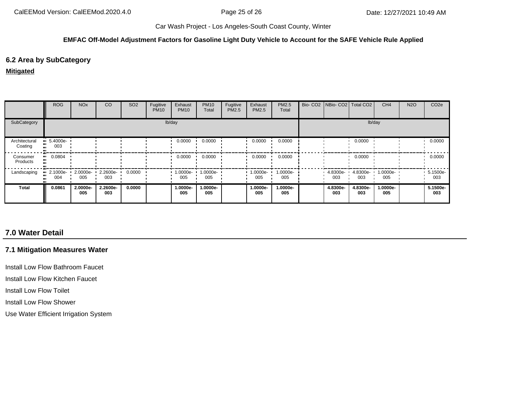#### **EMFAC Off-Model Adjustment Factors for Gasoline Light Duty Vehicle to Account for the SAFE Vehicle Rule Applied**

### **6.2 Area by SubCategory**

#### **Mitigated**

|                          | <b>ROG</b>                     | <b>NO<sub>x</sub></b> | CO                         | SO <sub>2</sub> | Fugitive<br><b>PM10</b> | Exhaust<br><b>PM10</b> | <b>PM10</b><br>Total | Fugitive<br>PM2.5 | Exhaust<br>PM2.5 | PM2.5<br>Total  | Bio- CO2 NBio- CO2 Total CO2 |                 | CH <sub>4</sub> | <b>N2O</b> | CO <sub>2e</sub> |
|--------------------------|--------------------------------|-----------------------|----------------------------|-----------------|-------------------------|------------------------|----------------------|-------------------|------------------|-----------------|------------------------------|-----------------|-----------------|------------|------------------|
| SubCategory              |                                |                       |                            |                 |                         | lb/day                 |                      |                   |                  |                 |                              |                 | lb/day          |            |                  |
| Architectural<br>Coating | $\blacksquare$ 5.4000e-<br>003 |                       |                            |                 |                         | 0.0000                 | 0.0000               |                   | 0.0000           | 0.0000          |                              | 0.0000          |                 |            | 0.0000           |
| Consumer<br>Products     | $\blacksquare$ 0.0804          |                       |                            |                 |                         | 0.0000                 | 0.0000               |                   | 0.0000           | 0.0000          |                              | 0.0000          |                 |            | 0.0000           |
| Landscaping              | $\blacksquare$ 2.1000e-<br>004 | 005                   | 2.0000e- 2.2600e- '<br>003 | 0.0000          |                         | $1.0000e-$<br>005      | 1.0000e-<br>005      |                   | 1.0000e-<br>005  | 1.0000e-<br>005 | 4.8300e-<br>003              | 4.8300e-<br>003 | 1.0000e-<br>005 |            | 5.1500e-<br>003  |
| <b>Total</b>             | 0.0861                         | 2.0000e-<br>005       | 2.2600e-<br>003            | 0.0000          |                         | 1.0000e-<br>005        | 1.0000e-<br>005      |                   | 1.0000e-<br>005  | 1.0000e-<br>005 | 4.8300e-<br>003              | 4.8300e-<br>003 | 1.0000e-<br>005 |            | 5.1500e-<br>003  |

# **7.0 Water Detail**

# **7.1 Mitigation Measures Water**

Install Low Flow Bathroom Faucet

Install Low Flow Kitchen Faucet

Install Low Flow Toilet

Install Low Flow Shower

Use Water Efficient Irrigation System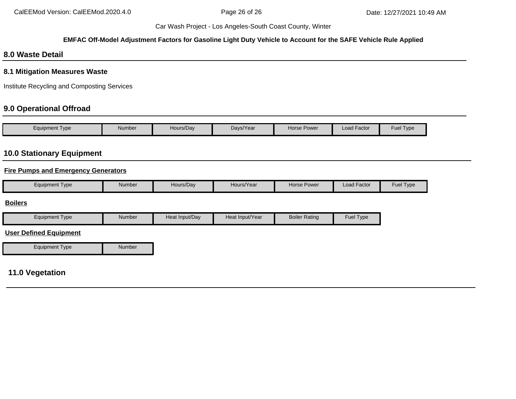#### **EMFAC Off-Model Adjustment Factors for Gasoline Light Duty Vehicle to Account for the SAFE Vehicle Rule Applied**

# **8.0 Waste Detail**

### **8.1 Mitigation Measures Waste**

Institute Recycling and Composting Services

# **9.0 Operational Offroad**

| Equipment Type | Number | Hours/Day | Days/Year | <b>Horse Power</b> | <b>Load Factor</b> | Fuel Type |
|----------------|--------|-----------|-----------|--------------------|--------------------|-----------|

# **10.0 Stationary Equipment**

### **Fire Pumps and Emergency Generators**

| Equipment Type | Number | Hours/Dav | Hours/Year | Horse Power | $\sim$<br>Load Factor | Fuel 7<br><b>I</b> vpe |
|----------------|--------|-----------|------------|-------------|-----------------------|------------------------|
|                |        |           |            |             |                       |                        |

#### **Boilers**

| Equipment Type | Number | Heat Input/Dav | Heat Input/Year | <b>Boiler Rating</b> | <b>Fuel Type</b> |
|----------------|--------|----------------|-----------------|----------------------|------------------|
|----------------|--------|----------------|-----------------|----------------------|------------------|

#### **User Defined Equipment**

| <b>Equipment Type</b> | Number |
|-----------------------|--------|

# **11.0 Vegetation**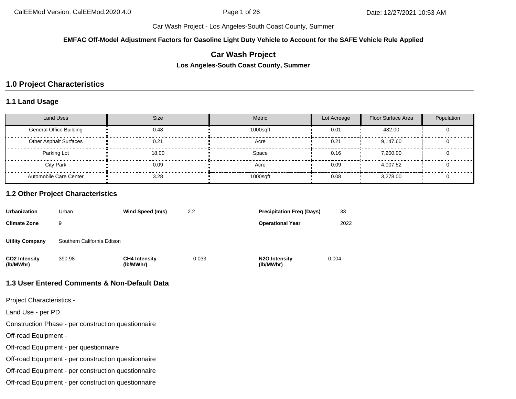**EMFAC Off-Model Adjustment Factors for Gasoline Light Duty Vehicle to Account for the SAFE Vehicle Rule Applied**

# **Car Wash Project**

**Los Angeles-South Coast County, Summer**

# **1.0 Project Characteristics**

### **1.1 Land Usage**

| <b>Land Uses</b>               | <b>Size</b> | Metric   | Lot Acreage | <b>Floor Surface Area</b> | Population |
|--------------------------------|-------------|----------|-------------|---------------------------|------------|
| <b>General Office Building</b> | 0.48        | 1000sqft | 0.01        | 482.00                    |            |
| <b>Other Asphalt Surfaces</b>  | 0.21        | Acre     | 0.21        | 9,147.60                  |            |
| Parking Lot                    | 18.00       | Space    | 0.16        | 7.200.00                  |            |
| City Park                      | 0.09        | Acre     | 0.09        | 4.007.52                  |            |
| Automobile Care Center         | 3.28        | 1000sqft | 0.08        | 3.278.00                  |            |

#### **1.2 Other Project Characteristics**

| <b>Urbanization</b>        | Urban                      | Wind Speed (m/s)                  | 2.2   | <b>Precipitation Freg (Days)</b>        | 33    |
|----------------------------|----------------------------|-----------------------------------|-------|-----------------------------------------|-------|
| <b>Climate Zone</b>        | 9                          |                                   |       | <b>Operational Year</b>                 | 2022  |
| <b>Utility Company</b>     | Southern California Edison |                                   |       |                                         |       |
| CO2 Intensity<br>(lb/MWhr) | 390.98                     | <b>CH4 Intensity</b><br>(lb/MWhr) | 0.033 | N <sub>2</sub> O Intensity<br>(lb/MWhr) | 0.004 |

#### **1.3 User Entered Comments & Non-Default Data**

Project Characteristics -

Land Use - per PD

Construction Phase - per construction questionnaire

Off-road Equipment -

Off-road Equipment - per questionnaire

Off-road Equipment - per construction questionnaire

Off-road Equipment - per construction questionnaire

Off-road Equipment - per construction questionnaire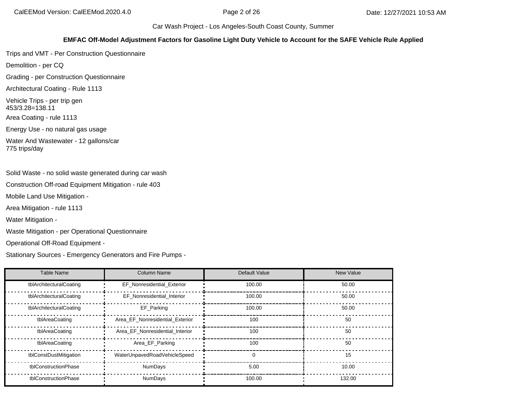#### **EMFAC Off-Model Adjustment Factors for Gasoline Light Duty Vehicle to Account for the SAFE Vehicle Rule Applied**

Trips and VMT - Per Construction Questionnaire

Demolition - per CQ

Grading - per Construction Questionnaire

Architectural Coating - Rule 1113

Vehicle Trips - per trip gen 453/3.28=138.11

Area Coating - rule 1113

Energy Use - no natural gas usage

Water And Wastewater - 12 gallons/car 775 trips/day

Solid Waste - no solid waste generated during car wash

Construction Off-road Equipment Mitigation - rule 403

Mobile Land Use Mitigation -

Area Mitigation - rule 1113

Water Mitigation -

Waste Mitigation - per Operational Questionnaire

Operational Off-Road Equipment -

Stationary Sources - Emergency Generators and Fire Pumps -

| Table Name              | <b>Column Name</b>              | Default Value | <b>New Value</b> |
|-------------------------|---------------------------------|---------------|------------------|
| tblArchitecturalCoating | EF Nonresidential Exterior      | 100.00        | 50.00            |
| tblArchitecturalCoating | EF_Nonresidential_Interior      | 100.00        | 50.00            |
| tblArchitecturalCoating | EF Parking                      | 100.00        | 50.00            |
| tblAreaCoating          | Area EF Nonresidential Exterior | 100           | 50               |
| tblAreaCoating          | Area EF Nonresidential Interior | 100           | 50               |
| tblAreaCoating          | Area_EF_Parking                 | 100           | 50               |
| tblConstDustMitigation  | WaterUnpavedRoadVehicleSpeed    | $\Omega$      | 15               |
| tblConstructionPhase    | <b>NumDays</b>                  | 5.00          | 10.00            |
| tblConstructionPhase    | <b>NumDays</b>                  | 100.00        | 132.00           |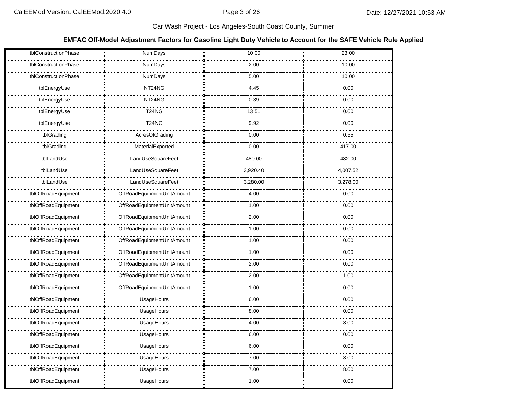#### **EMFAC Off-Model Adjustment Factors for Gasoline Light Duty Vehicle to Account for the SAFE Vehicle Rule Applied**

| tblConstructionPhase | NumDays                        | 10.00    | 23.00    |
|----------------------|--------------------------------|----------|----------|
| tblConstructionPhase | NumDays                        | 2.00     | 10.00    |
| tblConstructionPhase | NumDays                        | 5.00     | 10.00    |
| tblEnergyUse         | NT24NG                         | 4.45     | 0.00     |
| tblEnergyUse         | NT24NG                         | 0.39     | 0.00     |
| tblEnergyUse         | T <sub>24</sub> N <sub>G</sub> | 13.51    | 0.00     |
| tblEnergyUse         | <b>T24NG</b>                   | 9.92     | 0.00     |
| tblGrading           | <b>AcresOfGrading</b>          | 0.00     | 0.55     |
| tblGrading           | MaterialExported               | 0.00     | 417.00   |
| tblLandUse           | LandUseSquareFeet              | 480.00   | 482.00   |
| tblLandUse           | LandUseSquareFeet              | 3,920.40 | 4,007.52 |
| tblLandUse           | LandUseSquareFeet              | 3,280.00 | 3,278.00 |
| tblOffRoadEquipment  | OffRoadEquipmentUnitAmount     | 4.00     | 0.00     |
| tblOffRoadEquipment  | OffRoadEquipmentUnitAmount     | 1.00     | 0.00     |
| tblOffRoadEquipment  | OffRoadEquipmentUnitAmount     | 2.00     | 0.00     |
| tblOffRoadEquipment  | OffRoadEquipmentUnitAmount     | 1.00     | 0.00     |
| tblOffRoadEquipment  | OffRoadEquipmentUnitAmount     | 1.00     | 0.00     |
| tblOffRoadEquipment  | OffRoadEquipmentUnitAmount     | 1.00     | 0.00     |
| tblOffRoadEquipment  | OffRoadEquipmentUnitAmount     | 2.00     | 0.00     |
| tblOffRoadEquipment  | OffRoadEquipmentUnitAmount     | 2.00     | 1.00     |
| tblOffRoadEquipment  | OffRoadEquipmentUnitAmount     | 1.00     | 0.00     |
| tblOffRoadEquipment  | UsageHours                     | 6.00     | 0.00     |
| tblOffRoadEquipment  | UsageHours                     | 8.00     | 0.00     |
| tblOffRoadEquipment  | UsageHours                     | 4.00     | 8.00     |
| tblOffRoadEquipment  | UsageHours                     | 6.00     | 0.00     |
| tblOffRoadEquipment  | UsageHours                     | 6.00     | 0.00     |
| tblOffRoadEquipment  | UsageHours                     | 7.00     | 8.00     |
| tblOffRoadEquipment  | UsageHours                     | 7.00     | 8.00     |
| tblOffRoadEquipment  | UsageHours                     | 1.00     | 0.00     |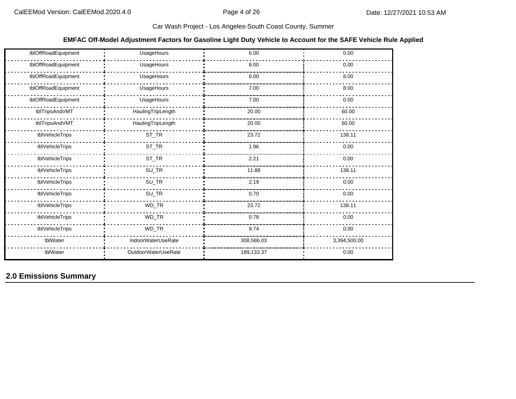#### **EMFAC Off-Model Adjustment Factors for Gasoline Light Duty Vehicle to Account for the SAFE Vehicle Rule Applied**

| tblOffRoadEquipment | UsageHours          | 6.00       | 0.00         |
|---------------------|---------------------|------------|--------------|
| tblOffRoadEquipment | UsageHours          | 8.00       | 0.00         |
| tblOffRoadEquipment | UsageHours          | 6.00       | 8.00         |
| tblOffRoadEquipment | UsageHours          | 7.00       | 8.00         |
| tblOffRoadEquipment | UsageHours          | 7.00       | 0.00         |
| tblTripsAndVMT      | HaulingTripLength   | 20.00      | 60.00        |
| tblTripsAndVMT      | HaulingTripLength   | 20.00      | 60.00        |
| tblVehicleTrips     | $ST_TR$             | 23.72      | 138.11       |
| tblVehicleTrips     | $ST_TR$             | 1.96       | 0.00         |
| tblVehicleTrips     | $ST_TR$             | 2.21       | 0.00         |
| tblVehicleTrips     | $SU_TR$             | 11.88      | 138.11       |
| tblVehicleTrips     | $SU_TR$             | 2.19       | 0.00         |
| tblVehicleTrips     | $SU_TR$             | 0.70       | 0.00         |
| tblVehicleTrips     | $WD_TR$             | 23.72      | 138.11       |
| tblVehicleTrips     | WD_TR               | 0.78       | 0.00         |
| tblVehicleTrips     | $WD_TR$             | 9.74       | 0.00         |
| tblWater            | IndoorWaterUseRate  | 308,586.03 | 3,394,500.00 |
| tblWater            | OutdoorWaterUseRate | 189,133.37 | 0.00         |

# **2.0 Emissions Summary**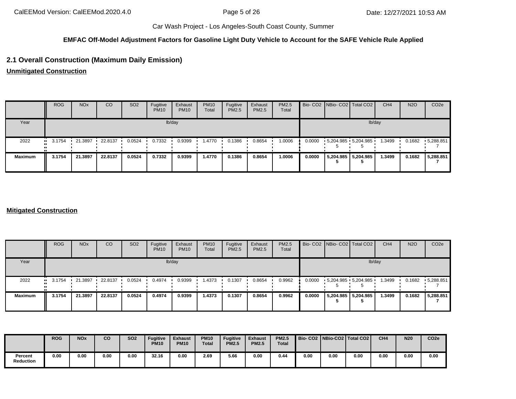## **EMFAC Off-Model Adjustment Factors for Gasoline Light Duty Vehicle to Account for the SAFE Vehicle Rule Applied**

# **2.1 Overall Construction (Maximum Daily Emission)**

**Unmitigated Construction**

|                | <b>ROG</b>            | <b>NO<sub>x</sub></b> | <sub>CO</sub> | SO <sub>2</sub> | Fugitive<br><b>PM10</b> | Exhaust<br><b>PM10</b> | <b>PM10</b><br>Total | Fugitive<br>PM2.5 | Exhaust<br><b>PM2.5</b> | PM2.5<br>Total |        | Bio- CO2   NBio- CO2   Total CO2 |                     | CH <sub>4</sub> | <b>N2O</b> | CO <sub>2e</sub>  |
|----------------|-----------------------|-----------------------|---------------|-----------------|-------------------------|------------------------|----------------------|-------------------|-------------------------|----------------|--------|----------------------------------|---------------------|-----------------|------------|-------------------|
| Year           |                       |                       |               |                 |                         | lb/day                 |                      |                   |                         |                |        |                                  |                     | lb/day          |            |                   |
| 2022           | $\blacksquare$ 3.1754 | 21.3897               | 22.8137       | 0.0524          | 0.7332                  | 0.9399                 | 1.4770               | 0.1386            | 0.8654                  | 1.0006         | 0.0000 | $5,204.985$ 5,204.985            |                     | 1.3499          | 0.1682     | $\cdot$ 5,288.851 |
| <b>Maximum</b> | 3.1754                | 21.3897               | 22.8137       | 0.0524          | 0.7332                  | 0.9399                 | 1.4770               | 0.1386            | 0.8654                  | 1.0006         | 0.0000 |                                  | 5,204.985 5,204.985 | 1.3499          | 0.1682     | 5,288.851         |

#### **Mitigated Construction**

|                | <b>ROG</b>       | <b>NO<sub>x</sub></b> | CO      | SO <sub>2</sub> | Fugitive<br><b>PM10</b> | Exhaust<br><b>PM10</b> | <b>PM10</b><br>Total | Fugitive<br><b>PM2.5</b> | Exhaust<br>PM2.5 | PM2.5<br>Total |        | Bio- CO2 NBio- CO2 Total CO2 | CH <sub>4</sub> | <b>N2O</b> | CO <sub>2e</sub>  |
|----------------|------------------|-----------------------|---------|-----------------|-------------------------|------------------------|----------------------|--------------------------|------------------|----------------|--------|------------------------------|-----------------|------------|-------------------|
| Year           |                  |                       |         |                 |                         | lb/day                 |                      |                          |                  |                |        | lb/day                       |                 |            |                   |
| 2022           | $\bullet$ 3.1754 | 21.3897               | 22.8137 | 0.0524          | 0.4974                  | 0.9399                 | 1.4373               | 0.1307                   | 0.8654           | 0.9962         | 0.0000 | $5,204.985$ 5,204.985        | 1.3499          | 0.1682     | $\cdot$ 5,288.851 |
| <b>Maximum</b> | 3.1754           | 21.3897               | 22.8137 | 0.0524          | 0.4974                  | 0.9399                 | 1.4373               | 0.1307                   | 0.8654           | 0.9962         | 0.0000 | 5,204.985 5,204.985          | 1.3499          | 0.1682     | 5,288.851         |

|                      | <b>ROG</b> | <b>NOx</b> | co   | <b>SO2</b> | <b>Fugitive</b><br><b>PM10</b> | <b>Exhaust</b><br><b>PM10</b> | <b>PM10</b><br><b>Total</b> | <b>Fugitive</b><br><b>PM2.5</b> | <b>Exhaust</b><br><b>PM2.5</b> | <b>PM2.5</b><br><b>Total</b> |      |      | Bio- CO2   NBio-CO2   Total CO2 | CH <sub>4</sub> | <b>N20</b> | CO <sub>2e</sub> |
|----------------------|------------|------------|------|------------|--------------------------------|-------------------------------|-----------------------------|---------------------------------|--------------------------------|------------------------------|------|------|---------------------------------|-----------------|------------|------------------|
| Percent<br>Reduction | 0.00       | 0.00       | 0.00 | 0.00       | 32.16                          | 0.00                          | 2.69                        | 5.66                            | 0.00                           | 0.44                         | 0.00 | 0.00 | 0.00                            | 0.00            | 0.00       | 0.00             |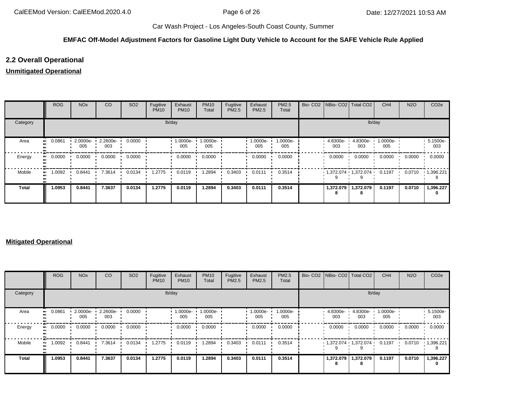### **EMFAC Off-Model Adjustment Factors for Gasoline Light Duty Vehicle to Account for the SAFE Vehicle Rule Applied**

# **2.2 Overall Operational**

# **Unmitigated Operational**

|              | <b>ROG</b>   | <b>NO<sub>x</sub></b> | CO              | SO <sub>2</sub> | Fugitive<br><b>PM10</b> | Exhaust<br><b>PM10</b> | <b>PM10</b><br>Total | Fugitive<br>PM2.5 | Exhaust<br>PM2.5 | PM2.5<br>Total  |                   | Bio- CO2   NBio- CO2   Total CO2 | CH <sub>4</sub> | <b>N2O</b> | CO <sub>2e</sub> |
|--------------|--------------|-----------------------|-----------------|-----------------|-------------------------|------------------------|----------------------|-------------------|------------------|-----------------|-------------------|----------------------------------|-----------------|------------|------------------|
| Category     |              |                       |                 |                 |                         | lb/day                 |                      |                   |                  |                 |                   | lb/day                           |                 |            |                  |
| Area         | 0.0861<br>   | 2.0000e-<br>005       | 2.2600e-<br>003 | 0.0000          |                         | 1.0000e-<br>005        | 1.0000e-<br>005      |                   | 1.0000e-<br>005  | 1.0000e-<br>005 | 4.8300e-<br>003   | 4.8300e-<br>003                  | 1.0000e-<br>005 |            | 5.1500e-<br>003  |
| Energy       | 0.0000<br>ш. | 0.0000                | 0.0000          | 0.0000          |                         | 0.0000                 | 0.0000               |                   | 0.0000           | 0.0000          | 0.0000            | 0.0000                           | 0.0000          | 0.0000     | 0.0000           |
| Mobile       | .0092<br>    | 0.8441                | 7.3614          | 0.0134          | 1.2775                  | 0.0119                 | 1.2894               | 0.3403            | 0.0111           | 0.3514          |                   | $1,372.074$ $1,372.074$ 0.1197   |                 | 0.0710     | 1,396.221<br>8   |
| <b>Total</b> | 1.0953       | 0.8441                | 7.3637          | 0.0134          | 1.2775                  | 0.0119                 | 1.2894               | 0.3403            | 0.0111           | 0.3514          | 1,372.079<br>- 25 | 1,372.079                        | 0.1197          | 0.0710     | 1,396.227<br>0   |

#### **Mitigated Operational**

|              | <b>ROG</b>   | <b>NO<sub>x</sub></b> | CO                 | SO <sub>2</sub> | Fugitive<br><b>PM10</b> | Exhaust<br><b>PM10</b> | <b>PM10</b><br>Total | Fugitive<br>PM2.5 | Exhaust<br>PM2.5 | PM2.5<br>Total  |                  | Bio- CO2 NBio- CO2 Total CO2    | CH <sub>4</sub> | <b>N2O</b> | CO <sub>2</sub> e |
|--------------|--------------|-----------------------|--------------------|-----------------|-------------------------|------------------------|----------------------|-------------------|------------------|-----------------|------------------|---------------------------------|-----------------|------------|-------------------|
| Category     |              |                       |                    |                 | lb/day                  |                        |                      |                   |                  |                 |                  | lb/day                          |                 |            |                   |
| Area         | 0.0861<br>   | 2.0000e-<br>005       | $2.2600e -$<br>003 | 0.0000          |                         | 1.0000e-<br>005        | 1.0000e-<br>005      |                   | 1.0000e-<br>005  | 1.0000e-<br>005 | 4.8300e-<br>003  | 4.8300e-<br>003                 | 1.0000e-<br>005 |            | 5.1500e-<br>003   |
| Energy       | 0.0000<br>ш. | 0.0000                | 0.0000             | 0.0000          |                         | 0.0000                 | 0.0000               |                   | 0.0000           | 0.0000          | 0.0000           | 0.0000                          | 0.0000          | 0.0000     | 0.0000            |
| Mobile       | 1.0092<br>ш. | 0.8441                | 7.3614             | 0.0134          | 1.2775                  | 0.0119                 | 1.2894               | 0.3403            | 0.0111           | 0.3514          |                  | $1,372.074$ $1,372.074$ $\cdot$ | 0.1197          | 0.0710     | 1,396.221         |
| <b>Total</b> | 1.0953       | 0.8441                | 7.3637             | 0.0134          | 1.2775                  | 0.0119                 | 1.2894               | 0.3403            | 0.0111           | 0.3514          | 1,372.079  <br>8 | 1,372.079                       | 0.1197          | 0.0710     | 1,396.227<br>0    |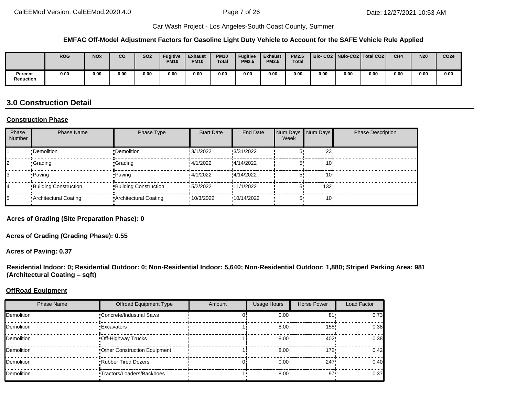#### **EMFAC Off-Model Adjustment Factors for Gasoline Light Duty Vehicle to Account for the SAFE Vehicle Rule Applied**

|                             | <b>ROG</b> | <b>NOx</b> | co   | SO <sub>2</sub> | <b>Fugitive</b><br><b>PM10</b> | <b>Exhaust</b><br><b>PM10</b> | <b>PM10</b><br><b>Total</b> | Fugitive<br><b>PM2.5</b> | <b>Exhaust</b><br><b>PM2.5</b> | <b>PM2.5</b><br><b>Total</b> |      |      | Bio-CO2   NBio-CO2   Total CO2 | CH <sub>4</sub> | <b>N20</b> | CO <sub>2e</sub> |
|-----------------------------|------------|------------|------|-----------------|--------------------------------|-------------------------------|-----------------------------|--------------------------|--------------------------------|------------------------------|------|------|--------------------------------|-----------------|------------|------------------|
| Percent<br><b>Reduction</b> | 0.00       | 0.00       | 0.00 | 0.00            | 0.00                           | 0.00                          | 0.00                        | 0.00                     | 0.00                           | 0.00                         | 0.00 | 0.00 | 0.00                           | 0.00            | 0.00       | 0.00             |

# **3.0 Construction Detail**

#### **Construction Phase**

| Phase<br>Number | <b>Phase Name</b>            | Phase Type                   | <b>Start Date</b> | End Date   | Num Days Num Days<br>Week |                 | <b>Phase Description</b> |
|-----------------|------------------------------|------------------------------|-------------------|------------|---------------------------|-----------------|--------------------------|
|                 | •Demolition                  | •Demolition                  | 3/1/2022          | :3/31/2022 |                           | 23'             |                          |
|                 | <b>•Grading</b>              | •Grading                     | 4/1/2022          | :4/14/2022 |                           | 10:             |                          |
|                 | •Paving                      | • Paving                     | 4/1/2022          | :4/14/2022 |                           | 10 <sup>1</sup> |                          |
|                 | <b>Building Construction</b> | <b>Building Construction</b> | 5/2/2022          | !11/1/2022 | 5                         | 132!            |                          |
|                 | Architectural Coating        | Architectural Coating        | 10/3/2022         | 10/14/2022 | 5'                        | $10 -$          |                          |

**Acres of Grading (Site Preparation Phase): 0**

**Acres of Grading (Grading Phase): 0.55**

**Acres of Paving: 0.37**

**Residential Indoor: 0; Residential Outdoor: 0; Non-Residential Indoor: 5,640; Non-Residential Outdoor: 1,880; Striped Parking Area: 981 (Architectural Coating – sqft)**

#### **OffRoad Equipment**

| <b>Phase Name</b> | <b>Offroad Equipment Type</b>   | Amount | <b>Usage Hours</b> | Horse Power | Load Factor |
|-------------------|---------------------------------|--------|--------------------|-------------|-------------|
| <b>Demolition</b> | <b>Concrete/Industrial Saws</b> |        | $0.00^{\circ}$     | 81          | 0.73        |
| <b>Demolition</b> | <b>Excavators</b>               |        | $8.00 \div$        | 158"        | 0.38        |
| <b>Demolition</b> | Off-Highway Trucks              |        | $8.00 \div$        | 402         | 0.38        |
| <b>Demolition</b> | Other Construction Equipment    |        | $8.00 \cdot$       | 172"        | 0.42        |
| <b>Demolition</b> | <b>Rubber Tired Dozers</b>      |        | $0.00 \cdot$       | 247         | 0.40        |
| <b>Demolition</b> | •Tractors/Loaders/Backhoes      |        | $8.00 \cdot$       | $97 -$      | 0.37        |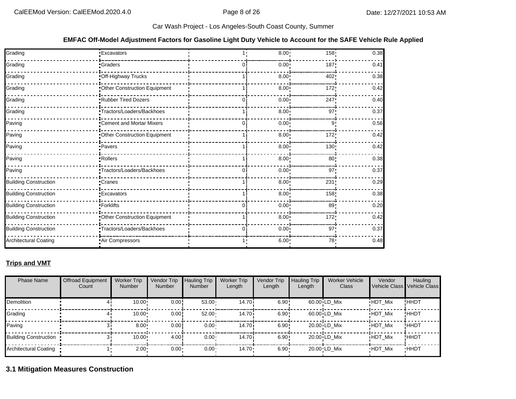#### **EMFAC Off-Model Adjustment Factors for Gasoline Light Duty Vehicle to Account for the SAFE Vehicle Rule Applied**

| Grading                      | <b>Excavators</b>            |   | $8.00 \cdot$      | 158.            | 0.38 |
|------------------------------|------------------------------|---|-------------------|-----------------|------|
| Grading                      | Graders                      |   | $0.00^{\circ}$    | 187             | 0.41 |
| Grading                      | Off-Highway Trucks           |   | 8.00              | 402             | 0.38 |
| Grading                      | Other Construction Equipment |   | 8.00              | 172             | 0.42 |
| Grading                      | Rubber Tired Dozers          | 0 | $0.00^{\circ}$    | 247             | 0.40 |
| Grading                      | Tractors/Loaders/Backhoes    |   | 8.00 <sup>1</sup> | 97              | 0.37 |
| Paving                       | Cement and Mortar Mixers     | ∩ | $0.00^{\circ}$    | 9               | 0.56 |
| Paving                       | Other Construction Equipment |   | 8.00              | 172:            | 0.42 |
| Paving                       | · Pavers                     |   | 8.00              | 130             | 0.42 |
| Paving                       | Rollers                      |   | 8.00              | 80              | 0.38 |
| Paving                       | Tractors/Loaders/Backhoes    |   | 0.00              | 97 <sub>1</sub> | 0.37 |
| <b>Building Construction</b> | Cranes                       |   | 8.00              | 231             | 0.29 |
| <b>Building Construction</b> | <b>Excavators</b>            |   | $8.00 \div$       | 158             | 0.38 |
| <b>Building Construction</b> | -Forklifts                   |   | $0.00^{\circ}$    | 89              | 0.20 |
| <b>Building Construction</b> | Other Construction Equipment |   | 8.00              | 172             | 0.42 |
| <b>Building Construction</b> | Tractors/Loaders/Backhoes    | 0 | 0.00              | 97 <sub>1</sub> | 0.37 |
| <b>Architectural Coating</b> | Air Compressors              |   | 6.00              | 78              | 0.48 |

## **Trips and VMT**

| <b>Phase Name</b>     | <b>Offroad Equipment</b><br>Count | <b>Worker Trip</b><br><b>Number</b> | Vendor Trip<br><b>Number</b> | <b>Hauling Trip</b><br><b>Number</b> | <b>Worker Trip</b><br>Length | Vendor Trip<br>Length | <b>Hauling Trip</b><br>Length | Worker Vehicle<br>Class | Vendor         | Hauling<br>Vehicle Class Vehicle Class |
|-----------------------|-----------------------------------|-------------------------------------|------------------------------|--------------------------------------|------------------------------|-----------------------|-------------------------------|-------------------------|----------------|----------------------------------------|
| <b>Demolition</b>     |                                   | 10.00                               | 0.00                         | $53.00 -$                            | 14.70i                       | 6.90:                 |                               | $60.00 \cdot LD$ Mix    | <b>HDT Mix</b> | !HHDT                                  |
| Grading               |                                   | 10.00                               | 0.00!                        | $52.00 -$                            | 14.70i                       | 6.90:                 |                               | $60.00 \cdot LD$ Mix    | <b>HDT Mix</b> | !HHDT                                  |
| Paving                |                                   | 8.00                                | 0.00                         | $0.00 -$                             | 14.70i                       | 6.90:                 |                               | $20.00 \cdot LD$ Mix    | <b>HDT Mix</b> | !ННDТ                                  |
| Building Construction |                                   | 10.00                               | 4.00                         | $0.00 \cdot$                         | 14.70i                       | 6.90:                 |                               | $20.00 \cdot LD$ Mix    | <b>HDT Mix</b> | !ННDТ                                  |
| Architectural Coating |                                   | 2.00                                | $0.00 \cdot$                 | $0.00 \cdot$                         | $14.70 \cdot$                | $6.90 -$              |                               | 20.00 LD Mix            | <b>HDT Mix</b> | <b>HHDT</b>                            |

# **3.1 Mitigation Measures Construction**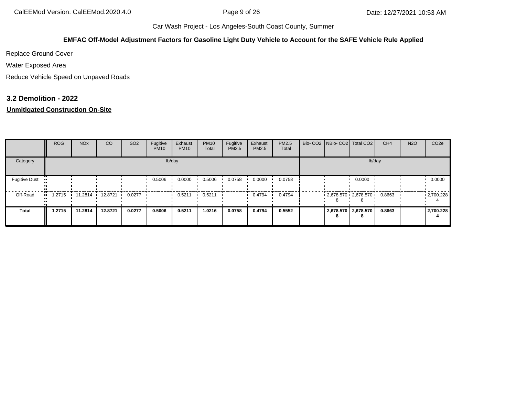#### **EMFAC Off-Model Adjustment Factors for Gasoline Light Duty Vehicle to Account for the SAFE Vehicle Rule Applied**

Replace Ground Cover

Water Exposed Area

Reduce Vehicle Speed on Unpaved Roads

### **3.2 Demolition - 2022**

## **Unmitigated Construction On-Site**

|                                   | <b>ROG</b>    | <b>NO<sub>x</sub></b> | <sub>CO</sub> | SO <sub>2</sub> | Fugitive<br><b>PM10</b> | Exhaust<br><b>PM10</b> | <b>PM10</b><br>Total | Fugitive<br>PM2.5 | Exhaust<br>PM2.5 | <b>PM2.5</b><br>Total |  | Bio- CO2 NBio- CO2 Total CO2 | CH <sub>4</sub> | <b>N2O</b> | CO <sub>2e</sub> |
|-----------------------------------|---------------|-----------------------|---------------|-----------------|-------------------------|------------------------|----------------------|-------------------|------------------|-----------------------|--|------------------------------|-----------------|------------|------------------|
| Category                          |               |                       |               |                 |                         | lb/day                 |                      |                   |                  |                       |  | lb/day                       |                 |            |                  |
| <b>Fugitive Dust</b><br>$\bullet$ |               |                       |               |                 | 0.5006                  | 0.0000                 | 0.5006               | 0.0758            | 0.0000           | 0.0758                |  | 0.0000                       |                 |            | 0.0000           |
| Off-Road                          | 1.2715<br>. . | 11.2814 12.8721       |               | 0.0277          |                         | 0.5211                 | 0.5211               |                   | 0.4794           | 0.4794                |  | $-2.678.570 - 2.678.570$     | 0.8663          |            | .2700.228        |
| <b>Total</b>                      | 1.2715        | 11.2814               | 12.8721       | 0.0277          | 0.5006                  | 0.5211                 | 1.0216               | 0.0758            | 0.4794           | 0.5552                |  | 2,678.570 2,678.570          | 0.8663          |            | 2,700.228        |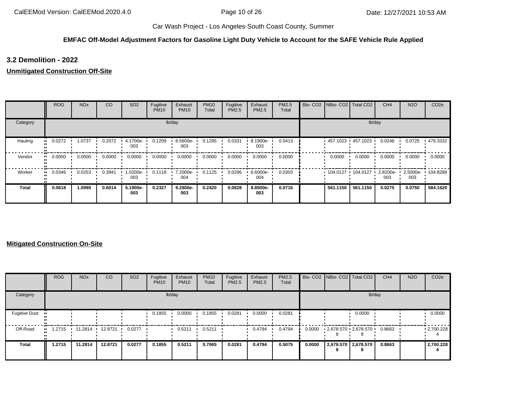## **EMFAC Off-Model Adjustment Factors for Gasoline Light Duty Vehicle to Account for the SAFE Vehicle Rule Applied**

## **3.2 Demolition - 2022**

### **Unmitigated Construction Off-Site**

|          | <b>ROG</b>            | <b>NO<sub>x</sub></b> | CO     | SO <sub>2</sub> | Fugitive<br><b>PM10</b> | Exhaust<br><b>PM10</b> | <b>PM10</b><br>Total | Fugitive<br>PM2.5 | Exhaust<br><b>PM2.5</b> | PM2.5<br>Total |  |          | Bio- CO2 NBio- CO2 Total CO2 | CH <sub>4</sub> | <b>N2O</b>      | CO <sub>2e</sub> |
|----------|-----------------------|-----------------------|--------|-----------------|-------------------------|------------------------|----------------------|-------------------|-------------------------|----------------|--|----------|------------------------------|-----------------|-----------------|------------------|
| Category |                       |                       |        |                 | lb/day                  | lb/day                 |                      |                   |                         |                |  |          |                              |                 |                 |                  |
| Hauling  | 0.0272<br>            | 1.0737                | 0.2072 | 4.1700e-<br>003 | 0.1209                  | 8.5600e-<br>003        | 0.1295               | 0.0331            | 8.1900e-<br>003         | 0.0413         |  |          | 457.1023 457.1023 '          | 0.0246          | 0.0725          | .479.3332        |
| Vendor   | 0.0000<br>            | 0.0000                | 0.0000 | 0.0000          | 0.0000                  | 0.0000                 | 0.0000               | 0.0000            | 0.0000                  | 0.0000         |  | 0.0000   | 0.0000                       | 0.0000          | 0.0000          | 0.0000           |
| Worker   | $\blacksquare$ 0.0346 | 0.0253                | 0.3941 | 1.0200e-<br>003 | 0.1118                  | 7.2000e-<br>004        | 0.1125               | 0.0296            | 6.6000e-<br>004         | 0.0303         |  |          |                              | 2.8200e-<br>003 | 2.5000e-<br>003 | 104.8288         |
| Total    | 0.0618                | 1.0990                | 0.6014 | 5.1900e-<br>003 | 0.2327                  | 9.2800e-<br>003        | 0.2420               | 0.0628            | 8.8500e-<br>003         | 0.0716         |  | 561.1150 | 561.1150                     | 0.0275          | 0.0750          | 584.1620         |

#### **Mitigated Construction On-Site**

|                      | <b>ROG</b>          | <b>NO<sub>x</sub></b> | CO      | SO <sub>2</sub> | Fugitive<br><b>PM10</b> | Exhaust<br><b>PM10</b> | <b>PM10</b><br>Total | Fugitive<br>PM2.5 | Exhaust<br><b>PM2.5</b> | PM2.5<br>Total |        |   | Bio- CO2   NBio- CO2   Total CO2 | CH <sub>4</sub> | <b>N2O</b> | CO <sub>2e</sub>  |
|----------------------|---------------------|-----------------------|---------|-----------------|-------------------------|------------------------|----------------------|-------------------|-------------------------|----------------|--------|---|----------------------------------|-----------------|------------|-------------------|
| Category             |                     |                       |         |                 |                         | lb/day                 |                      |                   |                         |                |        |   |                                  | lb/day          |            |                   |
| <b>Fugitive Dust</b> |                     |                       |         |                 | 0.1855                  | 0.0000                 | 0.1855               | 0.0281            | 0.0000                  | 0.0281         |        |   | 0.0000                           |                 |            | 0.0000            |
| Off-Road             | .2715<br><b>ALC</b> | $11.2814$ $\cdot$     | 12.8721 | 0.0277          |                         | 0.5211                 | 0.5211               |                   | 0.4794                  | 0.4794         | 0.0000 |   | $2,678.570$ $2,678.570$          | 0.8663          |            | $\cdot$ 2,700.228 |
| <b>Total</b>         | 1.2715              | 11.2814               | 12.8721 | 0.0277          | 0.1855                  | 0.5211                 | 0.7065               | 0.0281            | 0.4794                  | 0.5075         | 0.0000 | 8 | 2,678.570 2,678.570              | 0.8663          |            | 2,700.228         |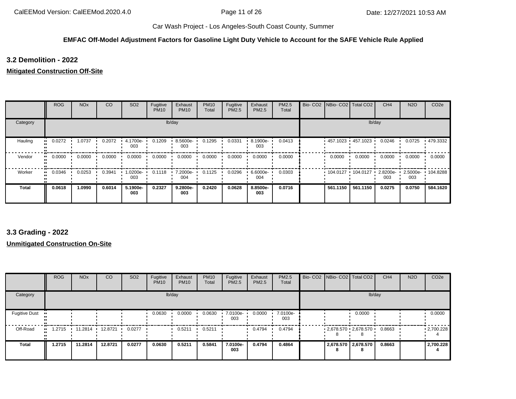#### **EMFAC Off-Model Adjustment Factors for Gasoline Light Duty Vehicle to Account for the SAFE Vehicle Rule Applied**

**3.2 Demolition - 2022**

#### **Mitigated Construction Off-Site**

|              | <b>ROG</b> | <b>NO<sub>x</sub></b> | CO     | SO <sub>2</sub> | Fugitive<br><b>PM10</b> | Exhaust<br><b>PM10</b> | <b>PM10</b><br>Total | Fugitive<br>PM2.5 | Exhaust<br>PM2.5 | <b>PM2.5</b><br>Total |  | Bio- CO2   NBio- CO2   Total CO2 |                     | CH <sub>4</sub> | <b>N2O</b>      | CO <sub>2e</sub> |
|--------------|------------|-----------------------|--------|-----------------|-------------------------|------------------------|----------------------|-------------------|------------------|-----------------------|--|----------------------------------|---------------------|-----------------|-----------------|------------------|
| Category     |            |                       |        |                 | lb/day                  | lb/day                 |                      |                   |                  |                       |  |                                  |                     |                 |                 |                  |
| Hauling      | 0.0272<br> | 1.0737                | 0.2072 | 4.1700e-<br>003 | 0.1209                  | 8.5600e-<br>003        | 0.1295               | 0.0331            | 8.1900e-<br>003  | 0.0413                |  |                                  | 457.1023 457.1023 ' | 0.0246          | 0.0725          | .479.3332        |
| Vendor       | 0.0000<br> | 0.0000                | 0.0000 | 0.0000          | 0.0000                  | 0.0000                 | 0.0000               | 0.0000            | 0.0000           | 0.0000                |  | 0.0000                           | 0.0000              | 0.0000          | 0.0000          | 0.0000           |
| Worker       | 0.0346<br> | 0.0253                | 0.3941 | -0200e-<br>003  | 0.1118                  | 7.2000e-<br>004        | 0.1125               | 0.0296            | 6.6000e-<br>004  | 0.0303                |  | 104.0127 104.0127                |                     | 2.8200e-<br>003 | 2.5000e-<br>003 | $\cdot$ 104.8288 |
| <b>Total</b> | 0.0618     | 1.0990                | 0.6014 | 5.1900e-<br>003 | 0.2327                  | 9.2800e-<br>003        | 0.2420               | 0.0628            | 8.8500e-<br>003  | 0.0716                |  | 561.1150                         | 561.1150            | 0.0275          | 0.0750          | 584.1620         |

# **3.3 Grading - 2022**

### **Unmitigated Construction On-Site**

|                      | <b>ROG</b> | <b>NO<sub>x</sub></b> | CO      | SO <sub>2</sub> | Fugitive<br><b>PM10</b> | Exhaust<br><b>PM10</b> | <b>PM10</b><br>Total | Fugitive<br>PM2.5 | Exhaust<br><b>PM2.5</b> | <b>PM2.5</b><br>Total |   | Bio- CO2   NBio- CO2   Total CO2 | CH <sub>4</sub> | <b>N2O</b> | CO <sub>2e</sub>  |
|----------------------|------------|-----------------------|---------|-----------------|-------------------------|------------------------|----------------------|-------------------|-------------------------|-----------------------|---|----------------------------------|-----------------|------------|-------------------|
| Category             |            |                       |         |                 |                         | lb/day                 |                      |                   |                         |                       |   | lb/day                           |                 |            |                   |
| <b>Fugitive Dust</b> |            |                       |         |                 | 0.0630                  | 0.0000                 | 0.0630               | 7.0100e-<br>003   | 0.0000                  | 7.0100e-<br>003       |   | 0.0000                           |                 |            | 0.0000            |
| Off-Road             | 1.2715     | 11.2814               | 12.8721 | 0.0277          |                         | 0.5211                 | 0.5211               |                   | 0.4794                  | 0.4794                |   | $2,678.570$ $2,678.570$          | 0.8663          |            | $\cdot$ 2,700.228 |
| <b>Total</b>         | 1.2715     | 11.2814               | 12.8721 | 0.0277          | 0.0630                  | 0.5211                 | 0.5841               | 7.0100e-<br>003   | 0.4794                  | 0.4864                | 8 | 2,678.570 2,678.570              | 0.8663          |            | 2,700.228         |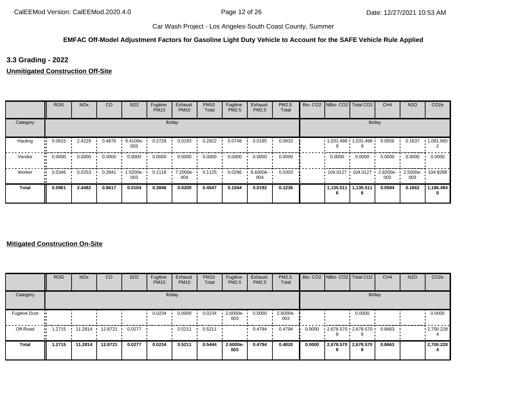## **EMFAC Off-Model Adjustment Factors for Gasoline Light Duty Vehicle to Account for the SAFE Vehicle Rule Applied**

## **3.3 Grading - 2022**

**Unmitigated Construction Off-Site**

|          | <b>ROG</b>            | <b>NO<sub>x</sub></b> | CO     | SO <sub>2</sub>  | Fugitive<br><b>PM10</b> | Exhaust<br><b>PM10</b> | <b>PM10</b><br>Total | Fugitive<br>PM2.5 | Exhaust<br><b>PM2.5</b> | PM2.5<br>Total | Bio- CO2   NBio- CO2   Total CO2 |                       | CH <sub>4</sub> | <b>N2O</b> | CO <sub>2e</sub>      |
|----------|-----------------------|-----------------------|--------|------------------|-------------------------|------------------------|----------------------|-------------------|-------------------------|----------------|----------------------------------|-----------------------|-----------------|------------|-----------------------|
| Category |                       |                       |        |                  |                         | lb/day                 |                      |                   |                         |                |                                  |                       | lb/day          |            |                       |
| Hauling  | 0.0615<br>            | 2.4229                | 0.4676 | 9.4100e-<br>003  | 0.2728                  | 0.0193                 | 0.2922               | 0.0748            | 0.0185                  | 0.0933         | $1,031.498$ 1,031.498            |                       | 0.0556          | 0.1637     | $\cdot$ 1,081.665     |
| Vendor   | $\blacksquare$ 0.0000 | 0.0000                | 0.0000 | 0.0000           | 0.0000                  | 0.0000                 | 0.0000               | 0.0000            | 0.0000                  | 0.0000         | 0.0000                           | 0.0000                | 0.0000          | 0.0000     | 0.0000                |
| Worker   | 0.0346                | 0.0253                | 0.3941 | -0200e- I<br>003 | 0.1118                  | 7.2000e-<br>004        | 0.1125               | 0.0296            | $6.6000e -$<br>004      | 0.0303         | $104.0127$ 104.0127              |                       | 2.8200e-<br>003 | 003        | 2.5000e- 104.8288     |
| Total    | 0.0961                | 2.4482                | 0.8617 | 0.0104           | 0.3846                  | 0.0200                 | 0.4047               | 0.1044            | 0.0192                  | 0.1236         |                                  | 1,135.511   1,135.511 | 0.0584          | 0.1662     | 1,186.494<br>$\Omega$ |

|                      | <b>ROG</b>          | <b>NO<sub>x</sub></b> | <b>CO</b> | SO <sub>2</sub> | Fugitive<br><b>PM10</b> | Exhaust<br><b>PM10</b> | <b>PM10</b><br>Total | Fugitive<br>PM2.5 | Exhaust<br>PM2.5 | PM2.5<br>Total  |        | Bio- CO2 NBio- CO2 Total CO2 | CH <sub>4</sub> | <b>N2O</b> | CO <sub>2e</sub>  |
|----------------------|---------------------|-----------------------|-----------|-----------------|-------------------------|------------------------|----------------------|-------------------|------------------|-----------------|--------|------------------------------|-----------------|------------|-------------------|
| Category             |                     |                       |           |                 |                         | lb/day                 |                      |                   |                  |                 |        | lb/day                       |                 |            |                   |
| <b>Fugitive Dust</b> |                     |                       |           |                 | 0.0234                  | 0.0000                 | 0.0234               | 2.6000e-<br>003   | 0.0000           | 2.6000e-<br>003 |        | 0.0000                       |                 |            | 0.0000            |
| Off-Road             | .2715<br><b>ALC</b> | $11.2814$ $\cdot$     | 12.8721   | 0.0277          |                         | 0.5211                 | 0.5211               |                   | 0.4794           | 0.4794          | 0.0000 | $2,678.570$ $2,678.570$      | 0.8663          |            | $\cdot$ 2,700.228 |
| <b>Total</b>         | 1.2715              | 11.2814               | 12.8721   | 0.0277          | 0.0234                  | 0.5211                 | 0.5444               | 2.6000e-<br>003   | 0.4794           | 0.4820          | 0.0000 | 2,678.570 2,678.570          | 0.8663          |            | 2,700.228         |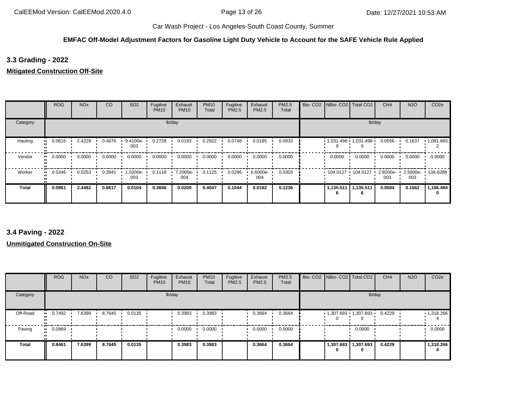## **EMFAC Off-Model Adjustment Factors for Gasoline Light Duty Vehicle to Account for the SAFE Vehicle Rule Applied**

## **3.3 Grading - 2022**

### **Mitigated Construction Off-Site**

|              | <b>ROG</b> | <b>NO<sub>x</sub></b> | CO     | SO <sub>2</sub>  | Fugitive<br><b>PM10</b> | Exhaust<br><b>PM10</b> | <b>PM10</b><br>Total | Fugitive<br>PM2.5 | Exhaust<br>PM2.5 | <b>PM2.5</b><br>Total |                       | Bio- CO2   NBio- CO2   Total CO2 | CH <sub>4</sub> | <b>N2O</b>      | CO <sub>2e</sub> |
|--------------|------------|-----------------------|--------|------------------|-------------------------|------------------------|----------------------|-------------------|------------------|-----------------------|-----------------------|----------------------------------|-----------------|-----------------|------------------|
| Category     |            |                       |        |                  |                         | lb/day                 |                      |                   |                  |                       |                       |                                  | lb/day          |                 |                  |
| Hauling      | 0.0615     | 2.4229                | 0.4676 | 9.4100e-<br>003  | 0.2728                  | 0.0193                 | 0.2922               | 0.0748            | 0.0185           | 0.0933                |                       | $1,031.498$ 1,031.498            | 0.0556          | 0.1637          | .1081.665        |
| Vendor       | 0.0000<br> | 0.0000                | 0.0000 | 0.0000           | 0.0000                  | 0.0000                 | 0.0000               | 0.0000            | 0.0000           | 0.0000                | 0.0000                | 0.0000                           | 0.0000          | 0.0000          | 0.0000           |
| Worker       | 0.0346<br> | 0.0253                | 0.3941 | -0200e- I<br>003 | 0.1118                  | 7.2000e-<br>004        | 0.1125               | 0.0296            | 6.6000e-<br>004  | 0.0303                | $104.0127 + 104.0127$ |                                  | 2.8200e-<br>003 | 2.5000e-<br>003 | $+104.8288$      |
| <b>Total</b> | 0.0961     | 2.4482                | 0.8617 | 0.0104           | 0.3846                  | 0.0200                 | 0.4047               | 0.1044            | 0.0192           | 0.1236                | 1,135.511<br>6        | 1,135.511                        | 0.0584          | 0.1662          | 1,186.494        |

## **3.4 Paving - 2022**

|              | <b>ROG</b> | <b>NO<sub>x</sub></b> | <sub>CO</sub> | SO <sub>2</sub> | Fugitive<br><b>PM10</b> | Exhaust<br><b>PM10</b> | <b>PM10</b><br>Total | Fugitive<br>PM2.5 | Exhaust<br><b>PM2.5</b> | PM2.5<br>Total | Bio- CO2   NBio- CO2   Total CO2 |                     | CH <sub>4</sub> | <b>N2O</b> | CO <sub>2e</sub>  |
|--------------|------------|-----------------------|---------------|-----------------|-------------------------|------------------------|----------------------|-------------------|-------------------------|----------------|----------------------------------|---------------------|-----------------|------------|-------------------|
| Category     |            |                       |               |                 |                         | lb/day                 |                      |                   |                         |                |                                  | lb/day              |                 |            |                   |
| Off-Road     | 0.7492<br> | 7.6399                | 8.7645        | 0.0135          |                         | 0.3983                 | 0.3983               |                   | 0.3664                  | 0.3664         |                                  | 1,307.693 1,307.693 | 0.4229          |            | $\cdot$ 1,318.266 |
| Paving       | 0.0969<br> |                       |               |                 |                         | 0.0000                 | 0.0000               |                   | 0.0000                  | 0.0000         |                                  | 0.0000              |                 |            | 0.0000            |
| <b>Total</b> | 0.8461     | 7.6399                | 8.7645        | 0.0135          |                         | 0.3983                 | 0.3983               |                   | 0.3664                  | 0.3664         | 1,307.693<br>0                   | 1,307.693<br>0      | 0.4229          |            | 1,318.266         |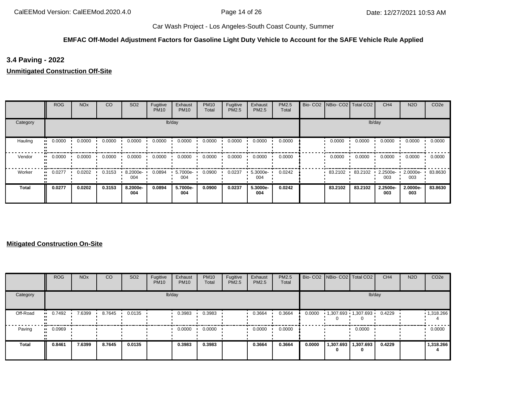## **EMFAC Off-Model Adjustment Factors for Gasoline Light Duty Vehicle to Account for the SAFE Vehicle Rule Applied**

**3.4 Paving - 2022**

**Unmitigated Construction Off-Site**

|              | <b>ROG</b> | <b>NO<sub>x</sub></b> | CO     | SO <sub>2</sub> | Fugitive<br><b>PM10</b> | Exhaust<br><b>PM10</b> | <b>PM10</b><br>Total | Fugitive<br>PM2.5 | Exhaust<br>PM2.5 | PM2.5<br>Total | Bio- CO2 NBio- CO2 Total CO2 |         | CH <sub>4</sub> | <b>N2O</b>      | CO <sub>2e</sub> |
|--------------|------------|-----------------------|--------|-----------------|-------------------------|------------------------|----------------------|-------------------|------------------|----------------|------------------------------|---------|-----------------|-----------------|------------------|
| Category     |            |                       |        |                 |                         | lb/day                 |                      |                   |                  |                |                              |         | lb/day          |                 |                  |
| Hauling      | 0.0000     | 0.0000                | 0.0000 | 0.0000          | 0.0000                  | 0.0000                 | 0.0000               | 0.0000            | 0.0000           | 0.0000         | 0.0000                       | 0.0000  | 0.0000          | 0.0000          | 0.0000           |
| Vendor       | 0.0000     | 0.0000                | 0.0000 | 0.0000          | 0.0000                  | 0.0000                 | 0.0000               | 0.0000            | 0.0000           | 0.0000         | 0.0000                       | 0.0000  | 0.0000          | 0.0000          | 0.0000           |
| Worker       | 0.0277     | 0.0202                | 0.3153 | 8.2000e-<br>004 | 0.0894                  | 5.7000e-<br>004        | 0.0900               | 0.0237            | 5.3000e-<br>004  | 0.0242         | 83.2102                      | 83.2102 | 2.2500e-<br>003 | 2.0000e-<br>003 | 83.8630          |
| <b>Total</b> | 0.0277     | 0.0202                | 0.3153 | 8.2000e-<br>004 | 0.0894                  | 5.7000e-<br>004        | 0.0900               | 0.0237            | 5.3000e-<br>004  | 0.0242         | 83.2102                      | 83.2102 | 2.2500e-<br>003 | 2.0000e-<br>003 | 83.8630          |

|              | <b>ROG</b> | <b>NO<sub>x</sub></b> | CO     | SO <sub>2</sub> | Fugitive<br><b>PM10</b> | Exhaust<br><b>PM10</b> | <b>PM10</b><br>Total | Fugitive<br><b>PM2.5</b> | Exhaust<br>PM2.5 | PM2.5<br>Total |        | Bio- CO2   NBio- CO2   Total CO2 |                              | CH <sub>4</sub> | <b>N2O</b> | CO <sub>2</sub> e |
|--------------|------------|-----------------------|--------|-----------------|-------------------------|------------------------|----------------------|--------------------------|------------------|----------------|--------|----------------------------------|------------------------------|-----------------|------------|-------------------|
| Category     |            |                       |        |                 |                         | lb/day                 |                      |                          |                  |                |        |                                  | lb/day                       |                 |            |                   |
| Off-Road     | 0.7492     | 7.6399                | 8.7645 | 0.0135          |                         | 0.3983                 | 0.3983               |                          | 0.3664           | 0.3664         | 0.0000 | . .                              | 1,307.693 1,307.693          | 0.4229          |            | $\cdot$ 1,318.266 |
| Paving       | 0.0969     |                       |        |                 |                         | 0.0000                 | 0.0000               |                          | 0.0000           | 0.0000         |        |                                  | 0.0000                       |                 |            | 0.0000            |
| <b>Total</b> | 0.8461     | 7.6399                | 8.7645 | 0.0135          |                         | 0.3983                 | 0.3983               |                          | 0.3664           | 0.3664         | 0.0000 |                                  | 1,307.693   1,307.693  <br>0 | 0.4229          |            | 1,318.266         |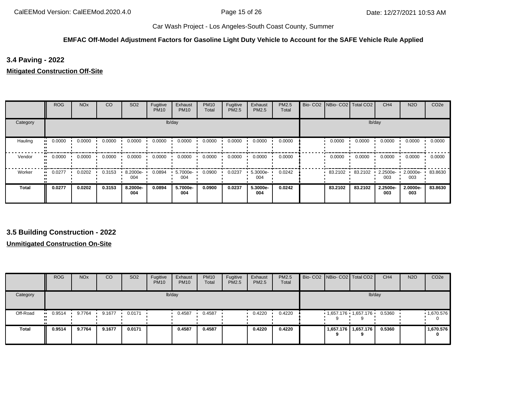#### **EMFAC Off-Model Adjustment Factors for Gasoline Light Duty Vehicle to Account for the SAFE Vehicle Rule Applied**

**3.4 Paving - 2022**

**Mitigated Construction Off-Site**

|              | <b>ROG</b> | <b>NO<sub>x</sub></b> | CO     | SO <sub>2</sub> | Fugitive<br><b>PM10</b> | Exhaust<br><b>PM10</b> | <b>PM10</b><br>Total | Fugitive<br>PM2.5 | Exhaust<br>PM2.5 | PM2.5<br>Total | Bio- CO2   NBio- CO2   Total CO2 |         | CH <sub>4</sub> | <b>N2O</b>      | CO <sub>2e</sub> |
|--------------|------------|-----------------------|--------|-----------------|-------------------------|------------------------|----------------------|-------------------|------------------|----------------|----------------------------------|---------|-----------------|-----------------|------------------|
| Category     |            |                       |        |                 |                         | lb/day                 |                      |                   |                  |                |                                  |         | lb/day          |                 |                  |
| Hauling      | 0.0000     | 0.0000                | 0.0000 | 0.0000          | 0.0000                  | 0.0000                 | 0.0000               | 0.0000            | 0.0000           | 0.0000         | 0.0000                           | 0.0000  | 0.0000          | 0.0000          | 0.0000           |
| Vendor       | 0.0000     | 0.0000                | 0.0000 | 0.0000          | 0.0000                  | 0.0000                 | 0.0000               | 0.0000            | 0.0000           | 0.0000         | 0.0000                           | 0.0000  | 0.0000          | 0.0000          | 0.0000           |
| Worker       | 0.0277     | 0.0202                | 0.3153 | 8.2000e-<br>004 | 0.0894                  | 5.7000e-<br>004        | 0.0900               | 0.0237            | 5.3000e-<br>004  | 0.0242         | 83.2102                          | 83.2102 | 2.2500e-<br>003 | 2.0000e-<br>003 | 83.8630          |
| <b>Total</b> | 0.0277     | 0.0202                | 0.3153 | 8.2000e-<br>004 | 0.0894                  | 5.7000e-<br>004        | 0.0900               | 0.0237            | 5.3000e-<br>004  | 0.0242         | 83.2102                          | 83.2102 | 2.2500e-<br>003 | 2.0000e-<br>003 | 83.8630          |

**3.5 Building Construction - 2022**

|          | <b>ROG</b>            | <b>NO<sub>x</sub></b> | CO     | SO <sub>2</sub> | Fugitive<br><b>PM10</b> | Exhaust<br><b>PM10</b> | <b>PM10</b><br>Total | Fugitive<br><b>PM2.5</b> | Exhaust<br>PM2.5 | PM2.5<br>Total |  | Bio- CO2 NBio- CO2 Total CO2 | CH <sub>4</sub> | <b>N2O</b> | CO <sub>2</sub> e     |
|----------|-----------------------|-----------------------|--------|-----------------|-------------------------|------------------------|----------------------|--------------------------|------------------|----------------|--|------------------------------|-----------------|------------|-----------------------|
| Category |                       |                       |        |                 |                         | lb/day                 |                      |                          |                  |                |  | lb/day                       |                 |            |                       |
| Off-Road | $\blacksquare$ 0.9514 | 9.7764                | 9.1677 | 0.0171          |                         | 0.4587                 | 0.4587               |                          | 0.4220           | 0.4220         |  | $1,657.176$ $1,657.176$      | 0.5360          |            | 1,670.576<br>$\Omega$ |
| Total    | 0.9514                | 9.7764                | 9.1677 | 0.0171          |                         | 0.4587                 | 0.4587               |                          | 0.4220           | 0.4220         |  | 1,657.176   1,657.176  <br>Ω | 0.5360          |            | 1,670.576<br>0        |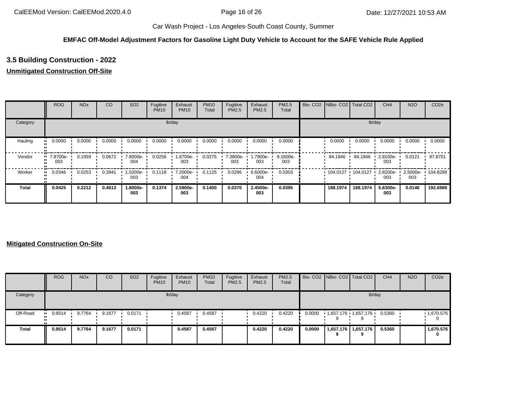## **EMFAC Off-Model Adjustment Factors for Gasoline Light Duty Vehicle to Account for the SAFE Vehicle Rule Applied**

# **3.5 Building Construction - 2022**

## **Unmitigated Construction Off-Site**

|              | <b>ROG</b>                     | <b>NO<sub>x</sub></b> | CO     | SO <sub>2</sub> | Fugitive<br><b>PM10</b> | Exhaust<br><b>PM10</b> | <b>PM10</b><br>Total | Fugitive<br>PM2.5 | Exhaust<br>PM2.5 | PM2.5<br>Total  | Bio- CO2   NBio- CO2   Total CO2 |          | CH <sub>4</sub> | <b>N2O</b>      | CO <sub>2e</sub> |
|--------------|--------------------------------|-----------------------|--------|-----------------|-------------------------|------------------------|----------------------|-------------------|------------------|-----------------|----------------------------------|----------|-----------------|-----------------|------------------|
| Category     |                                |                       |        |                 |                         | lb/day                 |                      |                   |                  |                 |                                  | lb/day   |                 |                 |                  |
| Hauling      | 0.0000<br>                     | 0.0000                | 0.0000 | 0.0000          | 0.0000                  | 0.0000                 | 0.0000               | 0.0000            | 0.0000           | 0.0000          | 0.0000                           | 0.0000   | 0.0000          | 0.0000          | 0.0000           |
| Vendor       | $\blacksquare$ 7.8700e-<br>003 | 0.1959                | 0.0672 | 7.8000e-<br>004 | 0.0256                  | 1.8700e-<br>003        | 0.0275               | 7.3800e-<br>003   | -.7900e<br>003   | 9.1600e-<br>003 | 84.1846                          | 84.1846  | 2.8100e-<br>003 | 0.0121          | 87.8701          |
| Worker       | 0.0346<br>                     | 0.0253                | 0.3941 | 1.0200e-<br>003 | 0.1118                  | 7.2000e-<br>004        | 0.1125               | 0.0296            | 6.6000e-<br>004  | 0.0303          | 104.0127                         | 104.0127 | 2.8200e-<br>003 | 2.5000e-<br>003 | 104.8288         |
| <b>Total</b> | 0.0425                         | 0.2212                | 0.4613 | 1.8000e-<br>003 | 0.1374                  | 2.5900e-<br>003        | 0.1400               | 0.0370            | 2.4500e-<br>003  | 0.0395          | 188.1974                         | 188.1974 | 5.6300e-<br>003 | 0.0146          | 192.6988         |

|          | <b>ROG</b>            | <b>NO<sub>x</sub></b> | CO     | SO <sub>2</sub> | Fugitive<br><b>PM10</b> | Exhaust<br><b>PM10</b> | <b>PM10</b><br>Total | Fugitive<br>PM2.5 | Exhaust<br>PM2.5 | <b>PM2.5</b><br>Total |        | Bio- CO2 NBio- CO2 Total CO2 | CH <sub>4</sub> | <b>N2O</b> | CO <sub>2e</sub>       |
|----------|-----------------------|-----------------------|--------|-----------------|-------------------------|------------------------|----------------------|-------------------|------------------|-----------------------|--------|------------------------------|-----------------|------------|------------------------|
| Category |                       |                       |        |                 |                         | lb/day                 |                      |                   |                  |                       |        | lb/day                       |                 |            |                        |
| Off-Road | $\blacksquare$ 0.9514 | 9.7764                | 9.1677 | 0.0171          |                         | 0.4587                 | 0.4587               |                   | 0.4220           | 0.4220                | 0.0000 | 1,657.176 1,657.176          | 0.5360          |            | .1,670.576<br>$\Omega$ |
| Total    | 0.9514                | 9.7764                | 9.1677 | 0.0171          |                         | 0.4587                 | 0.4587               |                   | 0.4220           | 0.4220                | 0.0000 | 1,657.176   1,657.176        | 0.5360          |            | 1,670.576<br>o         |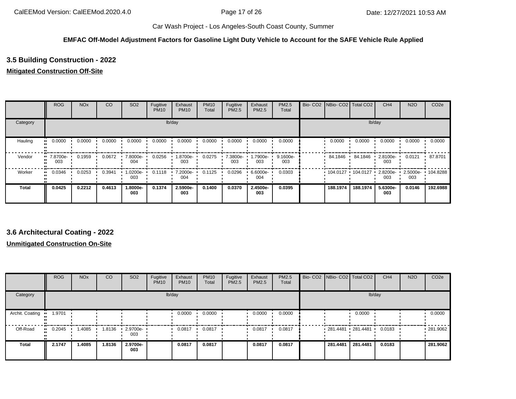## **EMFAC Off-Model Adjustment Factors for Gasoline Light Duty Vehicle to Account for the SAFE Vehicle Rule Applied**

# **3.5 Building Construction - 2022**

### **Mitigated Construction Off-Site**

|          | <b>ROG</b>      | <b>NO<sub>x</sub></b> | CO     | SO <sub>2</sub> | Fugitive<br><b>PM10</b> | Exhaust<br><b>PM10</b> | <b>PM10</b><br>Total | Fugitive<br><b>PM2.5</b> | Exhaust<br>PM2.5 | PM2.5<br>Total  | Bio- CO2   NBio- CO2   Total CO2 |          | CH <sub>4</sub>    | <b>N2O</b>      | CO <sub>2e</sub> |
|----------|-----------------|-----------------------|--------|-----------------|-------------------------|------------------------|----------------------|--------------------------|------------------|-----------------|----------------------------------|----------|--------------------|-----------------|------------------|
| Category |                 |                       |        |                 |                         | lb/day                 |                      |                          |                  |                 |                                  |          | lb/day             |                 |                  |
| Hauling  | 0.0000          | 0.0000                | 0.0000 | 0.0000          | 0.0000                  | 0.0000                 | 0.0000               | 0.0000                   | 0.0000           | 0.0000          | 0.0000                           | 0.0000   | 0.0000             | 0.0000          | 0.0000           |
| Vendor   | 7.8700e-<br>003 | 0.1959                | 0.0672 | 7.8000e-<br>004 | 0.0256                  | 1.8700e-<br>003        | 0.0275               | 7.3800e-<br>003          | 1.7900e-<br>003  | 9.1600e-<br>003 | 84.1846                          | 84.1846  | $2.8100e -$<br>003 | 0.0121          | 87.8701          |
| Worker   | 0.0346          | 0.0253                | 0.3941 | 1.0200e-<br>003 | 0.1118                  | 7.2000e-<br>004        | 0.1125               | 0.0296                   | 6.6000e-<br>004  | 0.0303          | 104.0127 104.0127                |          | 2.8200e-<br>003    | 2.5000e-<br>003 | $\cdot$ 104.8288 |
| Total    | 0.0425          | 0.2212                | 0.4613 | 1.8000e-<br>003 | 0.1374                  | 2.5900e-<br>003        | 0.1400               | 0.0370                   | 2.4500e-<br>003  | 0.0395          | 188.1974                         | 188.1974 | 5.6300e-<br>003    | 0.0146          | 192.6988         |

## **3.6 Architectural Coating - 2022**

|                 | <b>ROG</b> | <b>NO<sub>x</sub></b> | CO     | SO <sub>2</sub> | Fugitive<br><b>PM10</b> | Exhaust<br><b>PM10</b> | <b>PM10</b><br>Total | Fugitive<br>PM2.5 | Exhaust<br><b>PM2.5</b> | <b>PM2.5</b><br>Total | Bio- CO2   NBio- CO2   Total CO2 |          | CH <sub>4</sub> | <b>N2O</b> | CO <sub>2e</sub> |
|-----------------|------------|-----------------------|--------|-----------------|-------------------------|------------------------|----------------------|-------------------|-------------------------|-----------------------|----------------------------------|----------|-----------------|------------|------------------|
| Category        |            |                       |        |                 |                         | lb/day                 |                      |                   |                         |                       |                                  | lb/day   |                 |            |                  |
| Archit. Coating | 1.9701     |                       |        |                 |                         | 0.0000                 | 0.0000               |                   | 0.0000                  | 0.0000                |                                  | 0.0000   |                 |            | 0.0000           |
| Off-Road        | 0.2045     | .4085                 | 1.8136 | 2.9700e-<br>003 |                         | 0.0817                 | 0.0817               |                   | 0.0817                  | 0.0817                | 281.4481 281.4481                |          | 0.0183          |            | .281.9062        |
| <b>Total</b>    | 2.1747     | 1.4085                | 1.8136 | 2.9700e-<br>003 |                         | 0.0817                 | 0.0817               |                   | 0.0817                  | 0.0817                | 281.4481                         | 281.4481 | 0.0183          |            | 281.9062         |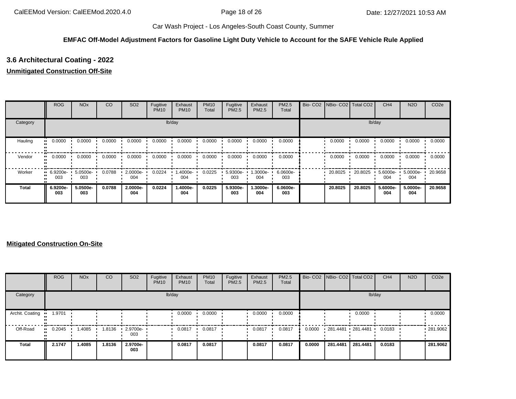## **EMFAC Off-Model Adjustment Factors for Gasoline Light Duty Vehicle to Account for the SAFE Vehicle Rule Applied**

# **3.6 Architectural Coating - 2022**

### **Unmitigated Construction Off-Site**

|          | <b>ROG</b>                     | <b>NO<sub>x</sub></b> | CO     | SO <sub>2</sub> | Fugitive<br><b>PM10</b> | Exhaust<br><b>PM10</b> | <b>PM10</b><br>Total | Fugitive<br>PM2.5 | Exhaust<br><b>PM2.5</b> | PM2.5<br>Total  | Bio-CO <sub>2</sub> | NBio- CO2   Total CO2 |         | CH <sub>4</sub>    | <b>N2O</b>      | CO <sub>2e</sub> |
|----------|--------------------------------|-----------------------|--------|-----------------|-------------------------|------------------------|----------------------|-------------------|-------------------------|-----------------|---------------------|-----------------------|---------|--------------------|-----------------|------------------|
| Category |                                |                       |        |                 |                         | lb/day                 |                      |                   |                         |                 |                     |                       |         | lb/day             |                 |                  |
| Hauling  | 0.0000<br>                     | 0.0000                | 0.0000 | 0.0000          | 0.0000                  | 0.0000                 | 0.0000               | 0.0000            | 0.0000                  | 0.0000          |                     | 0.0000                | 0.0000  | 0.0000             | 0.0000          | 0.0000           |
| Vendor   | 0.0000<br>                     | 0.0000                | 0.0000 | 0.0000          | 0.0000                  | 0.0000                 | 0.0000               | 0.0000            | 0.0000                  | 0.0000          |                     | 0.0000                | 0.0000  | 0.0000             | 0.0000          | 0.0000           |
| Worker   | $\blacksquare$ 6.9200e-<br>003 | 5.0500e-<br>003       | 0.0788 | 2.0000e-<br>004 | 0.0224                  | 1.4000e-<br>004        | 0.0225               | 5.9300e-<br>003   | -3000e-<br>004          | 6.0600e-<br>003 |                     | 20.8025               | 20.8025 | $5.6000e -$<br>004 | 5.0000e-<br>004 | 20.9658          |
| Total    | 6.9200e-<br>003                | 5.0500e-<br>003       | 0.0788 | 2.0000e-<br>004 | 0.0224                  | 1.4000e-<br>004        | 0.0225               | 5.9300e-<br>003   | 1.3000e-<br>004         | 6.0600e-<br>003 |                     | 20.8025               | 20.8025 | 5.6000e-<br>004    | 5.0000e-<br>004 | 20.9658          |

|                 | <b>ROG</b>     | <b>NO<sub>x</sub></b> | CO     | SO <sub>2</sub> | Fugitive<br><b>PM10</b> | Exhaust<br><b>PM10</b> | <b>PM10</b><br>Total | Fugitive<br>PM2.5 | Exhaust<br><b>PM2.5</b> | PM2.5<br>Total |        | Bio- CO2 NBio- CO2 Total CO2 |          | CH <sub>4</sub> | <b>N2O</b> | CO <sub>2e</sub> |
|-----------------|----------------|-----------------------|--------|-----------------|-------------------------|------------------------|----------------------|-------------------|-------------------------|----------------|--------|------------------------------|----------|-----------------|------------|------------------|
| Category        |                |                       |        |                 |                         | lb/day                 |                      |                   |                         |                |        |                              | lb/day   |                 |            |                  |
| Archit. Coating | 1.9701<br>. .  |                       |        |                 |                         | 0.0000                 | 0.0000               |                   | 0.0000                  | 0.0000         |        |                              | 0.0000   |                 |            | 0.0000           |
| Off-Road        | $\cdot$ 0.2045 | 1.4085                | 1.8136 | 2.9700e-<br>003 |                         | 0.0817                 | 0.0817               |                   | 0.0817                  | 0.0817         | 0.0000 | 281.4481 281.4481            |          | 0.0183          |            | .281.9062        |
| Total           | 2.1747         | 1.4085                | 1.8136 | 2.9700e-<br>003 |                         | 0.0817                 | 0.0817               |                   | 0.0817                  | 0.0817         | 0.0000 | 281.4481                     | 281.4481 | 0.0183          |            | 281.9062         |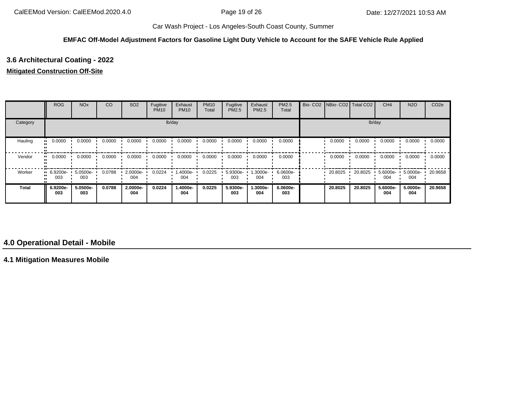#### **EMFAC Off-Model Adjustment Factors for Gasoline Light Duty Vehicle to Account for the SAFE Vehicle Rule Applied**

# **3.6 Architectural Coating - 2022**

### **Mitigated Construction Off-Site**

|              | <b>ROG</b>         | <b>NO<sub>x</sub></b> | CO     | SO <sub>2</sub> | Fugitive<br><b>PM10</b> | Exhaust<br><b>PM10</b> | <b>PM10</b><br>Total | Fugitive<br>PM2.5 | Exhaust<br><b>PM2.5</b> | PM2.5<br>Total  | Bio- CO2   NBio- CO2   Total CO2 |         | CH <sub>4</sub> | <b>N2O</b>      | CO <sub>2e</sub> |
|--------------|--------------------|-----------------------|--------|-----------------|-------------------------|------------------------|----------------------|-------------------|-------------------------|-----------------|----------------------------------|---------|-----------------|-----------------|------------------|
| Category     |                    |                       |        |                 |                         | lb/day                 |                      |                   |                         |                 |                                  | lb/day  |                 |                 |                  |
| Hauling      | 0.0000             | 0.0000                | 0.0000 | 0.0000          | 0.0000                  | 0.0000                 | 0.0000               | 0.0000            | 0.0000                  | 0.0000          | 0.0000                           | 0.0000  | 0.0000          | 0.0000          | 0.0000           |
| Vendor       | 0.0000             | 0.0000                | 0.0000 | 0.0000          | 0.0000                  | 0.0000                 | 0.0000               | 0.0000            | 0.0000                  | 0.0000          | 0.0000                           | 0.0000  | 0.0000          | 0.0000          | 0.0000           |
| Worker       | $-6.9200e-$<br>003 | 5.0500e-<br>003       | 0.0788 | 2.0000e-<br>004 | 0.0224                  | 1.4000e-<br>004        | 0.0225               | 5.9300e-<br>003   | 1.3000e-<br>004         | 6.0600e-<br>003 | 20.8025                          | 20.8025 | 5.6000e-<br>004 | 5.0000e-<br>004 | 20.9658          |
| <b>Total</b> | 6.9200e-<br>003    | 5.0500e-<br>003       | 0.0788 | 2.0000e-<br>004 | 0.0224                  | 1.4000e-<br>004        | 0.0225               | 5.9300e-<br>003   | 1.3000e-<br>004         | 6.0600e-<br>003 | 20.8025                          | 20.8025 | 5.6000e-<br>004 | 5.0000e-<br>004 | 20.9658          |

## **4.0 Operational Detail - Mobile**

**4.1 Mitigation Measures Mobile**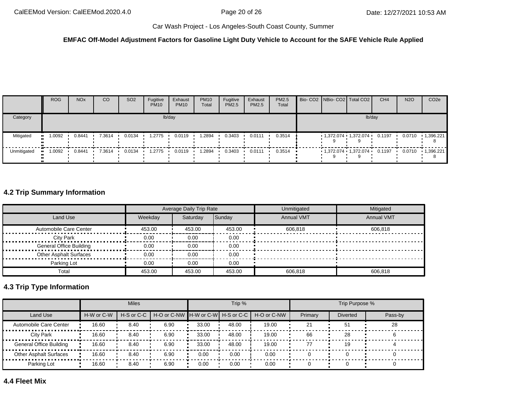#### **EMFAC Off-Model Adjustment Factors for Gasoline Light Duty Vehicle to Account for the SAFE Vehicle Rule Applied**

|             | <b>ROG</b> | <b>NO<sub>x</sub></b> | <sub>CO</sub> | SO <sub>2</sub> | Fugitive<br><b>PM10</b> | Exhaust<br><b>PM10</b> | <b>PM10</b><br>Total | Fugitive<br><b>PM2.5</b> | Exhaust<br><b>PM2.5</b> | PM2.5<br>Total          |  | Bio- CO2 NBio- CO2 Total CO2    | CH <sub>4</sub> | <b>N2O</b> | CO <sub>2e</sub>     |
|-------------|------------|-----------------------|---------------|-----------------|-------------------------|------------------------|----------------------|--------------------------|-------------------------|-------------------------|--|---------------------------------|-----------------|------------|----------------------|
| Category    |            |                       |               |                 |                         | lb/day                 |                      |                          |                         |                         |  | lb/day                          |                 |            |                      |
| Mitigated   | 1.0092     | 0.8441                | 7.3614        | 0.0134          | 1.2775                  | 0.0119                 | .2894                | 0.3403                   | 0.0111                  | 0.3514                  |  | $1,372.074$ $1,372.074$ $\cdot$ | 0.1197          |            | $0.0710 + 1,396.221$ |
| Unmitigated | 1.0092     | 0.8441                | $-7.3614$     | 0.0134          | 1.2775                  | 0.0119<br><b>COLOR</b> | 1.2894               | 0.3403                   | 0.0111                  | $0.3514$ $\blacksquare$ |  | $1,372.074$ $1,372.074$ 0.1197  |                 |            |                      |

# **4.2 Trip Summary Information**

|                                |         | Average Daily Trip Rate |        | Unmitigated       | Mitigated         |
|--------------------------------|---------|-------------------------|--------|-------------------|-------------------|
| Land Use                       | Weekdav | Saturday                | Sunday | <b>Annual VMT</b> | <b>Annual VMT</b> |
| Automobile Care Center         | 453.00  | 453.00                  | 453.00 | 606.818           | 606.818           |
| <b>City Park</b>               | 0.00    | 0.00                    | 0.00   |                   |                   |
| <b>General Office Building</b> | 0.00    | 0.00                    | 0.00   |                   |                   |
| <b>Other Asphalt Surfaces</b>  | 0.00    | 0.00                    | 0.00   |                   |                   |
| Parking Lot                    | 0.00    | 0.00                    | 0.00   |                   |                   |
| Total                          | 453.00  | 453.00                  | 453.00 | 606.818           | 606.818           |

# **4.3 Trip Type Information**

|                                |            | <b>Miles</b>   |                                   |       | Trip % |             |         | Trip Purpose %  |         |
|--------------------------------|------------|----------------|-----------------------------------|-------|--------|-------------|---------|-----------------|---------|
| Land Use                       | H-W or C-W | $H-S$ or $C-C$ | H-O or C-NW H-W or C-W H-S or C-C |       |        | H-O or C-NW | Primary | <b>Diverted</b> | Pass-by |
| Automobile Care Center         | 16.60      | 8.40           | 6.90                              | 33.00 | 48.00  | 19.00       | 21      | 51              | 28      |
| City Park                      | 16.60      | 8.40           | 6.90                              | 33.00 | 48.00  | 19.00       | 66      | 28              |         |
| <b>General Office Building</b> | 16.60      | 8.40           | 6.90                              | 33.00 | 48.00  | 19.00       | 77      | 19              |         |
| <b>Other Asphalt Surfaces</b>  | 16.60      | 8.40           | 6.90                              | 0.00  | 0.00   | 0.00        |         |                 |         |
| Parking Lot                    | 16.60      | 8.40           | 6.90                              | 0.00  | 0.00   | 0.00        |         |                 |         |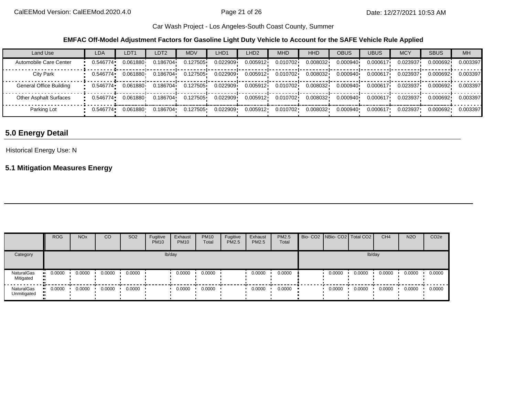**EMFAC Off-Model Adjustment Factors for Gasoline Light Duty Vehicle to Account for the SAFE Vehicle Rule Applied**

| Land Use                      | <b>LDA</b> | LDT <sub>1</sub> | LDT <sub>2</sub> | <b>MDV</b> | LHD1     | LHD <sub>2</sub> | <b>MHD</b> | HHD      | <b>OBUS</b> | <b>UBUS</b> | <b>MCY</b> | <b>SBUS</b> | <b>MH</b> |
|-------------------------------|------------|------------------|------------------|------------|----------|------------------|------------|----------|-------------|-------------|------------|-------------|-----------|
| Automobile Care Center        | 0.546774   | 0.061880         | 0.186704         | 0.127505   | 0.022909 | 0.005912         | 0.010702   | 0.008032 | 0.000940    | 0.000617    | 0.023937   | 0.000692    | 0.003397  |
| City Park                     | 0.546774   | 0.061880         | 0.186704         | 0.127505   | 0.022909 | 0.005912         | 0.010702   | 0.008032 | 0.000940    | 0.000617    | 0.023937   | 0.000692    | 0.003397  |
| General Office Building       | 0.546774   | 0.061880         | 0.186704         | 0.127505   | 0.022909 | 0.005912         | 0.010702   | 0.008032 | 0.000940    | 0.000617    | 0.023937   | 0.000692    | 0.003397  |
| <b>Other Asphalt Surfaces</b> | 0.546774   | 0.061880         | 0.186704         | 0.127505   | 0.022909 | 0.005912         | 0.010702   | 0.008032 | 0.000940    | 0.000617    | 0.023937   | 0.000692    | 0.003397  |
| Parking Lot                   | 0.546774•  | 0.061880         | 0.186704         | 0.127505   | 0.022909 | 0.005912         | 0.010702   | 0.008032 | 0.000940    | 0.000617    | 0.023937   | 0.000692    | 0.003397  |

# **5.0 Energy Detail**

## Historical Energy Use: N

# **5.1 Mitigation Measures Energy**

|                           | <b>ROG</b>    | <b>NO<sub>x</sub></b> | CO     | SO <sub>2</sub> | Fugitive<br><b>PM10</b> | Exhaust<br><b>PM10</b> | <b>PM10</b><br>Total | Fugitive<br>PM2.5 | Exhaust<br>PM2.5 | PM2.5<br>Total | Bio- CO2   NBio- CO2   Total CO2 |        | CH <sub>4</sub> | <b>N2O</b> | CO <sub>2e</sub> |
|---------------------------|---------------|-----------------------|--------|-----------------|-------------------------|------------------------|----------------------|-------------------|------------------|----------------|----------------------------------|--------|-----------------|------------|------------------|
| Category                  |               |                       |        |                 |                         | lb/day                 |                      |                   |                  |                |                                  | lb/day |                 |            |                  |
| NaturalGas<br>Mitigated   | 0.0000<br>. . | 0.0000                | 0.0000 | 0.0000          |                         | 0.0000                 | 0.0000               |                   | 0.0000           | 0.0000         | 0.0000                           | 0.0000 | 0.0000          | 0.0000     | 0.0000           |
| NaturalGas<br>Unmitigated | $-0.0000$     | 0.0000                | 0.0000 | 0.0000          |                         | 0.0000                 | 0.0000               |                   | 0.0000           | 0.0000         | 0.0000                           | 0.0000 | 0.0000          | 0.0000     | 0.0000           |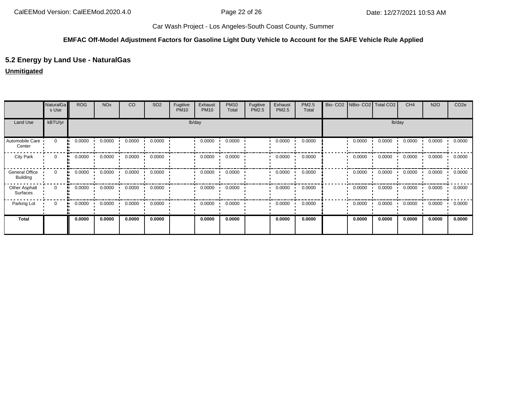## **EMFAC Off-Model Adjustment Factors for Gasoline Light Duty Vehicle to Account for the SAFE Vehicle Rule Applied**

## **5.2 Energy by Land Use - NaturalGas**

### **Unmitigated**

|                                          | NaturalGa<br>s Use | <b>ROG</b> | <b>NO<sub>x</sub></b> | CO     | SO <sub>2</sub> | Fugitive<br><b>PM10</b> | Exhaust<br><b>PM10</b> | <b>PM10</b><br>Total | Fugitive<br>PM2.5 | Exhaust<br>PM2.5 | PM2.5<br>Total | Bio-CO <sub>2</sub> |        | NBio- CO2   Total CO2 | CH <sub>4</sub> | <b>N2O</b> | CO <sub>2e</sub> |
|------------------------------------------|--------------------|------------|-----------------------|--------|-----------------|-------------------------|------------------------|----------------------|-------------------|------------------|----------------|---------------------|--------|-----------------------|-----------------|------------|------------------|
| Land Use                                 | kBTU/yr            |            |                       |        |                 | lb/day                  |                        |                      |                   |                  |                |                     |        | lb/day                |                 |            |                  |
| Automobile Care<br>Center                | $\mathbf 0$        | 0.0000     | 0.0000                | 0.0000 | 0.0000          |                         | 0.0000                 | 0.0000               |                   | 0.0000           | 0.0000         |                     | 0.0000 | 0.0000                | 0.0000          | 0.0000     | 0.0000           |
| <b>City Park</b>                         | 0                  | 0.0000     | 0.0000                | 0.0000 | 0.0000          |                         | 0.0000                 | 0.0000               |                   | 0.0000           | 0.0000         |                     | 0.0000 | 0.0000                | 0.0000          | 0.0000     | 0.0000           |
| <b>General Office</b><br><b>Building</b> | $\mathbf 0$        | 0.0000     | 0.0000                | 0.0000 | 0.0000          |                         | 0.0000                 | 0.0000               |                   | 0.0000           | 0.0000         |                     | 0.0000 | 0.0000                | 0.0000          | 0.0000     | 0.0000           |
| Other Asphalt<br>Surfaces                | $\mathbf 0$        | 0.0000     | 0.0000                | 0.0000 | 0.0000          |                         | 0.0000                 | 0.0000               |                   | 0.0000           | 0.0000         |                     | 0.0000 | 0.0000                | 0.0000          | 0.0000     | 0.0000           |
| Parking Lot                              | 0                  | 0.0000     | 0.0000                | 0.0000 | 0.0000          |                         | 0.0000                 | 0.0000               |                   | 0.0000           | 0.0000         |                     | 0.0000 | 0.0000                | 0.0000          | 0.0000     | 0.0000           |
| <b>Total</b>                             |                    | 0.0000     | 0.0000                | 0.0000 | 0.0000          |                         | 0.0000                 | 0.0000               |                   | 0.0000           | 0.0000         |                     | 0.0000 | 0.0000                | 0.0000          | 0.0000     | 0.0000           |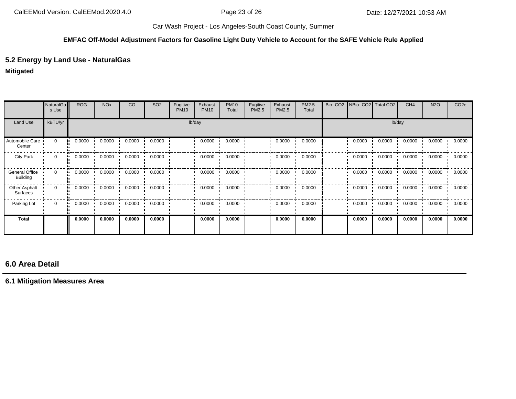### **EMFAC Off-Model Adjustment Factors for Gasoline Light Duty Vehicle to Account for the SAFE Vehicle Rule Applied**

## **5.2 Energy by Land Use - NaturalGas**

## **Mitigated**

|                                   | NaturalGa<br>s Use | <b>ROG</b>   | <b>NO<sub>x</sub></b> | CO     | SO <sub>2</sub> | Fugitive<br><b>PM10</b> | Exhaust<br><b>PM10</b> | <b>PM10</b><br>Total | Fugitive<br>PM2.5 | Exhaust<br>PM2.5 | PM2.5<br>Total | Bio- CO2 NBio- CO2 Total CO2 |        | CH <sub>4</sub> | <b>N2O</b> | CO <sub>2e</sub> |
|-----------------------------------|--------------------|--------------|-----------------------|--------|-----------------|-------------------------|------------------------|----------------------|-------------------|------------------|----------------|------------------------------|--------|-----------------|------------|------------------|
| Land Use                          | kBTU/yr            |              |                       |        |                 | lb/day                  |                        |                      |                   |                  |                |                              | lb/day |                 |            |                  |
| Automobile Care<br>Center         | $\mathbf 0$        | 0.0000       | 0.0000                | 0.0000 | 0.0000          |                         | 0.0000                 | 0.0000               |                   | 0.0000           | 0.0000         | 0.0000                       | 0.0000 | 0.0000          | 0.0000     | 0.0000           |
| <b>City Park</b>                  | 0                  | 0.0000       | 0.0000                | 0.0000 | 0.0000          |                         | 0.0000                 | 0.0000               |                   | 0.0000           | 0.0000         | 0.0000                       | 0.0000 | 0.0000          | 0.0000     | 0.0000           |
| General Office<br><b>Building</b> | $\mathbf{0}$<br>a. | 0.0000       | 0.0000                | 0.0000 | 0.0000          |                         | 0.0000                 | 0.0000               |                   | 0.0000           | 0.0000         | 0.0000                       | 0.0000 | 0.0000          | 0.0000     | 0.0000           |
| Other Asphalt<br>Surfaces         | 0                  | 0.0000<br>ш. | 0.0000                | 0.0000 | 0.0000          |                         | 0.0000                 | 0.0000               |                   | 0.0000           | 0.0000         | 0.0000                       | 0.0000 | 0.0000          | 0.0000     | 0.0000           |
| Parking Lot                       | $\mathbf 0$        | 0.0000       | 0.0000                | 0.0000 | 0.0000          |                         | 0.0000                 | 0.0000               |                   | 0.0000           | 0.0000         | 0.0000                       | 0.0000 | 0.0000          | 0.0000     | 0.0000           |
| Total                             |                    | 0.0000       | 0.0000                | 0.0000 | 0.0000          |                         | 0.0000                 | 0.0000               |                   | 0.0000           | 0.0000         | 0.0000                       | 0.0000 | 0.0000          | 0.0000     | 0.0000           |

# **6.0 Area Detail**

## **6.1 Mitigation Measures Area**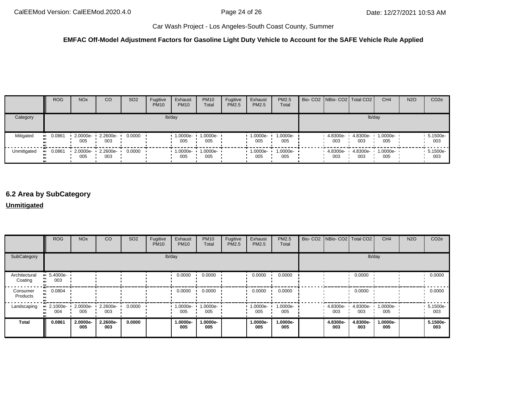### **EMFAC Off-Model Adjustment Factors for Gasoline Light Duty Vehicle to Account for the SAFE Vehicle Rule Applied**

|             | <b>ROG</b>    | <b>NO<sub>x</sub></b> | CO                       | SO <sub>2</sub> | Fugitive<br><b>PM10</b> | Exhaust<br><b>PM10</b> | <b>PM10</b><br>Total | Fugitive<br><b>PM2.5</b> | Exhaust<br><b>PM2.5</b> | <b>PM2.5</b><br>Total | Bio- CO2   NBio- CO2   Total CO2 |                 | CH <sub>4</sub>          | <b>N2O</b> | CO <sub>2e</sub> |
|-------------|---------------|-----------------------|--------------------------|-----------------|-------------------------|------------------------|----------------------|--------------------------|-------------------------|-----------------------|----------------------------------|-----------------|--------------------------|------------|------------------|
| Category    |               |                       |                          |                 |                         | lb/day                 |                      |                          |                         |                       |                                  | lb/day          |                          |            |                  |
| Mitigated   | 0.0861<br>.   | 005                   | 2.0000e- 2.2600e-<br>003 | 0.0000          |                         | 1.0000e-<br>005        | 1.0000e-<br>005      |                          | 1.0000e-<br>005         | 1.0000e-<br>005       | 4.8300e-<br>003                  | 4.8300e-<br>003 | 1.0000e-<br>005          |            | 5.1500e-<br>003  |
| Unmitigated | 0.0861<br>. . | 005                   | 2.0000e- 2.2600e-<br>003 | 0.0000          |                         | $-1.0000e -$<br>005    | 1.0000e-<br>005      |                          | $1.0000e -$<br>005      | $1.0000e-$<br>005     | 4.8300e-<br>003                  | 003             | 4.8300e- 1.0000e-<br>005 |            | 5.1500e-<br>003  |

# **6.2 Area by SubCategory**

### **Unmitigated**

|                          | <b>ROG</b>         | <b>NO<sub>x</sub></b> | CO              | SO <sub>2</sub> | Fugitive<br><b>PM10</b> | Exhaust<br><b>PM10</b> | <b>PM10</b><br>Total | Fugitive<br>PM2.5 | Exhaust<br><b>PM2.5</b> | <b>PM2.5</b><br>Total | Bio- CO2 NBio- CO2 Total CO2 |                 | CH <sub>4</sub> | <b>N2O</b> | CO <sub>2e</sub> |
|--------------------------|--------------------|-----------------------|-----------------|-----------------|-------------------------|------------------------|----------------------|-------------------|-------------------------|-----------------------|------------------------------|-----------------|-----------------|------------|------------------|
| SubCategory              |                    |                       |                 |                 |                         | lb/day                 |                      |                   |                         |                       |                              |                 | lb/day          |            |                  |
| Architectural<br>Coating | $-5.4000e-$<br>003 |                       |                 |                 |                         | 0.0000                 | 0.0000               |                   | 0.0000                  | 0.0000                |                              | 0.0000          |                 |            | 0.0000           |
| Consumer<br>Products     | 0.0804             |                       |                 |                 |                         | 0.0000                 | 0.0000               |                   | 0.0000                  | 0.0000                |                              | 0.0000          |                 |            | 0.0000           |
| Landscaping              | 2.1000e-<br>004    | 2.0000e-<br>005       | 2.2600e-<br>003 | 0.0000          |                         | 1.0000e-<br>005        | 1.0000e-<br>005      |                   | 1.0000e-<br>005         | 1.0000e-<br>005       | 4.8300e-<br>003              | 4.8300e-<br>003 | 1.0000e-<br>005 |            | 5.1500e-<br>003  |
| Total                    | 0.0861             | 2.0000e-<br>005       | 2.2600e-<br>003 | 0.0000          |                         | 1.0000e-<br>005        | 1.0000e-<br>005      |                   | 1.0000e-<br>005         | 1.0000e-<br>005       | 4.8300e-<br>003              | 4.8300e-<br>003 | 1.0000e-<br>005 |            | 5.1500e-<br>003  |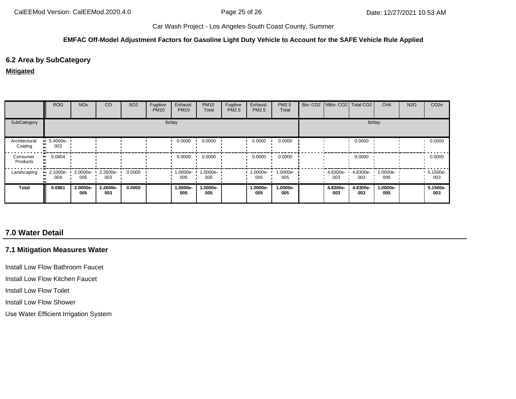#### **EMFAC Off-Model Adjustment Factors for Gasoline Light Duty Vehicle to Account for the SAFE Vehicle Rule Applied**

## **6.2 Area by SubCategory**

#### **Mitigated**

|                          | <b>ROG</b>                     | <b>NO<sub>x</sub></b> | CO              | SO <sub>2</sub> | Fugitive<br><b>PM10</b> | Exhaust<br><b>PM10</b> | <b>PM10</b><br>Total | Fugitive<br>PM2.5 | Exhaust<br>PM2.5 | PM2.5<br>Total  | Bio- CO2 NBio- CO2 Total CO2 |                 | CH <sub>4</sub> | <b>N2O</b> | CO <sub>2e</sub> |
|--------------------------|--------------------------------|-----------------------|-----------------|-----------------|-------------------------|------------------------|----------------------|-------------------|------------------|-----------------|------------------------------|-----------------|-----------------|------------|------------------|
| SubCategory              | lb/day                         |                       |                 |                 |                         |                        |                      |                   |                  | lb/day          |                              |                 |                 |            |                  |
| Architectural<br>Coating | $\blacksquare$ 5.4000e-<br>003 |                       |                 |                 |                         | 0.0000                 | 0.0000               |                   | 0.0000           | 0.0000          |                              | 0.0000          |                 |            | 0.0000           |
| Consumer<br>Products     | 0.0804<br>ш.                   |                       |                 |                 |                         | 0.0000                 | 0.0000               |                   | 0.0000           | 0.0000          |                              | 0.0000          |                 |            | 0.0000           |
| Landscaping              | $\blacksquare$ 2.1000e-<br>004 | $2.0000e -$<br>005    | 2.2600e-<br>003 | 0.0000          |                         | $1.0000e -$<br>005     | 1.0000e-<br>005      |                   | 1.0000e-<br>005  | 1.0000e-<br>005 | 4.8300e-<br>003              | 4.8300e-<br>003 | 1.0000e-<br>005 |            | 5.1500e-<br>003  |
| <b>Total</b>             | 0.0861                         | 2.0000e-<br>005       | 2.2600e-<br>003 | 0.0000          |                         | 1.0000e-<br>005        | 1.0000e-<br>005      |                   | 1.0000e-<br>005  | 1.0000e-<br>005 | 4.8300e-<br>003              | 4.8300e-<br>003 | 1.0000e-<br>005 |            | 5.1500e-<br>003  |

# **7.0 Water Detail**

## **7.1 Mitigation Measures Water**

Install Low Flow Bathroom Faucet

Install Low Flow Kitchen Faucet

Install Low Flow Toilet

Install Low Flow Shower

Use Water Efficient Irrigation System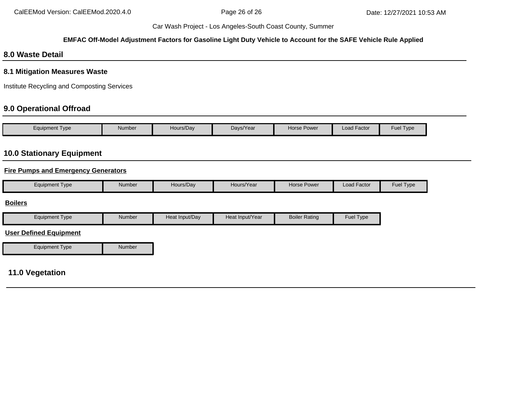### **EMFAC Off-Model Adjustment Factors for Gasoline Light Duty Vehicle to Account for the SAFE Vehicle Rule Applied**

## **8.0 Waste Detail**

### **8.1 Mitigation Measures Waste**

Institute Recycling and Composting Services

# **9.0 Operational Offroad**

| Equipment Type | Number | Hours/Day | Days/Year | <b>Horse Power</b> | <b>Load Factor</b> | Fuel $\tau$<br>Type |
|----------------|--------|-----------|-----------|--------------------|--------------------|---------------------|

## **10.0 Stationary Equipment**

### **Fire Pumps and Emergency Generators**

| Number<br><b>Fuel Type</b><br>Load Factor<br>Hours/Year<br>Horse Power<br>Equipment Type<br>Hours/Dav |
|-------------------------------------------------------------------------------------------------------|
|-------------------------------------------------------------------------------------------------------|

#### **Boilers**

| Equipment Type | Number | Heat Input/Dav | Heat Input/Year | <b>Boiler Rating</b> | <b>Fuel Type</b> |
|----------------|--------|----------------|-----------------|----------------------|------------------|
|----------------|--------|----------------|-----------------|----------------------|------------------|

### **User Defined Equipment**

| <b>Equipment Type</b> | Number |
|-----------------------|--------|

# **11.0 Vegetation**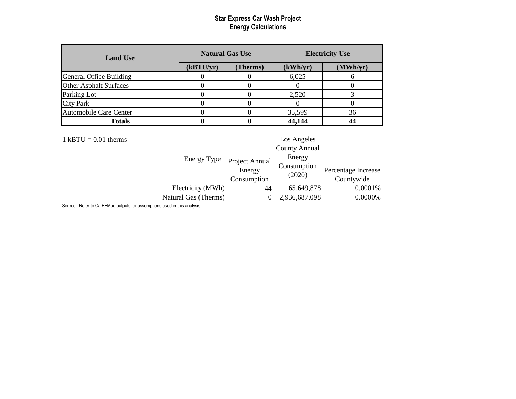| <b>Land Use</b>               |           | <b>Natural Gas Use</b> | <b>Electricity Use</b> |          |  |
|-------------------------------|-----------|------------------------|------------------------|----------|--|
|                               | (kBTU/yr) | <b>Therms</b> )        | (kWh/yr)               | (MWh/yr) |  |
| General Office Building       |           |                        | 6,025                  |          |  |
| Other Asphalt Surfaces        |           |                        |                        |          |  |
| Parking Lot                   |           |                        | 2,520                  |          |  |
| <b>City Park</b>              |           |                        |                        |          |  |
| <b>Automobile Care Center</b> |           |                        | 35,599                 | 36       |  |
| <b>Totals</b>                 |           |                        | 44,144                 |          |  |

| $1$ kBTU = 0.01 therms |                      |                       | Los Angeles           |                                   |
|------------------------|----------------------|-----------------------|-----------------------|-----------------------------------|
|                        |                      |                       | <b>County Annual</b>  |                                   |
|                        | Energy Type          | Project Annual        | Energy                |                                   |
|                        |                      | Energy<br>Consumption | Consumption<br>(2020) | Percentage Increase<br>Countywide |
|                        |                      |                       |                       |                                   |
|                        | Electricity (MWh)    | 44                    | 65,649,878            | 0.0001%                           |
|                        | Natural Gas (Therms) | $\theta$              | 2,936,687,098         | 0.0000%                           |
|                        |                      |                       |                       |                                   |

Source: Refer to CalEEMod outputs for assumptions used in this analysis.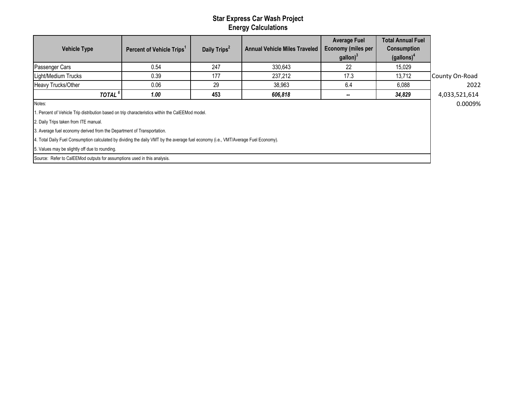| <b>Vehicle Type</b>                                                                                                                | Percent of Vehicle Trips <sup>1</sup> | Daily Trips <sup>2</sup> | <b>Annual Vehicle Miles Traveled</b> | <b>Average Fuel</b><br><b>Economy (miles per</b><br>$\text{gallon}$ ) <sup>3</sup> | <b>Total Annual Fuel</b><br><b>Consumption</b><br>(gallons) <sup>4</sup> |                |  |  |  |
|------------------------------------------------------------------------------------------------------------------------------------|---------------------------------------|--------------------------|--------------------------------------|------------------------------------------------------------------------------------|--------------------------------------------------------------------------|----------------|--|--|--|
| Passenger Cars                                                                                                                     | 0.54                                  | 247                      | 330,643                              | 22                                                                                 | 15,029                                                                   |                |  |  |  |
| Light/Medium Trucks                                                                                                                | 0.39                                  | 177                      | 237,212                              | 17.3                                                                               | 13,712                                                                   | County On-Road |  |  |  |
| Heavy Trucks/Other                                                                                                                 | 0.06                                  | 29                       | 38,963                               | 6.4                                                                                | 6,088                                                                    | 2022           |  |  |  |
| TOTAL <sup>6</sup>                                                                                                                 | 1.00                                  | 453                      | 606,818                              | $\overline{\phantom{a}}$                                                           | 34,829                                                                   | 4,033,521,614  |  |  |  |
| Notes:                                                                                                                             |                                       |                          |                                      |                                                                                    |                                                                          |                |  |  |  |
| . Percent of Vehicle Trip distribution based on trip characteristics within the CalEEMod model.                                    |                                       |                          |                                      |                                                                                    |                                                                          |                |  |  |  |
| 2. Daily Trips taken from ITE manual.                                                                                              |                                       |                          |                                      |                                                                                    |                                                                          |                |  |  |  |
| 3. Average fuel economy derived from the Department of Transportation.                                                             |                                       |                          |                                      |                                                                                    |                                                                          |                |  |  |  |
| 4. Total Daily Fuel Consumption calculated by dividing the daily VMT by the average fuel economy (i.e., VMT/Average Fuel Economy). |                                       |                          |                                      |                                                                                    |                                                                          |                |  |  |  |
| 5. Values may be slightly off due to rounding.                                                                                     |                                       |                          |                                      |                                                                                    |                                                                          |                |  |  |  |
| Source: Refer to CalEEMod outputs for assumptions used in this analysis.                                                           |                                       |                          |                                      |                                                                                    |                                                                          |                |  |  |  |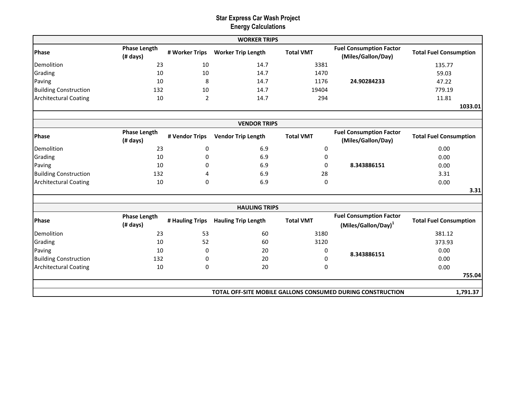|                              |                                 |                 | <b>WORKER TRIPS</b>        |                  |                                                                   |                               |
|------------------------------|---------------------------------|-----------------|----------------------------|------------------|-------------------------------------------------------------------|-------------------------------|
| Phase                        | <b>Phase Length</b><br>(# days) | # Worker Trips  | <b>Worker Trip Length</b>  | <b>Total VMT</b> | <b>Fuel Consumption Factor</b><br>(Miles/Gallon/Day)              | <b>Total Fuel Consumption</b> |
| Demolition                   | 23                              | 10              | 14.7                       | 3381             |                                                                   | 135.77                        |
| Grading                      | 10                              | 10              | 14.7                       | 1470             |                                                                   | 59.03                         |
| Paving                       | 10                              | 8               | 14.7                       | 1176             | 24.90284233                                                       | 47.22                         |
| <b>Building Construction</b> | 132                             | 10              | 14.7                       | 19404            |                                                                   | 779.19                        |
| <b>Architectural Coating</b> | 10                              | 2               | 14.7                       | 294              |                                                                   | 11.81                         |
|                              |                                 |                 |                            |                  |                                                                   | 1033.01                       |
|                              |                                 |                 |                            |                  |                                                                   |                               |
|                              |                                 |                 | <b>VENDOR TRIPS</b>        |                  |                                                                   |                               |
| <b>Phase</b>                 | <b>Phase Length</b><br>(# days) | # Vendor Trips  | <b>Vendor Trip Length</b>  | <b>Total VMT</b> | <b>Fuel Consumption Factor</b><br>(Miles/Gallon/Day)              | <b>Total Fuel Consumption</b> |
| Demolition                   | 23                              | 0               | 6.9                        | 0                |                                                                   | 0.00                          |
| Grading                      | 10                              | 0               | 6.9                        | 0                |                                                                   | 0.00                          |
| Paving                       | 10                              | 0               | 6.9                        | $\Omega$         | 8.343886151                                                       | 0.00                          |
| <b>Building Construction</b> | 132                             | 4               | 6.9                        | 28               |                                                                   | 3.31                          |
| <b>Architectural Coating</b> | 10                              | 0               | 6.9                        | 0                |                                                                   | 0.00                          |
|                              |                                 |                 |                            |                  |                                                                   | 3.31                          |
|                              |                                 |                 | <b>HAULING TRIPS</b>       |                  |                                                                   |                               |
| <b>Phase</b>                 | <b>Phase Length</b><br>(# days) | # Hauling Trips | <b>Hauling Trip Length</b> | <b>Total VMT</b> | <b>Fuel Consumption Factor</b><br>(Miles/Gallon/Day) <sup>1</sup> | <b>Total Fuel Consumption</b> |
| Demolition                   | 23                              | 53              | 60                         | 3180             |                                                                   | 381.12                        |
| Grading                      | 10                              | 52              | 60                         | 3120             |                                                                   | 373.93                        |
| Paving                       | 10                              | 0               | 20                         | 0                | 8.343886151                                                       | 0.00                          |
| <b>Building Construction</b> | 132                             | 0               | 20                         | 0                |                                                                   | 0.00                          |
| <b>Architectural Coating</b> | 10                              | 0               | 20                         | 0                |                                                                   | 0.00                          |
|                              |                                 |                 |                            |                  |                                                                   | 755.04                        |
|                              |                                 |                 |                            |                  |                                                                   |                               |
|                              |                                 |                 |                            |                  | TOTAL OFF-SITE MOBILE GALLONS CONSUMED DURING CONSTRUCTION        | 1,791.37                      |